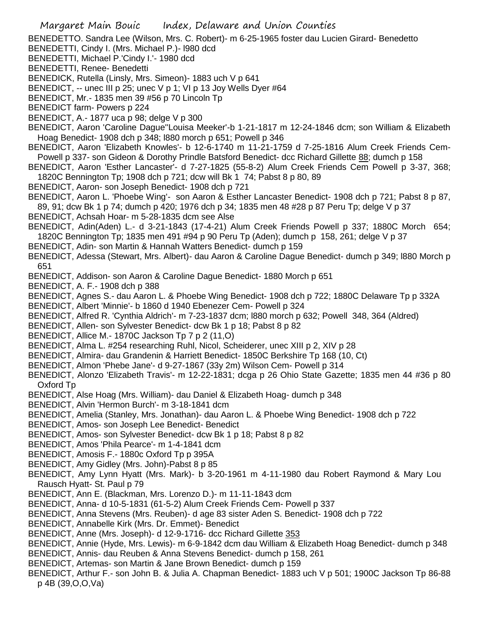BENEDETTO. Sandra Lee (Wilson, Mrs. C. Robert)- m 6-25-1965 foster dau Lucien Girard- Benedetto

BENEDETTI, Cindy I. (Mrs. Michael P.)- l980 dcd

BENEDETTI, Michael P.'Cindy I.'- 1980 dcd

BENEDETTI, Renee- Benedetti

BENEDICK, Rutella (Linsly, Mrs. Simeon)- 1883 uch V p 641

BENEDICT, -- unec III p 25; unec V p 1; VI p 13 Joy Wells Dyer #64

BENEDICT, Mr.- 1835 men 39 #56 p 70 Lincoln Tp

BENEDICT farm- Powers p 224

BENEDICT, A.- 1877 uca p 98; delge V p 300

BENEDICT, Aaron 'Caroline Dague''Louisa Meeker'-b 1-21-1817 m 12-24-1846 dcm; son William & Elizabeth Hoag Benedict- 1908 dch p 348; l880 morch p 651; Powell p 346

BENEDICT, Aaron 'Elizabeth Knowles'- b 12-6-1740 m 11-21-1759 d 7-25-1816 Alum Creek Friends Cem-Powell p 337- son Gideon & Dorothy Prindle Batsford Benedict- dcc Richard Gillette 88; dumch p 158

BENEDICT, Aaron 'Esther Lancaster'- d 7-27-1825 (55-8-2) Alum Creek Friends Cem Powell p 3-37, 368; 1820C Bennington Tp; 1908 dch p 721; dcw will Bk 1 74; Pabst 8 p 80, 89

BENEDICT, Aaron- son Joseph Benedict- 1908 dch p 721

BENEDICT, Aaron L. 'Phoebe Wing'- son Aaron & Esther Lancaster Benedict- 1908 dch p 721; Pabst 8 p 87, 89, 91; dcw Bk 1 p 74; dumch p 420; 1976 dch p 34; 1835 men 48 #28 p 87 Peru Tp; delge V p 37

BENEDICT, Achsah Hoar- m 5-28-1835 dcm see Alse

BENEDICT, Adin(Aden) L.- d 3-21-1843 (17-4-21) Alum Creek Friends Powell p 337; 1880C Morch 654; 1820C Bennington Tp; 1835 men 491 #94 p 90 Peru Tp (Aden); dumch p 158, 261; delge V p 37

BENEDICT, Adin- son Martin & Hannah Watters Benedict- dumch p 159

BENEDICT, Adessa (Stewart, Mrs. Albert)- dau Aaron & Caroline Dague Benedict- dumch p 349; l880 Morch p 651

BENEDICT, Addison- son Aaron & Caroline Dague Benedict- 1880 Morch p 651

BENEDICT, A. F.- 1908 dch p 388

BENEDICT, Agnes S.- dau Aaron L. & Phoebe Wing Benedict- 1908 dch p 722; 1880C Delaware Tp p 332A

BENEDICT, Albert 'Minnie'- b 1860 d 1940 Ebenezer Cem- Powell p 324

BENEDICT, Alfred R. 'Cynthia Aldrich'- m 7-23-1837 dcm; l880 morch p 632; Powell 348, 364 (Aldred)

BENEDICT, Allen- son Sylvester Benedict- dcw Bk 1 p 18; Pabst 8 p 82

BENEDICT, Allice M.- 1870C Jackson Tp 7 p 2 (11,O)

BENEDICT, Alma L. #254 researching Ruhl, Nicol, Scheiderer, unec XIII p 2, XIV p 28

BENEDICT, Almira- dau Grandenin & Harriett Benedict- 1850C Berkshire Tp 168 (10, Ct)

BENEDICT, Almon 'Phebe Jane'- d 9-27-1867 (33y 2m) Wilson Cem- Powell p 314

BENEDICT, Alonzo 'Elizabeth Travis'- m 12-22-1831; dcga p 26 Ohio State Gazette; 1835 men 44 #36 p 80 Oxford Tp

BENEDICT, Alse Hoag (Mrs. William)- dau Daniel & Elizabeth Hoag- dumch p 348

BENEDICT, Alvin 'Hermon Burch'- m 3-18-1841 dcm

BENEDICT, Amelia (Stanley, Mrs. Jonathan)- dau Aaron L. & Phoebe Wing Benedict- 1908 dch p 722

BENEDICT, Amos- son Joseph Lee Benedict- Benedict

BENEDICT, Amos- son Sylvester Benedict- dcw Bk 1 p 18; Pabst 8 p 82

BENEDICT, Amos 'Phila Pearce'- m 1-4-1841 dcm

BENEDICT, Amosis F.- 1880c Oxford Tp p 395A

BENEDICT, Amy Gidley (Mrs. John)-Pabst 8 p 85

BENEDICT, Amy Lynn Hyatt (Mrs. Mark)- b 3-20-1961 m 4-11-1980 dau Robert Raymond & Mary Lou Rausch Hyatt- St. Paul p 79

BENEDICT, Ann E. (Blackman, Mrs. Lorenzo D.)- m 11-11-1843 dcm

BENEDICT, Anna- d 10-5-1831 (61-5-2) Alum Creek Friends Cem- Powell p 337

BENEDICT, Anna Stevens (Mrs. Reuben)- d age 83 sister Aden S. Benedict- 1908 dch p 722

BENEDICT, Annabelle Kirk (Mrs. Dr. Emmet)- Benedict

BENEDICT, Anne (Mrs. Joseph)- d 12-9-1716- dcc Richard Gillette 353

BENEDICT, Annie (Hyde, Mrs. Lewis)- m 6-9-1842 dcm dau William & Elizabeth Hoag Benedict- dumch p 348

BENEDICT, Annis- dau Reuben & Anna Stevens Benedict- dumch p 158, 261

BENEDICT, Artemas- son Martin & Jane Brown Benedict- dumch p 159

BENEDICT, Arthur F.- son John B. & Julia A. Chapman Benedict- 1883 uch V p 501; 1900C Jackson Tp 86-88 p 4B (39,O,O,Va)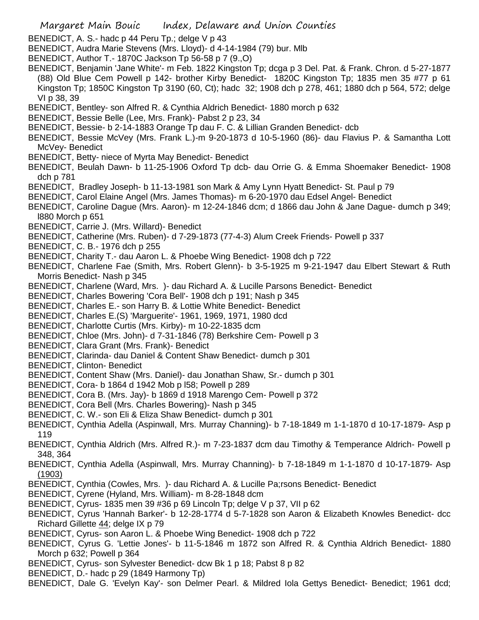BENEDICT, A. S.- hadc p 44 Peru Tp.; delge V p 43

- BENEDICT, Audra Marie Stevens (Mrs. Lloyd)- d 4-14-1984 (79) bur. Mlb
- BENEDICT, Author T.- 1870C Jackson Tp 56-58 p 7 (9.,O)
- BENEDICT, Benjamin 'Jane White'- m Feb. 1822 Kingston Tp; dcga p 3 Del. Pat. & Frank. Chron. d 5-27-1877 (88) Old Blue Cem Powell p 142- brother Kirby Benedict- 1820C Kingston Tp; 1835 men 35 #77 p 61 Kingston Tp; 1850C Kingston Tp 3190 (60, Ct); hadc 32; 1908 dch p 278, 461; 1880 dch p 564, 572; delge VI p 38, 39
- BENEDICT, Bentley- son Alfred R. & Cynthia Aldrich Benedict- 1880 morch p 632
- BENEDICT, Bessie Belle (Lee, Mrs. Frank)- Pabst 2 p 23, 34
- BENEDICT, Bessie- b 2-14-1883 Orange Tp dau F. C. & Lillian Granden Benedict- dcb
- BENEDICT, Bessie McVey (Mrs. Frank L.)-m 9-20-1873 d 10-5-1960 (86)- dau Flavius P. & Samantha Lott McVey- Benedict
- BENEDICT, Betty- niece of Myrta May Benedict- Benedict
- BENEDICT, Beulah Dawn- b 11-25-1906 Oxford Tp dcb- dau Orrie G. & Emma Shoemaker Benedict- 1908 dch p 781
- BENEDICT, Bradley Joseph- b 11-13-1981 son Mark & Amy Lynn Hyatt Benedict- St. Paul p 79
- BENEDICT, Carol Elaine Angel (Mrs. James Thomas)- m 6-20-1970 dau Edsel Angel- Benedict
- BENEDICT, Caroline Dague (Mrs. Aaron)- m 12-24-1846 dcm; d 1866 dau John & Jane Dague- dumch p 349; l880 Morch p 651
- BENEDICT, Carrie J. (Mrs. Willard)- Benedict
- BENEDICT, Catherine (Mrs. Ruben)- d 7-29-1873 (77-4-3) Alum Creek Friends- Powell p 337
- BENEDICT, C. B.- 1976 dch p 255
- BENEDICT, Charity T.- dau Aaron L. & Phoebe Wing Benedict- 1908 dch p 722
- BENEDICT, Charlene Fae (Smith, Mrs. Robert Glenn)- b 3-5-1925 m 9-21-1947 dau Elbert Stewart & Ruth Morris Benedict- Nash p 345
- BENEDICT, Charlene (Ward, Mrs. )- dau Richard A. & Lucille Parsons Benedict- Benedict
- BENEDICT, Charles Bowering 'Cora Bell'- 1908 dch p 191; Nash p 345
- BENEDICT, Charles E.- son Harry B. & Lottie White Benedict- Benedict
- BENEDICT, Charles E.(S) 'Marguerite'- 1961, 1969, 1971, 1980 dcd
- BENEDICT, Charlotte Curtis (Mrs. Kirby)- m 10-22-1835 dcm
- BENEDICT, Chloe (Mrs. John)- d 7-31-1846 (78) Berkshire Cem- Powell p 3
- BENEDICT, Clara Grant (Mrs. Frank)- Benedict
- BENEDICT, Clarinda- dau Daniel & Content Shaw Benedict- dumch p 301
- BENEDICT, Clinton- Benedict
- BENEDICT, Content Shaw (Mrs. Daniel)- dau Jonathan Shaw, Sr.- dumch p 301
- BENEDICT, Cora- b 1864 d 1942 Mob p l58; Powell p 289
- BENEDICT, Cora B. (Mrs. Jay)- b 1869 d 1918 Marengo Cem- Powell p 372
- BENEDICT, Cora Bell (Mrs. Charles Bowering)- Nash p 345
- BENEDICT, C. W.- son Eli & Eliza Shaw Benedict- dumch p 301
- BENEDICT, Cynthia Adella (Aspinwall, Mrs. Murray Channing)- b 7-18-1849 m 1-1-1870 d 10-17-1879- Asp p 119
- BENEDICT, Cynthia Aldrich (Mrs. Alfred R.)- m 7-23-1837 dcm dau Timothy & Temperance Aldrich- Powell p 348, 364
- BENEDICT, Cynthia Adella (Aspinwall, Mrs. Murray Channing)- b 7-18-1849 m 1-1-1870 d 10-17-1879- Asp (1903)
- BENEDICT, Cynthia (Cowles, Mrs. )- dau Richard A. & Lucille Pa;rsons Benedict- Benedict
- BENEDICT, Cyrene (Hyland, Mrs. William)- m 8-28-1848 dcm
- BENEDICT, Cyrus- 1835 men 39 #36 p 69 Lincoln Tp; delge V p 37, VII p 62
- BENEDICT, Cyrus 'Hannah Barker'- b 12-28-1774 d 5-7-1828 son Aaron & Elizabeth Knowles Benedict- dcc Richard Gillette 44; delge IX p 79
- BENEDICT, Cyrus- son Aaron L. & Phoebe Wing Benedict- 1908 dch p 722
- BENEDICT, Cyrus G. 'Lettie Jones'- b 11-5-1846 m 1872 son Alfred R. & Cynthia Aldrich Benedict- 1880 Morch p 632; Powell p 364
- BENEDICT, Cyrus- son Sylvester Benedict- dcw Bk 1 p 18; Pabst 8 p 82
- BENEDICT, D.- hadc p 29 (1849 Harmony Tp)
- BENEDICT, Dale G. 'Evelyn Kay'- son Delmer Pearl. & Mildred Iola Gettys Benedict- Benedict; 1961 dcd;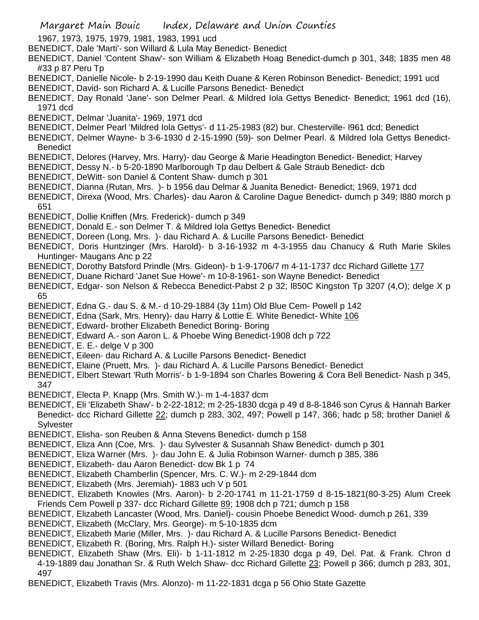1967, 1973, 1975, 1979, 1981, 1983, 1991 ucd

- BENEDICT, Dale 'Marti'- son Willard & Lula May Benedict- Benedict
- BENEDICT, Daniel 'Content Shaw'- son William & Elizabeth Hoag Benedict-dumch p 301, 348; 1835 men 48 #33 p 87 Peru Tp
- BENEDICT, Danielle Nicole- b 2-19-1990 dau Keith Duane & Keren Robinson Benedict- Benedict; 1991 ucd
- BENEDICT, David- son Richard A. & Lucille Parsons Benedict- Benedict
- BENEDICT, Day Ronald 'Jane'- son Delmer Pearl. & Mildred Iola Gettys Benedict- Benedict; 1961 dcd (16), 1971 dcd
- BENEDICT, Delmar 'Juanita'- 1969, 1971 dcd
- BENEDICT, Delmer Pearl 'Mildred Iola Gettys'- d 11-25-1983 (82) bur. Chesterville- l961 dcd; Benedict
- BENEDICT, Delmer Wayne- b 3-6-1930 d 2-15-1990 (59)- son Delmer Pearl. & Mildred Iola Gettys Benedict-**Benedict**
- BENEDICT, Delores (Harvey, Mrs. Harry)- dau George & Marie Headington Benedict- Benedict; Harvey
- BENEDICT, Dessy N.- b 5-20-1890 Marlborough Tp dau Delbert & Gale Straub Benedict- dcb
- BENEDICT, DeWitt- son Daniel & Content Shaw- dumch p 301
- BENEDICT, Dianna (Rutan, Mrs. )- b 1956 dau Delmar & Juanita Benedict- Benedict; 1969, 1971 dcd
- BENEDICT, Direxa (Wood, Mrs. Charles)- dau Aaron & Caroline Dague Benedict- dumch p 349; l880 morch p 651
- BENEDICT, Dollie Kniffen (Mrs. Frederick)- dumch p 349
- BENEDICT, Donald E.- son Delmer T. & Mildred Iola Gettys Benedict- Benedict
- BENEDICT, Doreen (Long, Mrs. )- dau Richard A. & Lucille Parsons Benedict- Benedict
- BENEDICT, Doris Huntzinger (Mrs. Harold)- b 3-16-1932 m 4-3-1955 dau Chanucy & Ruth Marie Skiles Huntinger- Maugans Anc p 22
- BENEDICT, Dorothy Batsford Prindle (Mrs. Gideon)- b 1-9-1706/7 m 4-11-1737 dcc Richard Gillette 177
- BENEDICT, Duane Richard 'Janet Sue Howe'- m 10-8-1961- son Wayne Benedict- Benedict
- BENEDICT, Edgar- son Nelson & Rebecca Benedict-Pabst 2 p 32; l850C Kingston Tp 3207 (4,O); delge X p 65
- BENEDICT, Edna G.- dau S. & M.- d 10-29-1884 (3y 11m) Old Blue Cem- Powell p 142
- BENEDICT, Edna (Sark, Mrs. Henry)- dau Harry & Lottie E. White Benedict- White 106
- BENEDICT, Edward- brother Elizabeth Benedict Boring- Boring
- BENEDICT, Edward A.- son Aaron L. & Phoebe Wing Benedict-1908 dch p 722
- BENEDICT, E. E.- delge V p 300
- BENEDICT, Eileen- dau Richard A. & Lucille Parsons Benedict- Benedict
- BENEDICT, Elaine (Pruett, Mrs. )- dau Richard A. & Lucille Parsons Benedict- Benedict
- BENEDICT, Elbert Stewart 'Ruth Morris'- b 1-9-1894 son Charles Bowering & Cora Bell Benedict- Nash p 345, 347
- BENEDICT, Electa P. Knapp (Mrs. Smith W.)- m 1-4-1837 dcm
- BENEDICT, Eli 'Elizabeth Shaw'- b 2-22-1812; m 2-25-1830 dcga p 49 d 8-8-1846 son Cyrus & Hannah Barker Benedict- dcc Richard Gillette 22; dumch p 283, 302, 497; Powell p 147, 366; hadc p 58; brother Daniel & **Sylvester**
- BENEDICT, Elisha- son Reuben & Anna Stevens Benedict- dumch p 158
- BENEDICT, Eliza Ann (Coe, Mrs. )- dau Sylvester & Susannah Shaw Benedict- dumch p 301
- BENEDICT, Eliza Warner (Mrs. )- dau John E. & Julia Robinson Warner- dumch p 385, 386
- BENEDICT, Elizabeth- dau Aaron Benedict- dcw Bk 1 p 74
- BENEDICT, Elizabeth Chamberlin (Spencer, Mrs. C. W.)- m 2-29-1844 dcm
- BENEDICT, Elizabeth (Mrs. Jeremiah)- 1883 uch V p 501
- BENEDICT, Elizabeth Knowles (Mrs. Aaron)- b 2-20-1741 m 11-21-1759 d 8-15-1821(80-3-25) Alum Creek Friends Cem Powell p 337- dcc Richard Gillette 89; 1908 dch p 721; dumch p 158
- BENEDICT, Elizabeth Lancaster (Wood, Mrs. Daniel)- cousin Phoebe Benedict Wood- dumch p 261, 339
- BENEDICT, Elizabeth (McClary, Mrs. George)- m 5-10-1835 dcm
- BENEDICT, Elizabeth Marie (Miller, Mrs. )- dau Richard A. & Lucille Parsons Benedict- Benedict
- BENEDICT, Elizabeth R. (Boring, Mrs. Ralph H.)- sister Willard Benedict- Boring
- BENEDICT, Elizabeth Shaw (Mrs. Eli)- b 1-11-1812 m 2-25-1830 dcga p 49, Del. Pat. & Frank. Chron d 4-19-1889 dau Jonathan Sr. & Ruth Welch Shaw- dcc Richard Gillette 23; Powell p 366; dumch p 283, 301, 497
- BENEDICT, Elizabeth Travis (Mrs. Alonzo)- m 11-22-1831 dcga p 56 Ohio State Gazette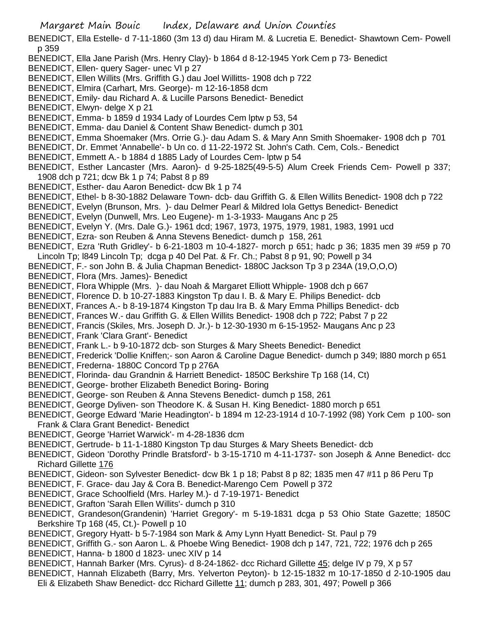Margaret Main Bouic Index, Delaware and Union Counties

BENEDICT, Ella Estelle- d 7-11-1860 (3m 13 d) dau Hiram M. & Lucretia E. Benedict- Shawtown Cem- Powell p 359

- BENEDICT, Ella Jane Parish (Mrs. Henry Clay)- b 1864 d 8-12-1945 York Cem p 73- Benedict
- BENEDICT, Ellen- query Sager- unec VI p 27
- BENEDICT, Ellen Willits (Mrs. Griffith G.) dau Joel Willitts- 1908 dch p 722
- BENEDICT, Elmira (Carhart, Mrs. George)- m 12-16-1858 dcm
- BENEDICT, Emily- dau Richard A. & Lucille Parsons Benedict- Benedict
- BENEDICT, Elwyn- delge X p 21
- BENEDICT, Emma- b 1859 d 1934 Lady of Lourdes Cem lptw p 53, 54
- BENEDICT, Emma- dau Daniel & Content Shaw Benedict- dumch p 301
- BENEDICT, Emma Shoemaker (Mrs. Orrie G.)- dau Adam S. & Mary Ann Smith Shoemaker- 1908 dch p 701
- BENEDICT, Dr. Emmet 'Annabelle'- b Un co. d 11-22-1972 St. John's Cath. Cem, Cols.- Benedict
- BENEDICT, Emmett A.- b 1884 d 1885 Lady of Lourdes Cem- lptw p 54
- BENEDICT, Esther Lancaster (Mrs. Aaron)- d 9-25-1825(49-5-5) Alum Creek Friends Cem- Powell p 337; 1908 dch p 721; dcw Bk 1 p 74; Pabst 8 p 89
- BENEDICT, Esther- dau Aaron Benedict- dcw Bk 1 p 74
- BENEDICT, Ethel- b 8-30-1882 Delaware Town- dcb- dau Griffith G. & Ellen Willits Benedict- 1908 dch p 722
- BENEDICT, Evelyn (Brunson, Mrs. )- dau Delmer Pearl & Mildred Iola Gettys Benedict- Benedict
- BENEDICT, Evelyn (Dunwell, Mrs. Leo Eugene)- m 1-3-1933- Maugans Anc p 25
- BENEDICT, Evelyn Y. (Mrs. Dale G.)- 1961 dcd; 1967, 1973, 1975, 1979, 1981, 1983, 1991 ucd
- BENEDICT, Ezra- son Reuben & Anna Stevens Benedict- dumch p 158, 261
- BENEDICT, Ezra 'Ruth Gridley'- b 6-21-1803 m 10-4-1827- morch p 651; hadc p 36; 1835 men 39 #59 p 70 Lincoln Tp; l849 Lincoln Tp; dcga p 40 Del Pat. & Fr. Ch.; Pabst 8 p 91, 90; Powell p 34
- BENEDICT, F.- son John B. & Julia Chapman Benedict- 1880C Jackson Tp 3 p 234A (19,O,O,O)
- BENEDICT, Flora (Mrs. James)- Benedict
- BENEDICT, Flora Whipple (Mrs. )- dau Noah & Margaret Elliott Whipple- 1908 dch p 667
- BENEDICT, Florence D. b 10-27-1883 Kingston Tp dau I. B. & Mary E. Philips Benedict- dcb
- BENEDIXT, Frances A.- b 8-19-1874 Kingston Tp dau Ira B. & Mary Emma Phillips Benedict- dcb
- BENEDICT, Frances W.- dau Griffith G. & Ellen Willits Benedict- 1908 dch p 722; Pabst 7 p 22
- BENEDICT, Francis (Skiles, Mrs. Joseph D. Jr.)- b 12-30-1930 m 6-15-1952- Maugans Anc p 23
- BENEDICT, Frank 'Clara Grant'- Benedict
- BENEDICT, Frank L.- b 9-10-1872 dcb- son Sturges & Mary Sheets Benedict- Benedict
- BENEDICT, Frederick 'Dollie Kniffen;- son Aaron & Caroline Dague Benedict- dumch p 349; l880 morch p 651
- BENEDICT, Frederna- 1880C Concord Tp p 276A
- BENEDICT, Florinda- dau Grandnin & Harriett Benedict- 1850C Berkshire Tp 168 (14, Ct)
- BENEDICT, George- brother Elizabeth Benedict Boring- Boring
- BENEDICT, George- son Reuben & Anna Stevens Benedict- dumch p 158, 261
- BENEDICT, George Dyliven- son Theodore K. & Susan H. King Benedict- 1880 morch p 651
- BENEDICT, George Edward 'Marie Headington'- b 1894 m 12-23-1914 d 10-7-1992 (98) York Cem p 100- son Frank & Clara Grant Benedict- Benedict
- BENEDICT, George 'Harriet Warwick'- m 4-28-1836 dcm
- BENEDICT, Gertrude- b 11-1-1880 Kingston Tp dau Sturges & Mary Sheets Benedict- dcb
- BENEDICT, Gideon 'Dorothy Prindle Bratsford'- b 3-15-1710 m 4-11-1737- son Joseph & Anne Benedict- dcc Richard Gillette 176
- BENEDICT, Gideon- son Sylvester Benedict- dcw Bk 1 p 18; Pabst 8 p 82; 1835 men 47 #11 p 86 Peru Tp
- BENEDICT, F. Grace- dau Jay & Cora B. Benedict-Marengo Cem Powell p 372
- BENEDICT, Grace Schoolfield (Mrs. Harley M.)- d 7-19-1971- Benedict
- BENEDICT, Grafton 'Sarah Ellen Willits'- dumch p 310
- BENEDICT, Grandeson(Grandenin) 'Harriet Gregory'- m 5-19-1831 dcga p 53 Ohio State Gazette; 1850C Berkshire Tp 168 (45, Ct.)- Powell p 10
- BENEDICT, Gregory Hyatt- b 5-7-1984 son Mark & Amy Lynn Hyatt Benedict- St. Paul p 79
- BENEDICT, Griffith G.- son Aaron L. & Phoebe Wing Benedict- 1908 dch p 147, 721, 722; 1976 dch p 265 BENEDICT, Hanna- b 1800 d 1823- unec XIV p 14
- BENEDICT, Hannah Barker (Mrs. Cyrus)- d 8-24-1862- dcc Richard Gillette 45; delge IV p 79, X p 57
- BENEDICT, Hannah Elizabeth (Barry, Mrs. Yelverton Peyton)- b 12-15-1832 m 10-17-1850 d 2-10-1905 dau
- Eli & Elizabeth Shaw Benedict- dcc Richard Gillette 11; dumch p 283, 301, 497; Powell p 366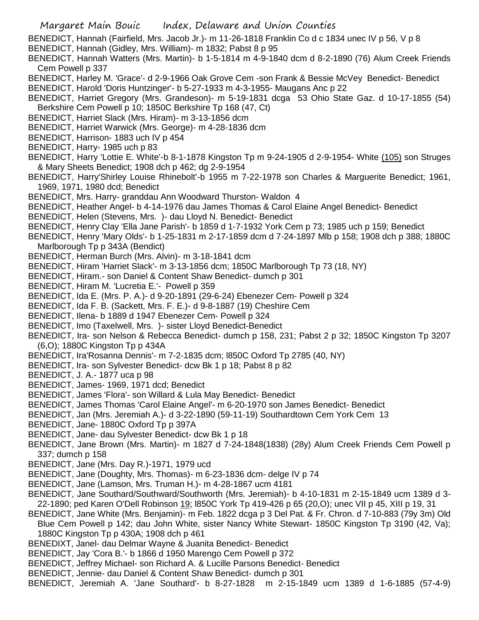BENEDICT, Hannah (Fairfield, Mrs. Jacob Jr.)- m 11-26-1818 Franklin Co d c 1834 unec IV p 56, V p 8

BENEDICT, Hannah (Gidley, Mrs. William)- m 1832; Pabst 8 p 95

BENEDICT, Hannah Watters (Mrs. Martin)- b 1-5-1814 m 4-9-1840 dcm d 8-2-1890 (76) Alum Creek Friends Cem Powell p 337

BENEDICT, Harley M. 'Grace'- d 2-9-1966 Oak Grove Cem -son Frank & Bessie McVey Benedict- Benedict

BENEDICT, Harold 'Doris Huntzinger'- b 5-27-1933 m 4-3-1955- Maugans Anc p 22

BENEDICT, Harriet Gregory (Mrs. Grandeson)- m 5-19-1831 dcga 53 Ohio State Gaz. d 10-17-1855 (54) Berkshire Cem Powell p 10; 1850C Berkshire Tp 168 (47, Ct)

- BENEDICT, Harriet Slack (Mrs. Hiram)- m 3-13-1856 dcm
- BENEDICT, Harriet Warwick (Mrs. George)- m 4-28-1836 dcm
- BENEDICT, Harrison- 1883 uch IV p 454
- BENEDICT, Harry- 1985 uch p 83
- BENEDICT, Harry 'Lottie E. White'-b 8-1-1878 Kingston Tp m 9-24-1905 d 2-9-1954- White (105) son Struges & Mary Sheets Benedict; 1908 dch p 462; dg 2-9-1954
- BENEDICT, Harry'Shirley Louise Rhinebolt'-b 1955 m 7-22-1978 son Charles & Marguerite Benedict; 1961, 1969, 1971, 1980 dcd; Benedict
- BENEDICT, Mrs. Harry- granddau Ann Woodward Thurston- Waldon 4
- BENEDICT, Heather Angel- b 4-14-1976 dau James Thomas & Carol Elaine Angel Benedict- Benedict
- BENEDICT, Helen (Stevens, Mrs. )- dau Lloyd N. Benedict- Benedict
- BENEDICT, Henry Clay 'Ella Jane Parish'- b 1859 d 1-7-1932 York Cem p 73; 1985 uch p 159; Benedict
- BENEDICT, Henry 'Mary Olds'- b 1-25-1831 m 2-17-1859 dcm d 7-24-1897 Mlb p 158; 1908 dch p 388; 1880C Marlborough Tp p 343A (Bendict)
- BENEDICT, Herman Burch (Mrs. Alvin)- m 3-18-1841 dcm
- BENEDICT, Hiram 'Harriet Slack'- m 3-13-1856 dcm; 1850C Marlborough Tp 73 (18, NY)
- BENEDICT, Hiram.- son Daniel & Content Shaw Benedict- dumch p 301
- BENEDICT, Hiram M. 'Lucretia E.'- Powell p 359
- BENEDICT, Ida E. (Mrs. P. A.)- d 9-20-1891 (29-6-24) Ebenezer Cem- Powell p 324
- BENEDICT, Ida F. B. (Sackett, Mrs. F. E.)- d 9-8-1887 (19) Cheshire Cem
- BENEDICT, Ilena- b 1889 d 1947 Ebenezer Cem- Powell p 324
- BENEDICT, Imo (Taxelwell, Mrs. )- sister Lloyd Benedict-Benedict
- BENEDICT, Ira- son Nelson & Rebecca Benedict- dumch p 158, 231; Pabst 2 p 32; 1850C Kingston Tp 3207 (6,O); 1880C Kingston Tp p 434A
- BENEDICT, Ira'Rosanna Dennis'- m 7-2-1835 dcm; l850C Oxford Tp 2785 (40, NY)
- BENEDICT, Ira- son Sylvester Benedict- dcw Bk 1 p 18; Pabst 8 p 82
- BENEDICT, J. A.- 1877 uca p 98
- BENEDICT, James- 1969, 1971 dcd; Benedict
- BENEDICT, James 'Flora'- son Willard & Lula May Benedict- Benedict
- BENEDICT, James Thomas 'Carol Elaine Angel'- m 6-20-1970 son James Benedict- Benedict
- BENEDICT, Jan (Mrs. Jeremiah A.)- d 3-22-1890 (59-11-19) Southardtown Cem York Cem 13
- BENEDICT, Jane- 1880C Oxford Tp p 397A
- BENEDICT, Jane- dau Sylvester Benedict- dcw Bk 1 p 18
- BENEDICT, Jane Brown (Mrs. Martin)- m 1827 d 7-24-1848(1838) (28y) Alum Creek Friends Cem Powell p 337; dumch p 158
- BENEDICT, Jane (Mrs. Day R.)-1971, 1979 ucd
- BENEDICT, Jane (Doughty, Mrs. Thomas)- m 6-23-1836 dcm- delge IV p 74
- BENEDICT, Jane (Lamson, Mrs. Truman H.)- m 4-28-1867 ucm 4181
- BENEDICT, Jane Southard/Southward/Southworth (Mrs. Jeremiah)- b 4-10-1831 m 2-15-1849 ucm 1389 d 3- 22-1890; ped Karen O'Dell Robinson 19; l850C York Tp 419-426 p 65 (20,O); unec VII p 45, XIII p 19, 31
- BENEDICT, Jane White (Mrs. Benjamin)- m Feb. 1822 dcga p 3 Del Pat. & Fr. Chron. d 7-10-883 (79y 3m) Old Blue Cem Powell p 142; dau John White, sister Nancy White Stewart- 1850C Kingston Tp 3190 (42, Va); 1880C Kingston Tp p 430A; 1908 dch p 461
- BENEDIXT, Janel- dau Delmar Wayne & Juanita Benedict- Benedict
- BENEDICT, Jay 'Cora B.'- b 1866 d 1950 Marengo Cem Powell p 372
- BENEDICT, Jeffrey Michael- son Richard A. & Lucille Parsons Benedict- Benedict
- BENEDICT, Jennie- dau Daniel & Content Shaw Benedict- dumch p 301
- BENEDICT, Jeremiah A. 'Jane Southard'- b 8-27-1828 m 2-15-1849 ucm 1389 d 1-6-1885 (57-4-9)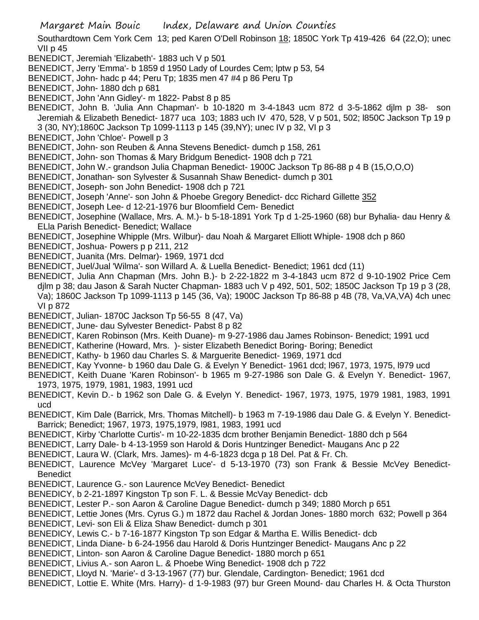Margaret Main Bouic Index, Delaware and Union Counties

Southardtown Cem York Cem 13; ped Karen O'Dell Robinson 18; 1850C York Tp 419-426 64 (22,O); unec VII p 45

- BENEDICT, Jeremiah 'Elizabeth'- 1883 uch V p 501
- BENEDICT, Jerry 'Emma'- b 1859 d 1950 Lady of Lourdes Cem; lptw p 53, 54
- BENEDICT, John- hadc p 44; Peru Tp; 1835 men 47 #4 p 86 Peru Tp
- BENEDICT, John- 1880 dch p 681
- BENEDICT, John 'Ann Gidley'- m 1822- Pabst 8 p 85
- BENEDICT, John B. 'Julia Ann Chapman'- b 10-1820 m 3-4-1843 ucm 872 d 3-5-1862 djlm p 38- son Jeremiah & Elizabeth Benedict- 1877 uca 103; 1883 uch IV 470, 528, V p 501, 502; l850C Jackson Tp 19 p 3 (30, NY);1860C Jackson Tp 1099-1113 p 145 (39,NY); unec IV p 32, VI p 3
- BENEDICT, John 'Chloe'- Powell p 3
- BENEDICT, John- son Reuben & Anna Stevens Benedict- dumch p 158, 261
- BENEDICT, John- son Thomas & Mary Bridgum Benedict- 1908 dch p 721
- BENEDICT, John W.- grandson Julia Chapman Benedict- 1900C Jackson Tp 86-88 p 4 B (15,O,O,O)
- BENEDICT, Jonathan- son Sylvester & Susannah Shaw Benedict- dumch p 301
- BENEDICT, Joseph- son John Benedict- 1908 dch p 721
- BENEDICT, Joseph 'Anne'- son John & Phoebe Gregory Benedict- dcc Richard Gillette 352
- BENEDICT, Joseph Lee- d 12-21-1976 bur Bloomfield Cem- Benedict
- BENEDICT, Josephine (Wallace, Mrs. A. M.)- b 5-18-1891 York Tp d 1-25-1960 (68) bur Byhalia- dau Henry & ELla Parish Benedict- Benedict; Wallace
- BENEDICT, Josephine Whipple (Mrs. Wilbur)- dau Noah & Margaret Elliott Whiple- 1908 dch p 860
- BENEDICT, Joshua- Powers p p 211, 212
- BENEDICT, Juanita (Mrs. Delmar)- 1969, 1971 dcd
- BENEDICT, Juel/Jual 'Wilma'- son Willard A. & Luella Benedict- Benedict; 1961 dcd (11)
- BENEDICT, Julia Ann Chapman (Mrs. John B.)- b 2-22-1822 m 3-4-1843 ucm 872 d 9-10-1902 Price Cem djlm p 38; dau Jason & Sarah Nucter Chapman- 1883 uch V p 492, 501, 502; 1850C Jackson Tp 19 p 3 (28, Va); 1860C Jackson Tp 1099-1113 p 145 (36, Va); 1900C Jackson Tp 86-88 p 4B (78, Va,VA,VA) 4ch unec VI p 872
- BENEDICT, Julian- 1870C Jackson Tp 56-55 8 (47, Va)
- BENEDICT, June- dau Sylvester Benedict- Pabst 8 p 82
- BENEDICT, Karen Robinson (Mrs. Keith Duane)- m 9-27-1986 dau James Robinson- Benedict; 1991 ucd
- BENEDICT, Katherine (Howard, Mrs. )- sister Elizabeth Benedict Boring- Boring; Benedict
- BENEDICT, Kathy- b 1960 dau Charles S. & Marguerite Benedict- 1969, 1971 dcd
- BENEDICT, Kay Yvonne- b 1960 dau Dale G. & Evelyn Y Benedict- 1961 dcd; l967, 1973, 1975, l979 ucd
- BENEDICT, Keith Duane 'Karen Robinson'- b 1965 m 9-27-1986 son Dale G. & Evelyn Y. Benedict- 1967, 1973, 1975, 1979, 1981, 1983, 1991 ucd
- BENEDICT, Kevin D.- b 1962 son Dale G. & Evelyn Y. Benedict- 1967, 1973, 1975, 1979 1981, 1983, 1991 ucd
- BENEDICT, Kim Dale (Barrick, Mrs. Thomas Mitchell)- b 1963 m 7-19-1986 dau Dale G. & Evelyn Y. Benedict-Barrick; Benedict; 1967, 1973, 1975,1979, l981, 1983, 1991 ucd
- BENEDICT, Kirby 'Charlotte Curtis'- m 10-22-1835 dcm brother Benjamin Benedict- 1880 dch p 564
- BENEDICT, Larry Dale- b 4-13-1959 son Harold & Doris Huntzinger Benedict- Maugans Anc p 22
- BENEDICT, Laura W. (Clark, Mrs. James)- m 4-6-1823 dcga p 18 Del. Pat & Fr. Ch.
- BENEDICT, Laurence McVey 'Margaret Luce'- d 5-13-1970 (73) son Frank & Bessie McVey Benedict-Benedict
- BENEDICT, Laurence G.- son Laurence McVey Benedict- Benedict
- BENEDICY, b 2-21-1897 Kingston Tp son F. L. & Bessie McVay Benedict- dcb
- BENEDICT, Lester P.- son Aaron & Caroline Dague Benedict- dumch p 349; 1880 Morch p 651
- BENEDICT, Lettie Jones (Mrs. Cyrus G.) m 1872 dau Rachel & Jordan Jones- 1880 morch 632; Powell p 364
- BENEDICT, Levi- son Eli & Eliza Shaw Benedict- dumch p 301
- BENEDICY, Lewis C.- b 7-16-1877 Kingston Tp son Edgar & Martha E. Willis Benedict- dcb
- BENEDICT, Linda Diane- b 6-24-1956 dau Harold & Doris Huntzinger Benedict- Maugans Anc p 22
- BENEDICT, Linton- son Aaron & Caroline Dague Benedict- 1880 morch p 651
- BENEDICT, Livius A.- son Aaron L. & Phoebe Wing Benedict- 1908 dch p 722
- BENEDICT, Lloyd N. 'Marie'- d 3-13-1967 (77) bur. Glendale, Cardington- Benedict; 1961 dcd
- BENEDICT, Lottie E. White (Mrs. Harry)- d 1-9-1983 (97) bur Green Mound- dau Charles H. & Octa Thurston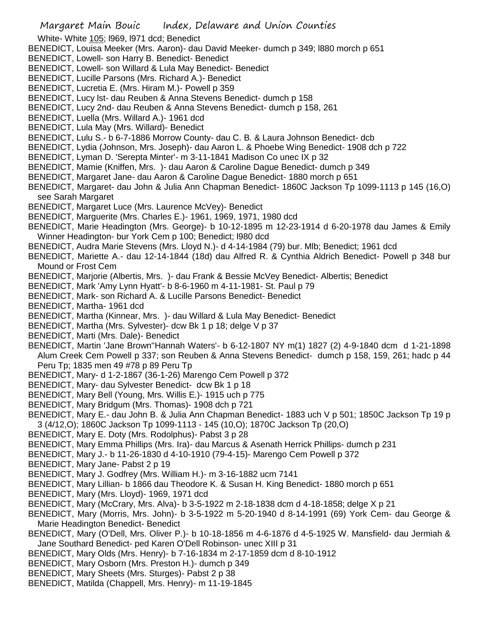- White- White 105; l969, l971 dcd; Benedict
- BENEDICT, Louisa Meeker (Mrs. Aaron)- dau David Meeker- dumch p 349; l880 morch p 651
- BENEDICT, Lowell- son Harry B. Benedict- Benedict
- BENEDICT, Lowell- son Willard & Lula May Benedict- Benedict
- BENEDICT, Lucille Parsons (Mrs. Richard A.)- Benedict
- BENEDICT, Lucretia E. (Mrs. Hiram M.)- Powell p 359
- BENEDICT, Lucy lst- dau Reuben & Anna Stevens Benedict- dumch p 158
- BENEDICT, Lucy 2nd- dau Reuben & Anna Stevens Benedict- dumch p 158, 261
- BENEDICT, Luella (Mrs. Willard A.)- 1961 dcd
- BENEDICT, Lula May (Mrs. Willard)- Benedict
- BENEDICT, Lulu S.- b 6-7-1886 Morrow County- dau C. B. & Laura Johnson Benedict- dcb
- BENEDICT, Lydia (Johnson, Mrs. Joseph)- dau Aaron L. & Phoebe Wing Benedict- 1908 dch p 722
- BENEDICT, Lyman D. 'Serepta Minter'- m 3-11-1841 Madison Co unec IX p 32
- BENEDICT, Mamie (Kniffen, Mrs. )- dau Aaron & Caroline Dague Benedict- dumch p 349
- BENEDICT, Margaret Jane- dau Aaron & Caroline Dague Benedict- 1880 morch p 651
- BENEDICT, Margaret- dau John & Julia Ann Chapman Benedict- 1860C Jackson Tp 1099-1113 p 145 (16,O) see Sarah Margaret
- BENEDICT, Margaret Luce (Mrs. Laurence McVey)- Benedict
- BENEDICT, Marguerite (Mrs. Charles E.)- 1961, 1969, 1971, 1980 dcd
- BENEDICT, Marie Headington (Mrs. George)- b 10-12-1895 m 12-23-1914 d 6-20-1978 dau James & Emily Winner Headington- bur York Cem p 100; Benedict; l980 dcd
- BENEDICT, Audra Marie Stevens (Mrs. Lloyd N.)- d 4-14-1984 (79) bur. Mlb; Benedict; 1961 dcd
- BENEDICT, Mariette A.- dau 12-14-1844 (18d) dau Alfred R. & Cynthia Aldrich Benedict- Powell p 348 bur Mound or Frost Cem
- BENEDICT, Marjorie (Albertis, Mrs. )- dau Frank & Bessie McVey Benedict- Albertis; Benedict
- BENEDICT, Mark 'Amy Lynn Hyatt'- b 8-6-1960 m 4-11-1981- St. Paul p 79
- BENEDICT, Mark- son Richard A. & Lucille Parsons Benedict- Benedict
- BENEDICT, Martha- 1961 dcd
- BENEDICT, Martha (Kinnear, Mrs. )- dau Willard & Lula May Benedict- Benedict
- BENEDICT, Martha (Mrs. Sylvester)- dcw Bk 1 p 18; delge V p 37
- BENEDICT, Marti (Mrs. Dale)- Benedict
- BENEDICT, Martin 'Jane Brown''Hannah Waters'- b 6-12-1807 NY m(1) 1827 (2) 4-9-1840 dcm d 1-21-1898 Alum Creek Cem Powell p 337; son Reuben & Anna Stevens Benedict- dumch p 158, 159, 261; hadc p 44 Peru Tp; 1835 men 49 #78 p 89 Peru Tp
- BENEDICT, Mary- d 1-2-1867 (36-1-26) Marengo Cem Powell p 372
- BENEDICT, Mary- dau Sylvester Benedict- dcw Bk 1 p 18
- BENEDICT, Mary Bell (Young, Mrs. Willis E.)- 1915 uch p 775
- BENEDICT, Mary Bridgum (Mrs. Thomas)- 1908 dch p 721
- BENEDICT, Mary E.- dau John B. & Julia Ann Chapman Benedict- 1883 uch V p 501; 1850C Jackson Tp 19 p 3 (4/12,O); 1860C Jackson Tp 1099-1113 - 145 (10,O); 1870C Jackson Tp (20,O)
- BENEDICT, Mary E. Doty (Mrs. Rodolphus)- Pabst 3 p 28
- BENEDICT, Mary Emma Phillips (Mrs. Ira)- dau Marcus & Asenath Herrick Phillips- dumch p 231
- BENEDICT, Mary J.- b 11-26-1830 d 4-10-1910 (79-4-15)- Marengo Cem Powell p 372
- BENEDICT, Mary Jane- Pabst 2 p 19
- BENEDICT, Mary J. Godfrey (Mrs. William H.)- m 3-16-1882 ucm 7141
- BENEDICT, Mary Lillian- b 1866 dau Theodore K. & Susan H. King Benedict- 1880 morch p 651
- BENEDICT, Mary (Mrs. Lloyd)- 1969, 1971 dcd
- BENEDICT, Mary (McCrary, Mrs. Alva)- b 3-5-1922 m 2-18-1838 dcm d 4-18-1858; delge X p 21
- BENEDICT, Mary (Morris, Mrs. John)- b 3-5-1922 m 5-20-1940 d 8-14-1991 (69) York Cem- dau George & Marie Headington Benedict- Benedict
- BENEDICT, Mary (O'Dell, Mrs. Oliver P.)- b 10-18-1856 m 4-6-1876 d 4-5-1925 W. Mansfield- dau Jermiah & Jane Southard Benedict- ped Karen O'Dell Robinson- unec XIII p 31
- BENEDICT, Mary Olds (Mrs. Henry)- b 7-16-1834 m 2-17-1859 dcm d 8-10-1912
- BENEDICT, Mary Osborn (Mrs. Preston H.)- dumch p 349
- BENEDICT, Mary Sheets (Mrs. Sturges)- Pabst 2 p 38
- BENEDICT, Matilda (Chappell, Mrs. Henry)- m 11-19-1845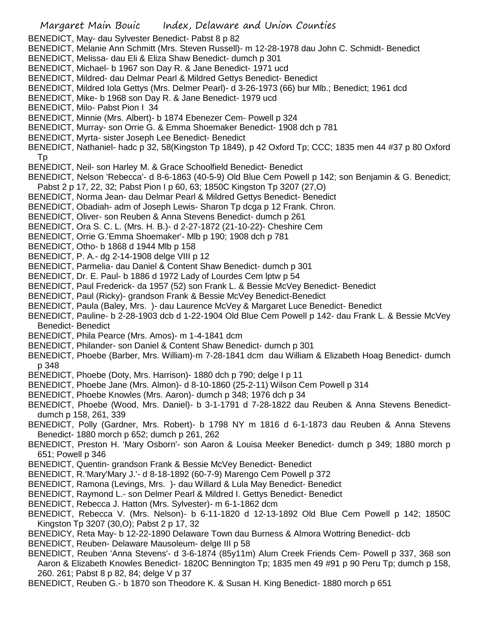BENEDICT, May- dau Sylvester Benedict- Pabst 8 p 82

- BENEDICT, Melanie Ann Schmitt (Mrs. Steven Russell)- m 12-28-1978 dau John C. Schmidt- Benedict
- BENEDICT, Melissa- dau Eli & Eliza Shaw Benedict- dumch p 301
- BENEDICT, Michael- b 1967 son Day R. & Jane Benedict- 1971 ucd
- BENEDICT, Mildred- dau Delmar Pearl & Mildred Gettys Benedict- Benedict
- BENEDICT, Mildred Iola Gettys (Mrs. Delmer Pearl)- d 3-26-1973 (66) bur Mlb.; Benedict; 1961 dcd
- BENEDICT, Mike- b 1968 son Day R. & Jane Benedict- 1979 ucd
- BENEDICT, Milo- Pabst Pion I 34
- BENEDICT, Minnie (Mrs. Albert)- b 1874 Ebenezer Cem- Powell p 324
- BENEDICT, Murray- son Orrie G. & Emma Shoemaker Benedict- 1908 dch p 781
- BENEDICT, Myrta- sister Joseph Lee Benedict- Benedict
- BENEDICT, Nathaniel- hadc p 32, 58(Kingston Tp 1849), p 42 Oxford Tp; CCC; 1835 men 44 #37 p 80 Oxford Tp
- BENEDICT, Neil- son Harley M. & Grace Schoolfield Benedict- Benedict
- BENEDICT, Nelson 'Rebecca'- d 8-6-1863 (40-5-9) Old Blue Cem Powell p 142; son Benjamin & G. Benedict;
- Pabst 2 p 17, 22, 32; Pabst Pion I p 60, 63; 1850C Kingston Tp 3207 (27,O)
- BENEDICT, Norma Jean- dau Delmar Pearl & Mildred Gettys Benedict- Benedict
- BENEDICT, Obadiah- adm of Joseph Lewis- Sharon Tp dcga p 12 Frank. Chron.
- BENEDICT, Oliver- son Reuben & Anna Stevens Benedict- dumch p 261
- BENEDICT, Ora S. C. L. (Mrs. H. B.)- d 2-27-1872 (21-10-22)- Cheshire Cem
- BENEDICT, Orrie G.'Emma Shoemaker'- Mlb p 190; 1908 dch p 781
- BENEDICT, Otho- b 1868 d 1944 Mlb p 158
- BENEDICT, P. A.- dg 2-14-1908 delge VIII p 12
- BENEDICT, Parmelia- dau Daniel & Content Shaw Benedict- dumch p 301
- BENEDICT, Dr. E. Paul- b 1886 d 1972 Lady of Lourdes Cem lptw p 54
- BENEDICT, Paul Frederick- da 1957 (52) son Frank L. & Bessie McVey Benedict- Benedict
- BENEDICT, Paul (Ricky)- grandson Frank & Bessie McVey Benedict-Benedict
- BENEDICT, Paula (Baley, Mrs. )- dau Laurence McVey & Margaret Luce Benedict- Benedict
- BENEDICT, Pauline- b 2-28-1903 dcb d 1-22-1904 Old Blue Cem Powell p 142- dau Frank L. & Bessie McVey Benedict- Benedict
- BENEDICT, Phila Pearce (Mrs. Amos)- m 1-4-1841 dcm
- BENEDICT, Philander- son Daniel & Content Shaw Benedict- dumch p 301
- BENEDICT, Phoebe (Barber, Mrs. William)-m 7-28-1841 dcm dau William & Elizabeth Hoag Benedict- dumch p 348
- BENEDICT, Phoebe (Doty, Mrs. Harrison)- 1880 dch p 790; delge I p 11
- BENEDICT, Phoebe Jane (Mrs. Almon)- d 8-10-1860 (25-2-11) Wilson Cem Powell p 314
- BENEDICT, Phoebe Knowles (Mrs. Aaron)- dumch p 348; 1976 dch p 34
- BENEDICT, Phoebe (Wood, Mrs. Daniel)- b 3-1-1791 d 7-28-1822 dau Reuben & Anna Stevens Benedictdumch p 158, 261, 339
- BENEDICT, Polly (Gardner, Mrs. Robert)- b 1798 NY m 1816 d 6-1-1873 dau Reuben & Anna Stevens Benedict- 1880 morch p 652; dumch p 261, 262
- BENEDICT, Preston H. 'Mary Osborn'- son Aaron & Louisa Meeker Benedict- dumch p 349; 1880 morch p 651; Powell p 346
- BENEDICT, Quentin- grandson Frank & Bessie McVey Benedict- Benedict
- BENEDICT, R.'Mary'Mary J.'- d 8-18-1892 (60-7-9) Marengo Cem Powell p 372
- BENEDICT, Ramona (Levings, Mrs. )- dau Willard & Lula May Benedict- Benedict
- BENEDICT, Raymond L.- son Delmer Pearl & Mildred I. Gettys Benedict- Benedict
- BENEDICT, Rebecca J. Hatton (Mrs. Sylvester)- m 6-1-1862 dcm
- BENEDICT, Rebecca V. (Mrs. Nelson)- b 6-11-1820 d 12-13-1892 Old Blue Cem Powell p 142; 1850C Kingston Tp 3207 (30,O); Pabst 2 p 17, 32
- BENEDICY, Reta May- b 12-22-1890 Delaware Town dau Burness & Almora Wottring Benedict- dcb
- BENEDICT, Reuben- Delaware Mausoleum- delge III p 58
- BENEDICT, Reuben 'Anna Stevens'- d 3-6-1874 (85y11m) Alum Creek Friends Cem- Powell p 337, 368 son Aaron & Elizabeth Knowles Benedict- 1820C Bennington Tp; 1835 men 49 #91 p 90 Peru Tp; dumch p 158, 260. 261; Pabst 8 p 82, 84; delge V p 37
- BENEDICT, Reuben G.- b 1870 son Theodore K. & Susan H. King Benedict- 1880 morch p 651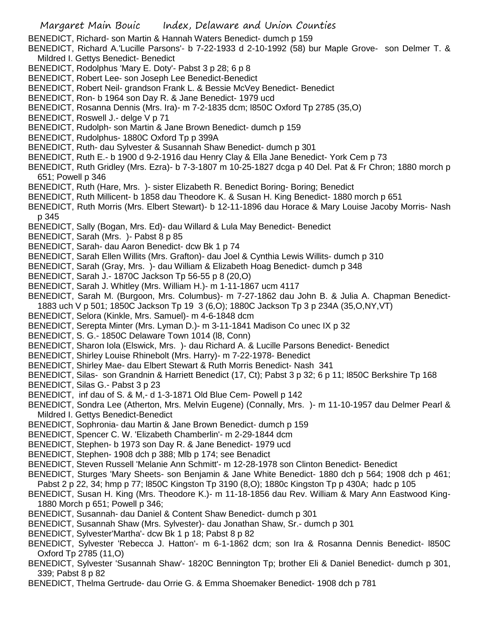BENEDICT, Richard- son Martin & Hannah Waters Benedict- dumch p 159

BENEDICT, Richard A.'Lucille Parsons'- b 7-22-1933 d 2-10-1992 (58) bur Maple Grove- son Delmer T. & Mildred I. Gettys Benedict- Benedict

- BENEDICT, Rodolphus 'Mary E. Doty'- Pabst 3 p 28; 6 p 8
- BENEDICT, Robert Lee- son Joseph Lee Benedict-Benedict
- BENEDICT, Robert Neil- grandson Frank L. & Bessie McVey Benedict- Benedict
- BENEDICT, Ron- b 1964 son Day R. & Jane Benedict- 1979 ucd
- BENEDICT, Rosanna Dennis (Mrs. Ira)- m 7-2-1835 dcm; l850C Oxford Tp 2785 (35,O)
- BENEDICT, Roswell J.- delge V p 71
- BENEDICT, Rudolph- son Martin & Jane Brown Benedict- dumch p 159
- BENEDICT, Rudolphus- 1880C Oxford Tp p 399A
- BENEDICT, Ruth- dau Sylvester & Susannah Shaw Benedict- dumch p 301
- BENEDICT, Ruth E.- b 1900 d 9-2-1916 dau Henry Clay & Ella Jane Benedict- York Cem p 73
- BENEDICT, Ruth Gridley (Mrs. Ezra)- b 7-3-1807 m 10-25-1827 dcga p 40 Del. Pat & Fr Chron; 1880 morch p 651; Powell p 346
- BENEDICT, Ruth (Hare, Mrs. )- sister Elizabeth R. Benedict Boring- Boring; Benedict
- BENEDICT, Ruth Millicent- b 1858 dau Theodore K. & Susan H. King Benedict- 1880 morch p 651
- BENEDICT, Ruth Morris (Mrs. Elbert Stewart)- b 12-11-1896 dau Horace & Mary Louise Jacoby Morris- Nash p 345
- BENEDICT, Sally (Bogan, Mrs. Ed)- dau Willard & Lula May Benedict- Benedict
- BENEDICT, Sarah (Mrs. )- Pabst 8 p 85
- BENEDICT, Sarah- dau Aaron Benedict- dcw Bk 1 p 74
- BENEDICT, Sarah Ellen Willits (Mrs. Grafton)- dau Joel & Cynthia Lewis Willits- dumch p 310
- BENEDICT, Sarah (Gray, Mrs. )- dau William & Elizabeth Hoag Benedict- dumch p 348
- BENEDICT, Sarah J.- 1870C Jackson Tp 56-55 p 8 (20,O)
- BENEDICT, Sarah J. Whitley (Mrs. William H.)- m 1-11-1867 ucm 4117
- BENEDICT, Sarah M. (Burgoon, Mrs. Columbus)- m 7-27-1862 dau John B. & Julia A. Chapman Benedict-
- 1883 uch V p 501; 1850C Jackson Tp 19 3 (6,O); 1880C Jackson Tp 3 p 234A (35,O,NY,VT)
- BENEDICT, Selora (Kinkle, Mrs. Samuel)- m 4-6-1848 dcm
- BENEDICT, Serepta Minter (Mrs. Lyman D.)- m 3-11-1841 Madison Co unec IX p 32
- BENEDICT, S. G.- 1850C Delaware Town 1014 (l8, Conn)
- BENEDICT, Sharon Iola (Elswick, Mrs. )- dau Richard A. & Lucille Parsons Benedict- Benedict
- BENEDICT, Shirley Louise Rhinebolt (Mrs. Harry)- m 7-22-1978- Benedict
- BENEDICT, Shirley Mae- dau Elbert Stewart & Ruth Morris Benedict- Nash 341
- BENEDICT, Silas- son Grandnin & Harriett Benedict (17, Ct); Pabst 3 p 32; 6 p 11; l850C Berkshire Tp 168
- BENEDICT, Silas G.- Pabst 3 p 23
- BENEDICT, inf dau of S. & M,- d 1-3-1871 Old Blue Cem- Powell p 142
- BENEDICT, Sondra Lee (Atherton, Mrs. Melvin Eugene) (Connally, Mrs. )- m 11-10-1957 dau Delmer Pearl & Mildred I. Gettys Benedict-Benedict
- BENEDICT, Sophronia- dau Martin & Jane Brown Benedict- dumch p 159
- BENEDICT, Spencer C. W. 'Elizabeth Chamberlin'- m 2-29-1844 dcm
- BENEDICT, Stephen- b 1973 son Day R. & Jane Benedict- 1979 ucd
- BENEDICT, Stephen- 1908 dch p 388; Mlb p 174; see Benadict
- BENEDICT, Steven Russell 'Melanie Ann Schmitt'- m 12-28-1978 son Clinton Benedict- Benedict
- BENEDICT, Sturges 'Mary Sheets- son Benjamin & Jane White Benedict- 1880 dch p 564; 1908 dch p 461;
- Pabst 2 p 22, 34; hmp p 77; l850C Kingston Tp 3190 (8,O); 1880c Kingston Tp p 430A; hadc p 105
- BENEDICT, Susan H. King (Mrs. Theodore K.)- m 11-18-1856 dau Rev. William & Mary Ann Eastwood King-1880 Morch p 651; Powell p 346;
- BENEDICT, Susannah- dau Daniel & Content Shaw Benedict- dumch p 301
- BENEDICT, Susannah Shaw (Mrs. Sylvester)- dau Jonathan Shaw, Sr.- dumch p 301
- BENEDICT, Sylvester'Martha'- dcw Bk 1 p 18; Pabst 8 p 82
- BENEDICT, Sylvester 'Rebecca J. Hatton'- m 6-1-1862 dcm; son Ira & Rosanna Dennis Benedict- l850C Oxford Tp 2785 (11,O)
- BENEDICT, Sylvester 'Susannah Shaw'- 1820C Bennington Tp; brother Eli & Daniel Benedict- dumch p 301, 339; Pabst 8 p 82
- BENEDICT, Thelma Gertrude- dau Orrie G. & Emma Shoemaker Benedict- 1908 dch p 781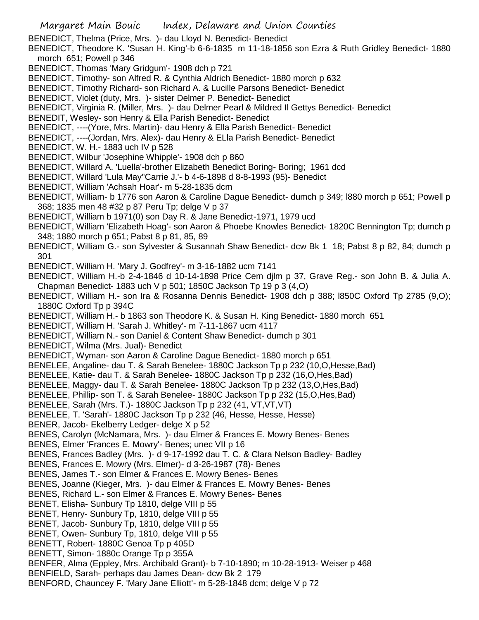BENEDICT, Thelma (Price, Mrs. )- dau Lloyd N. Benedict- Benedict

BENEDICT, Theodore K. 'Susan H. King'-b 6-6-1835 m 11-18-1856 son Ezra & Ruth Gridley Benedict- 1880 morch 651; Powell p 346

BENEDICT, Thomas 'Mary Gridgum'- 1908 dch p 721

BENEDICT, Timothy- son Alfred R. & Cynthia Aldrich Benedict- 1880 morch p 632

BENEDICT, Timothy Richard- son Richard A. & Lucille Parsons Benedict- Benedict

BENEDICT, Violet (duty, Mrs. )- sister Delmer P. Benedict- Benedict

BENEDICT, Virginia R. (Miller, Mrs. )- dau Delmer Pearl & Mildred Il Gettys Benedict- Benedict

BENEDIT, Wesley- son Henry & Ella Parish Benedict- Benedict

BENEDICT, ----(Yore, Mrs. Martin)- dau Henry & Ella Parish Benedict- Benedict

BENEDICT, ----(Jordan, Mrs. Alex)- dau Henry & ELla Parish Benedict- Benedict

BENEDICT, W. H.- 1883 uch IV p 528

- BENEDICT, Wilbur 'Josephine Whipple'- 1908 dch p 860
- BENEDICT, Willard A. 'Luella'-brother Elizabeth Benedict Boring- Boring; 1961 dcd

BENEDICT, Willard 'Lula May''Carrie J.'- b 4-6-1898 d 8-8-1993 (95)- Benedict

BENEDICT, William 'Achsah Hoar'- m 5-28-1835 dcm

BENEDICT, William- b 1776 son Aaron & Caroline Dague Benedict- dumch p 349; l880 morch p 651; Powell p 368; 1835 men 48 #32 p 87 Peru Tp; delge V p 37

BENEDICT, William b 1971(0) son Day R. & Jane Benedict-1971, 1979 ucd

- BENEDICT, William 'Elizabeth Hoag'- son Aaron & Phoebe Knowles Benedict- 1820C Bennington Tp; dumch p 348; 1880 morch p 651; Pabst 8 p 81, 85, 89
- BENEDICT, William G.- son Sylvester & Susannah Shaw Benedict- dcw Bk 1 18; Pabst 8 p 82, 84; dumch p 301

BENEDICT, William H. 'Mary J. Godfrey'- m 3-16-1882 ucm 7141

- BENEDICT, William H.-b 2-4-1846 d 10-14-1898 Price Cem djlm p 37, Grave Reg.- son John B. & Julia A. Chapman Benedict- 1883 uch V p 501; 1850C Jackson Tp 19 p 3 (4,O)
- BENEDICT, William H.- son Ira & Rosanna Dennis Benedict- 1908 dch p 388; l850C Oxford Tp 2785 (9,O); 1880C Oxford Tp p 394C
- BENEDICT, William H.- b 1863 son Theodore K. & Susan H. King Benedict- 1880 morch 651

BENEDICT, William H. 'Sarah J. Whitley'- m 7-11-1867 ucm 4117

BENEDICT, William N.- son Daniel & Content Shaw Benedict- dumch p 301

BENEDICT, Wilma (Mrs. Jual)- Benedict

BENEDICT, Wyman- son Aaron & Caroline Dague Benedict- 1880 morch p 651

BENELEE, Angaline- dau T. & Sarah Benelee- 1880C Jackson Tp p 232 (10,O,Hesse,Bad)

BENELEE, Katie- dau T. & Sarah Benelee- 1880C Jackson Tp p 232 (16,O,Hes,Bad)

BENELEE, Maggy- dau T. & Sarah Benelee- 1880C Jackson Tp p 232 (13,O,Hes,Bad)

BENELEE, Phillip- son T. & Sarah Benelee- 1880C Jackson Tp p 232 (15,O,Hes,Bad)

BENELEE, Sarah (Mrs. T.)- 1880C Jackson Tp p 232 (41, VT,VT,VT)

BENELEE, T. 'Sarah'- 1880C Jackson Tp p 232 (46, Hesse, Hesse, Hesse)

BENER, Jacob- Ekelberry Ledger- delge X p 52

BENES, Carolyn (McNamara, Mrs. )- dau Elmer & Frances E. Mowry Benes- Benes

BENES, Elmer 'Frances E. Mowry'- Benes; unec VII p 16

BENES, Frances Badley (Mrs. )- d 9-17-1992 dau T. C. & Clara Nelson Badley- Badley

BENES, Frances E. Mowry (Mrs. Elmer)- d 3-26-1987 (78)- Benes

BENES, James T.- son Elmer & Frances E. Mowry Benes- Benes

BENES, Joanne (Kieger, Mrs. )- dau Elmer & Frances E. Mowry Benes- Benes

BENES, Richard L.- son Elmer & Frances E. Mowry Benes- Benes

BENET, Elisha- Sunbury Tp 1810, delge VIII p 55

BENET, Henry- Sunbury Tp, 1810, delge VIII p 55

BENET, Jacob- Sunbury Tp, 1810, delge VIII p 55

BENET, Owen- Sunbury Tp, 1810, delge VIII p 55

BENETT, Robert- 1880C Genoa Tp p 405D

BENETT, Simon- 1880c Orange Tp p 355A

BENFER, Alma (Eppley, Mrs. Archibald Grant)- b 7-10-1890; m 10-28-1913- Weiser p 468

BENFIELD, Sarah- perhaps dau James Dean- dcw Bk 2 179

BENFORD, Chauncey F. 'Mary Jane Elliott'- m 5-28-1848 dcm; delge V p 72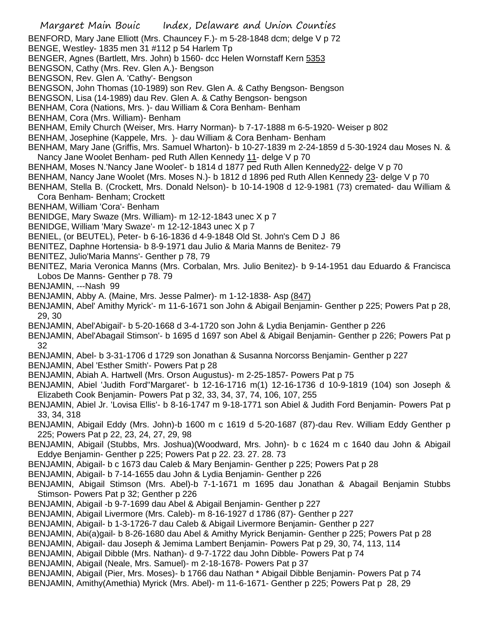- Margaret Main Bouic Index, Delaware and Union Counties
- BENFORD, Mary Jane Elliott (Mrs. Chauncey F.)- m 5-28-1848 dcm; delge V p 72 BENGE, Westley- 1835 men 31 #112 p 54 Harlem Tp
- BENGER, Agnes (Bartlett, Mrs. John) b 1560- dcc Helen Wornstaff Kern 5353
- BENGSON, Cathy (Mrs. Rev. Glen A.)- Bengson
- BENGSON, Rev. Glen A. 'Cathy'- Bengson
- BENGSON, John Thomas (10-1989) son Rev. Glen A. & Cathy Bengson- Bengson
- BENGSON, Lisa (14-1989) dau Rev. Glen A. & Cathy Bengson- bengson
- BENHAM, Cora (Nations, Mrs. )- dau William & Cora Benham- Benham
- BENHAM, Cora (Mrs. William)- Benham
- BENHAM, Emily Church (Weiser, Mrs. Harry Norman)- b 7-17-1888 m 6-5-1920- Weiser p 802
- BENHAM, Josephine (Kappele, Mrs. )- dau William & Cora Benham- Benham
- BENHAM, Mary Jane (Griffis, Mrs. Samuel Wharton)- b 10-27-1839 m 2-24-1859 d 5-30-1924 dau Moses N. & Nancy Jane Woolet Benham- ped Ruth Allen Kennedy 11- delge V p 70
- BENHAM, Moses N.'Nancy Jane Woolet'- b 1814 d 1877 ped Ruth Allen Kennedy22- delge V p 70
- BENHAM, Nancy Jane Woolet (Mrs. Moses N.)- b 1812 d 1896 ped Ruth Allen Kennedy 23- delge V p 70
- BENHAM, Stella B. (Crockett, Mrs. Donald Nelson)- b 10-14-1908 d 12-9-1981 (73) cremated- dau William & Cora Benham- Benham; Crockett
- BENHAM, William 'Cora'- Benham
- BENIDGE, Mary Swaze (Mrs. William)- m 12-12-1843 unec X p 7
- BENIDGE, William 'Mary Swaze'- m 12-12-1843 unec X p 7
- BENIEL, (or BEUTEL), Peter- b 6-16-1836 d 4-9-1848 Old St. John's Cem D J 86
- BENITEZ, Daphne Hortensia- b 8-9-1971 dau Julio & Maria Manns de Benitez- 79
- BENITEZ, Julio'Maria Manns'- Genther p 78, 79
- BENITEZ, Maria Veronica Manns (Mrs. Corbalan, Mrs. Julio Benitez)- b 9-14-1951 dau Eduardo & Francisca Lobos De Manns- Genther p 78. 79
- BENJAMIN, ---Nash 99
- BENJAMIN, Abby A. (Maine, Mrs. Jesse Palmer)- m 1-12-1838- Asp (847)
- BENJAMIN, Abel' Amithy Myrick'- m 11-6-1671 son John & Abigail Benjamin- Genther p 225; Powers Pat p 28, 29, 30
- BENJAMIN, Abel'Abigail'- b 5-20-1668 d 3-4-1720 son John & Lydia Benjamin- Genther p 226
- BENJAMIN, Abel'Abagail Stimson'- b 1695 d 1697 son Abel & Abigail Benjamin- Genther p 226; Powers Pat p 32
- BENJAMIN, Abel- b 3-31-1706 d 1729 son Jonathan & Susanna Norcorss Benjamin- Genther p 227
- BENJAMIN, Abel 'Esther Smith'- Powers Pat p 28
- BENJAMIN, Abiah A. Hartwell (Mrs. Orson Augustus)- m 2-25-1857- Powers Pat p 75
- BENJAMIN, Abiel 'Judith Ford''Margaret'- b 12-16-1716 m(1) 12-16-1736 d 10-9-1819 (104) son Joseph & Elizabeth Cook Benjamin- Powers Pat p 32, 33, 34, 37, 74, 106, 107, 255
- BENJAMIN, Abiel Jr. 'Lovisa Ellis'- b 8-16-1747 m 9-18-1771 son Abiel & Judith Ford Benjamin- Powers Pat p 33, 34, 318
- BENJAMIN, Abigail Eddy (Mrs. John)-b 1600 m c 1619 d 5-20-1687 (87)-dau Rev. William Eddy Genther p 225; Powers Pat p 22, 23, 24, 27, 29, 98
- BENJAMIN, Abigail (Stubbs, Mrs. Joshua)(Woodward, Mrs. John)- b c 1624 m c 1640 dau John & Abigail Eddye Benjamin- Genther p 225; Powers Pat p 22. 23. 27. 28. 73
- BENJAMIN, Abigail- b c 1673 dau Caleb & Mary Benjamin- Genther p 225; Powers Pat p 28
- BENJAMIN, Abigail- b 7-14-1655 dau John & Lydia Benjamin- Genther p 226
- BENJAMIN, Abigail Stimson (Mrs. Abel)-b 7-1-1671 m 1695 dau Jonathan & Abagail Benjamin Stubbs Stimson- Powers Pat p 32; Genther p 226
- BENJAMIN, Abigail -b 9-7-1699 dau Abel & Abigail Benjamin- Genther p 227
- BENJAMIN, Abigail Livermore (Mrs. Caleb)- m 8-16-1927 d 1786 (87)- Genther p 227
- BENJAMIN, Abigail- b 1-3-1726-7 dau Caleb & Abigail Livermore Benjamin- Genther p 227
- BENJAMIN, Abi(a)gail- b 8-26-1680 dau Abel & Amithy Myrick Benjamin- Genther p 225; Powers Pat p 28
- BENJAMIN, Abigail- dau Joseph & Jemima Lambert Benjamin- Powers Pat p 29, 30, 74, 113, 114
- BENJAMIN, Abigail Dibble (Mrs. Nathan)- d 9-7-1722 dau John Dibble- Powers Pat p 74
- BENJAMIN, Abigail (Neale, Mrs. Samuel)- m 2-18-1678- Powers Pat p 37
- BENJAMIN, Abigail (Pier, Mrs. Moses)- b 1766 dau Nathan \* Abigail Dibble Benjamin- Powers Pat p 74
- BENJAMIN, Amithy(Amethia) Myrick (Mrs. Abel)- m 11-6-1671- Genther p 225; Powers Pat p 28, 29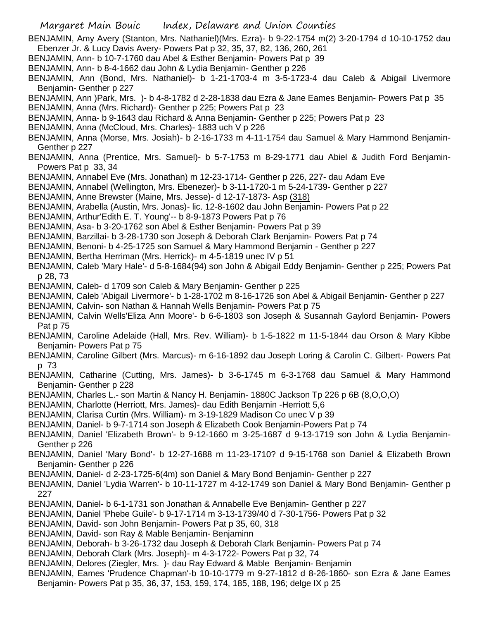- BENJAMIN, Amy Avery (Stanton, Mrs. Nathaniel)(Mrs. Ezra)- b 9-22-1754 m(2) 3-20-1794 d 10-10-1752 dau Ebenzer Jr. & Lucy Davis Avery- Powers Pat p 32, 35, 37, 82, 136, 260, 261
- BENJAMIN, Ann- b 10-7-1760 dau Abel & Esther Benjamin- Powers Pat p 39
- BENJAMIN, Ann- b 8-4-1662 dau John & Lydia Benjamin- Genther p 226
- BENJAMIN, Ann (Bond, Mrs. Nathaniel)- b 1-21-1703-4 m 3-5-1723-4 dau Caleb & Abigail Livermore Benjamin- Genther p 227
- BENJAMIN, Ann )Park, Mrs. )- b 4-8-1782 d 2-28-1838 dau Ezra & Jane Eames Benjamin- Powers Pat p 35
- BENJAMIN, Anna (Mrs. Richard)- Genther p 225; Powers Pat p 23
- BENJAMIN, Anna- b 9-1643 dau Richard & Anna Benjamin- Genther p 225; Powers Pat p 23
- BENJAMIN, Anna (McCloud, Mrs. Charles)- 1883 uch V p 226
- BENJAMIN, Anna (Morse, Mrs. Josiah)- b 2-16-1733 m 4-11-1754 dau Samuel & Mary Hammond Benjamin-Genther p 227
- BENJAMIN, Anna (Prentice, Mrs. Samuel)- b 5-7-1753 m 8-29-1771 dau Abiel & Judith Ford Benjamin-Powers Pat p 33, 34
- BENJAMIN, Annabel Eve (Mrs. Jonathan) m 12-23-1714- Genther p 226, 227- dau Adam Eve
- BENJAMIN, Annabel (Wellington, Mrs. Ebenezer)- b 3-11-1720-1 m 5-24-1739- Genther p 227
- BENJAMIN, Anne Brewster (Maine, Mrs. Jesse)- d 12-17-1873- Asp (318)
- BENJAMIN, Arabella (Austin, Mrs. Jonas)- lic. 12-8-1602 dau John Benjamin- Powers Pat p 22
- BENJAMIN, Arthur'Edith E. T. Young'-- b 8-9-1873 Powers Pat p 76
- BENJAMIN, Asa- b 3-20-1762 son Abel & Esther Benjamin- Powers Pat p 39
- BENJAMIN, Barzillai- b 3-28-1730 son Joseph & Deborah Clark Benjamin- Powers Pat p 74
- BENJAMIN, Benoni- b 4-25-1725 son Samuel & Mary Hammond Benjamin Genther p 227
- BENJAMIN, Bertha Herriman (Mrs. Herrick)- m 4-5-1819 unec IV p 51
- BENJAMIN, Caleb 'Mary Hale'- d 5-8-1684(94) son John & Abigail Eddy Benjamin- Genther p 225; Powers Pat p 28, 73
- BENJAMIN, Caleb- d 1709 son Caleb & Mary Benjamin- Genther p 225
- BENJAMIN, Caleb 'Abigail Livermore'- b 1-28-1702 m 8-16-1726 son Abel & Abigail Benjamin- Genther p 227
- BENJAMIN, Calvin- son Nathan & Hannah Wells Benjamin- Powers Pat p 75
- BENJAMIN, Calvin Wells'Eliza Ann Moore'- b 6-6-1803 son Joseph & Susannah Gaylord Benjamin- Powers Pat p 75
- BENJAMIN, Caroline Adelaide (Hall, Mrs. Rev. William)- b 1-5-1822 m 11-5-1844 dau Orson & Mary Kibbe Benjamin- Powers Pat p 75
- BENJAMIN, Caroline Gilbert (Mrs. Marcus)- m 6-16-1892 dau Joseph Loring & Carolin C. Gilbert- Powers Pat p 73
- BENJAMIN, Catharine (Cutting, Mrs. James)- b 3-6-1745 m 6-3-1768 dau Samuel & Mary Hammond Benjamin- Genther p 228
- BENJAMIN, Charles L.- son Martin & Nancy H. Benjamin- 1880C Jackson Tp 226 p 6B (8,O,O,O)
- BENJAMIN, Charlotte (Herriott, Mrs. James)- dau Edith Benjamin -Herriott 5,6
- BENJAMIN, Clarisa Curtin (Mrs. William)- m 3-19-1829 Madison Co unec V p 39
- BENJAMIN, Daniel- b 9-7-1714 son Joseph & Elizabeth Cook Benjamin-Powers Pat p 74
- BENJAMIN, Daniel 'Elizabeth Brown'- b 9-12-1660 m 3-25-1687 d 9-13-1719 son John & Lydia Benjamin-Genther p 226
- BENJAMIN, Daniel 'Mary Bond'- b 12-27-1688 m 11-23-1710? d 9-15-1768 son Daniel & Elizabeth Brown Benjamin- Genther p 226
- BENJAMIN, Daniel- d 2-23-1725-6(4m) son Daniel & Mary Bond Benjamin- Genther p 227
- BENJAMIN, Daniel 'Lydia Warren'- b 10-11-1727 m 4-12-1749 son Daniel & Mary Bond Benjamin- Genther p 227
- BENJAMIN, Daniel- b 6-1-1731 son Jonathan & Annabelle Eve Benjamin- Genther p 227
- BENJAMIN, Daniel 'Phebe Guile'- b 9-17-1714 m 3-13-1739/40 d 7-30-1756- Powers Pat p 32
- BENJAMIN, David- son John Benjamin- Powers Pat p 35, 60, 318
- BENJAMIN, David- son Ray & Mable Benjamin- Benjaminn
- BENJAMIN, Deborah- b 3-26-1732 dau Joseph & Deborah Clark Benjamin- Powers Pat p 74
- BENJAMIN, Deborah Clark (Mrs. Joseph)- m 4-3-1722- Powers Pat p 32, 74
- BENJAMIN, Delores (Ziegler, Mrs. )- dau Ray Edward & Mable Benjamin- Benjamin
- BENJAMIN, Eames 'Prudence Chapman'-b 10-10-1779 m 9-27-1812 d 8-26-1860- son Ezra & Jane Eames Benjamin- Powers Pat p 35, 36, 37, 153, 159, 174, 185, 188, 196; delge IX p 25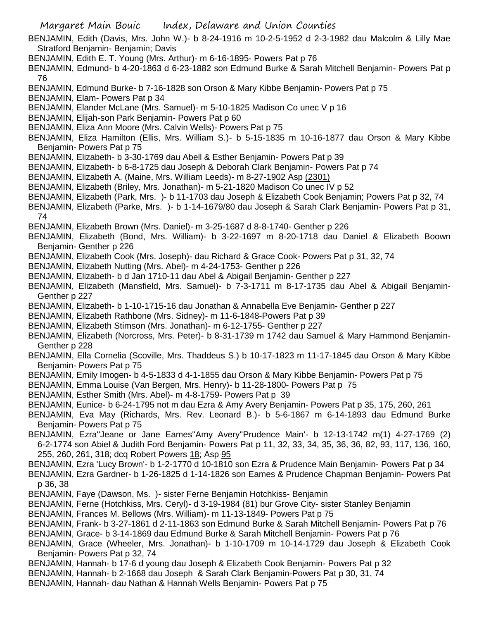- BENJAMIN, Edith (Davis, Mrs. John W.)- b 8-24-1916 m 10-2-5-1952 d 2-3-1982 dau Malcolm & Lilly Mae Stratford Benjamin- Benjamin; Davis
- BENJAMIN, Edith E. T. Young (Mrs. Arthur)- m 6-16-1895- Powers Pat p 76
- BENJAMIN, Edmund- b 4-20-1863 d 6-23-1882 son Edmund Burke & Sarah Mitchell Benjamin- Powers Pat p 76
- BENJAMIN, Edmund Burke- b 7-16-1828 son Orson & Mary Kibbe Benjamin- Powers Pat p 75
- BENJAMIN, Elam- Powers Pat p 34
- BENJAMIN, Elander McLane (Mrs. Samuel)- m 5-10-1825 Madison Co unec V p 16
- BENJAMIN, Elijah-son Park Benjamin- Powers Pat p 60
- BENJAMIN, Eliza Ann Moore (Mrs. Calvin Wells)- Powers Pat p 75
- BENJAMIN, Eliza Hamilton (Ellis, Mrs. William S.)- b 5-15-1835 m 10-16-1877 dau Orson & Mary Kibbe Benjamin- Powers Pat p 75
- BENJAMIN, Elizabeth- b 3-30-1769 dau Abell & Esther Benjamin- Powers Pat p 39
- BENJAMIN, Elizabeth- b 6-8-1725 dau Joseph & Deborah Clark Benjamin- Powers Pat p 74
- BENJAMIN, Elizabeth A. (Maine, Mrs. William Leeds)- m 8-27-1902 Asp (2301)
- BENJAMIN, Elizabeth (Briley, Mrs. Jonathan)- m 5-21-1820 Madison Co unec IV p 52
- BENJAMIN, Elizabeth (Park, Mrs. )- b 11-1703 dau Joseph & Elizabeth Cook Benjamin; Powers Pat p 32, 74
- BENJAMIN, Elizabeth (Parke, Mrs. )- b 1-14-1679/80 dau Joseph & Sarah Clark Benjamin- Powers Pat p 31, 74
- BENJAMIN, Elizabeth Brown (Mrs. Daniel)- m 3-25-1687 d 8-8-1740- Genther p 226
- BENJAMIN, Elizabeth (Bond, Mrs. William)- b 3-22-1697 m 8-20-1718 dau Daniel & Elizabeth Boown Benjamin- Genther p 226
- BENJAMIN, Elizabeth Cook (Mrs. Joseph)- dau Richard & Grace Cook- Powers Pat p 31, 32, 74
- BENJAMIN, Elizabeth Nutting (Mrs. Abel)- m 4-24-1753- Genther p 226
- BENJAMIN, Elizabeth- b d Jan 1710-11 dau Abel & Abigail Benjamin- Genther p 227
- BENJAMIN, Elizabeth (Mansfield, Mrs. Samuel)- b 7-3-1711 m 8-17-1735 dau Abel & Abigail Benjamin-Genther p 227
- BENJAMIN, Elizabeth- b 1-10-1715-16 dau Jonathan & Annabella Eve Benjamin- Genther p 227
- BENJAMIN, Elizabeth Rathbone (Mrs. Sidney)- m 11-6-1848-Powers Pat p 39
- BENJAMIN, Elizabeth Stimson (Mrs. Jonathan)- m 6-12-1755- Genther p 227
- BENJAMIN, Elizabeth (Norcross, Mrs. Peter)- b 8-31-1739 m 1742 dau Samuel & Mary Hammond Benjamin-Genther p 228
- BENJAMIN, Ella Cornelia (Scoville, Mrs. Thaddeus S.) b 10-17-1823 m 11-17-1845 dau Orson & Mary Kibbe Benjamin- Powers Pat p 75
- BENJAMIN, Emily Imogen- b 4-5-1833 d 4-1-1855 dau Orson & Mary Kibbe Benjamin- Powers Pat p 75
- BENJAMIN, Emma Louise (Van Bergen, Mrs. Henry)- b 11-28-1800- Powers Pat p 75
- BENJAMIN, Esther Smith (Mrs. Abel)- m 4-8-1759- Powers Pat p 39
- BENJAMIN, Eunice- b 6-24-1795 not m dau Ezra & Amy Avery Benjamin- Powers Pat p 35, 175, 260, 261
- BENJAMIN, Eva May (Richards, Mrs. Rev. Leonard B.)- b 5-6-1867 m 6-14-1893 dau Edmund Burke Benjamin- Powers Pat p 75
- BENJAMIN, Ezra''Jeane or Jane Eames''Amy Avery''Prudence Main'- b 12-13-1742 m(1) 4-27-1769 (2) 6-2-1774 son Abiel & Judith Ford Benjamin- Powers Pat p 11, 32, 33, 34, 35, 36, 36, 82, 93, 117, 136, 160, 255, 260, 261, 318; dcq Robert Powers 18; Asp 95
- BENJAMIN, Ezra 'Lucy Brown'- b 1-2-1770 d 10-1810 son Ezra & Prudence Main Benjamin- Powers Pat p 34
- BENJAMIN, Ezra Gardner- b 1-26-1825 d 1-14-1826 son Eames & Prudence Chapman Benjamin- Powers Pat p 36, 38
- BENJAMIN, Faye (Dawson, Ms. )- sister Ferne Benjamin Hotchkiss- Benjamin
- BENJAMIN, Ferne (Hotchkiss, Mrs. Ceryl)- d 3-19-1984 (81) bur Grove City- sister Stanley Benjamin
- BENJAMIN, Frances M. Bellows (Mrs. William)- m 11-13-1849- Powers Pat p 75
- BENJAMIN, Frank- b 3-27-1861 d 2-11-1863 son Edmund Burke & Sarah Mitchell Benjamin- Powers Pat p 76
- BENJAMIN, Grace- b 3-14-1869 dau Edmund Burke & Sarah Mitchell Benjamin- Powers Pat p 76
- BENJAMIN, Grace (Wheeler, Mrs. Jonathan)- b 1-10-1709 m 10-14-1729 dau Joseph & Elizabeth Cook Benjamin- Powers Pat p 32, 74
- BENJAMIN, Hannah- b 17-6 d young dau Joseph & Elizabeth Cook Benjamin- Powers Pat p 32
- BENJAMIN, Hannah- b 2-1668 dau Joseph & Sarah Clark Benjamin-Powers Pat p 30, 31, 74
- BENJAMIN, Hannah- dau Nathan & Hannah Wells Benjamin- Powers Pat p 75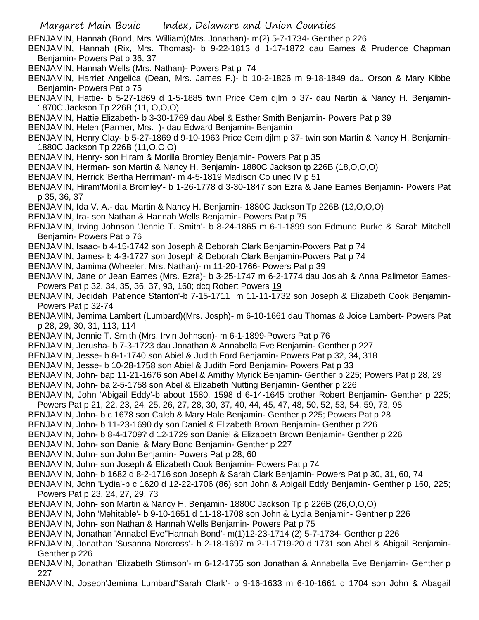- BENJAMIN, Hannah (Bond, Mrs. William)(Mrs. Jonathan)- m(2) 5-7-1734- Genther p 226
- BENJAMIN, Hannah (Rix, Mrs. Thomas)- b 9-22-1813 d 1-17-1872 dau Eames & Prudence Chapman Benjamin- Powers Pat p 36, 37
- BENJAMIN, Hannah Wells (Mrs. Nathan)- Powers Pat p 74
- BENJAMIN, Harriet Angelica (Dean, Mrs. James F.)- b 10-2-1826 m 9-18-1849 dau Orson & Mary Kibbe Benjamin- Powers Pat p 75
- BENJAMIN, Hattie- b 5-27-1869 d 1-5-1885 twin Price Cem djlm p 37- dau Nartin & Nancy H. Benjamin-1870C Jackson Tp 226B (11, O,O,O)
- BENJAMIN, Hattie Elizabeth- b 3-30-1769 dau Abel & Esther Smith Benjamin- Powers Pat p 39
- BENJAMIN, Helen (Parmer, Mrs. )- dau Edward Benjamin- Benjamin
- BENJAMIN, Henry Clay- b 5-27-1869 d 9-10-1963 Price Cem djlm p 37- twin son Martin & Nancy H. Benjamin-1880C Jackson Tp 226B (11,O,O,O)
- BENJAMIN, Henry- son Hiram & Morilla Bromley Benjamin- Powers Pat p 35
- BENJAMIN, Herman- son Martin & Nancy H. Benjamin- 1880C Jackson tp 226B (18,O,O,O)
- BENJAMIN, Herrick 'Bertha Herriman'- m 4-5-1819 Madison Co unec IV p 51
- BENJAMIN, Hiram'Morilla Bromley'- b 1-26-1778 d 3-30-1847 son Ezra & Jane Eames Benjamin- Powers Pat p 35, 36, 37
- BENJAMIN, Ida V. A.- dau Martin & Nancy H. Benjamin- 1880C Jackson Tp 226B (13,O,O,O)
- BENJAMIN, Ira- son Nathan & Hannah Wells Benjamin- Powers Pat p 75
- BENJAMIN, Irving Johnson 'Jennie T. Smith'- b 8-24-1865 m 6-1-1899 son Edmund Burke & Sarah Mitchell Benjamin- Powers Pat p 76
- BENJAMIN, Isaac- b 4-15-1742 son Joseph & Deborah Clark Benjamin-Powers Pat p 74
- BENJAMIN, James- b 4-3-1727 son Joseph & Deborah Clark Benjamin-Powers Pat p 74
- BENJAMIN, Jamima (Wheeler, Mrs. Nathan)- m 11-20-1766- Powers Pat p 39
- BENJAMIN, Jane or Jean Eames (Mrs. Ezra)- b 3-25-1747 m 6-2-1774 dau Josiah & Anna Palimetor Eames-Powers Pat p 32, 34, 35, 36, 37, 93, 160; dcq Robert Powers 19
- BENJAMIN, Jedidah 'Patience Stanton'-b 7-15-1711 m 11-11-1732 son Joseph & Elizabeth Cook Benjamin-Powers Pat p 32-74
- BENJAMIN, Jemima Lambert (Lumbard)(Mrs. Josph)- m 6-10-1661 dau Thomas & Joice Lambert- Powers Pat p 28, 29, 30, 31, 113, 114
- BENJAMIN, Jennie T. Smith (Mrs. Irvin Johnson)- m 6-1-1899-Powers Pat p 76
- BENJAMIN, Jerusha- b 7-3-1723 dau Jonathan & Annabella Eve Benjamin- Genther p 227
- BENJAMIN, Jesse- b 8-1-1740 son Abiel & Judith Ford Benjamin- Powers Pat p 32, 34, 318
- BENJAMIN, Jesse- b 10-28-1758 son Abiel & Judith Ford Benjamin- Powers Pat p 33
- BENJAMIN, John- bap 11-21-1676 son Abel & Amithy Myrick Benjamin- Genther p 225; Powers Pat p 28, 29
- BENJAMIN, John- ba 2-5-1758 son Abel & Elizabeth Nutting Benjamin- Genther p 226
- BENJAMIN, John 'Abigail Eddy'-b about 1580, 1598 d 6-14-1645 brother Robert Benjamin- Genther p 225; Powers Pat p 21, 22, 23, 24, 25, 26, 27, 28, 30, 37, 40, 44, 45, 47, 48, 50, 52, 53, 54, 59, 73, 98
- BENJAMIN, John- b c 1678 son Caleb & Mary Hale Benjamin- Genther p 225; Powers Pat p 28
- BENJAMIN, John- b 11-23-1690 dy son Daniel & Elizabeth Brown Benjamin- Genther p 226
- BENJAMIN, John- b 8-4-1709? d 12-1729 son Daniel & Elizabeth Brown Benjamin- Genther p 226
- BENJAMIN, John- son Daniel & Mary Bond Benjamin- Genther p 227
- BENJAMIN, John- son John Benjamin- Powers Pat p 28, 60
- BENJAMIN, John- son Joseph & Elizabeth Cook Benjamin- Powers Pat p 74
- BENJAMIN, John- b 1682 d 8-2-1716 son Joseph & Sarah Clark Benjamin- Powers Pat p 30, 31, 60, 74
- BENJAMIN, John 'Lydia'-b c 1620 d 12-22-1706 (86) son John & Abigail Eddy Benjamin- Genther p 160, 225; Powers Pat p 23, 24, 27, 29, 73
- BENJAMIN, John- son Martin & Nancy H. Benjamin- 1880C Jackson Tp p 226B (26,O,O,O)
- BENJAMIN, John 'Mehitable'- b 9-10-1651 d 11-18-1708 son John & Lydia Benjamin- Genther p 226
- BENJAMIN, John- son Nathan & Hannah Wells Benjamin- Powers Pat p 75
- BENJAMIN, Jonathan 'Annabel Eve''Hannah Bond'- m(1)12-23-1714 (2) 5-7-1734- Genther p 226
- BENJAMIN, Jonathan 'Susanna Norcross'- b 2-18-1697 m 2-1-1719-20 d 1731 son Abel & Abigail Benjamin-Genther p 226
- BENJAMIN, Jonathan 'Elizabeth Stimson'- m 6-12-1755 son Jonathan & Annabella Eve Benjamin- Genther p 227
- BENJAMIN, Joseph'Jemima Lumbard''Sarah Clark'- b 9-16-1633 m 6-10-1661 d 1704 son John & Abagail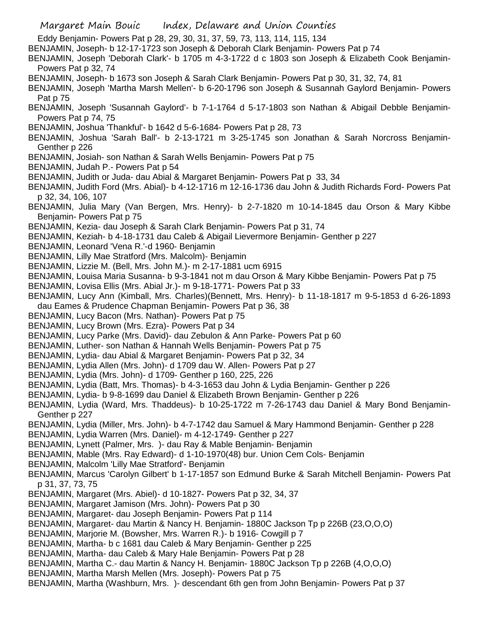- Eddy Benjamin- Powers Pat p 28, 29, 30, 31, 37, 59, 73, 113, 114, 115, 134
- BENJAMIN, Joseph- b 12-17-1723 son Joseph & Deborah Clark Benjamin- Powers Pat p 74
- BENJAMIN, Joseph 'Deborah Clark'- b 1705 m 4-3-1722 d c 1803 son Joseph & Elizabeth Cook Benjamin-Powers Pat p 32, 74
- BENJAMIN, Joseph- b 1673 son Joseph & Sarah Clark Benjamin- Powers Pat p 30, 31, 32, 74, 81
- BENJAMIN, Joseph 'Martha Marsh Mellen'- b 6-20-1796 son Joseph & Susannah Gaylord Benjamin- Powers Pat p 75
- BENJAMIN, Joseph 'Susannah Gaylord'- b 7-1-1764 d 5-17-1803 son Nathan & Abigail Debble Benjamin-Powers Pat p 74, 75
- BENJAMIN, Joshua 'Thankful'- b 1642 d 5-6-1684- Powers Pat p 28, 73
- BENJAMIN, Joshua 'Sarah Ball'- b 2-13-1721 m 3-25-1745 son Jonathan & Sarah Norcross Benjamin-Genther p 226
- BENJAMIN, Josiah- son Nathan & Sarah Wells Benjamin- Powers Pat p 75
- BENJAMIN, Judah P.- Powers Pat p 54
- BENJAMIN, Judith or Juda- dau Abial & Margaret Benjamin- Powers Pat p 33, 34
- BENJAMIN, Judith Ford (Mrs. Abial)- b 4-12-1716 m 12-16-1736 dau John & Judith Richards Ford- Powers Pat p 32, 34, 106, 107
- BENJAMIN, Julia Mary (Van Bergen, Mrs. Henry)- b 2-7-1820 m 10-14-1845 dau Orson & Mary Kibbe Benjamin- Powers Pat p 75
- BENJAMIN, Kezia- dau Joseph & Sarah Clark Benjamin- Powers Pat p 31, 74
- BENJAMIN, Keziah- b 4-18-1731 dau Caleb & Abigail Lievermore Benjamin- Genther p 227
- BENJAMIN, Leonard 'Vena R.'-d 1960- Benjamin
- BENJAMIN, Lilly Mae Stratford (Mrs. Malcolm)- Benjamin
- BENJAMIN, Lizzie M. (Bell, Mrs. John M.)- m 2-17-1881 ucm 6915
- BENJAMIN, Louisa Maria Susanna- b 9-3-1841 not m dau Orson & Mary Kibbe Benjamin- Powers Pat p 75
- BENJAMIN, Lovisa Ellis (Mrs. Abial Jr.)- m 9-18-1771- Powers Pat p 33
- BENJAMIN, Lucy Ann (Kimball, Mrs. Charles)(Bennett, Mrs. Henry)- b 11-18-1817 m 9-5-1853 d 6-26-1893 dau Eames & Prudence Chapman Benjamin- Powers Pat p 36, 38
- BENJAMIN, Lucy Bacon (Mrs. Nathan)- Powers Pat p 75
- BENJAMIN, Lucy Brown (Mrs. Ezra)- Powers Pat p 34
- BENJAMIN, Lucy Parke (Mrs. David)- dau Zebulon & Ann Parke- Powers Pat p 60
- BENJAMIN, Luther- son Nathan & Hannah Wells Benjamin- Powers Pat p 75
- BENJAMIN, Lydia- dau Abial & Margaret Benjamin- Powers Pat p 32, 34
- BENJAMIN, Lydia Allen (Mrs. John)- d 1709 dau W. Allen- Powers Pat p 27
- BENJAMIN, Lydia (Mrs. John)- d 1709- Genther p 160, 225, 226
- BENJAMIN, Lydia (Batt, Mrs. Thomas)- b 4-3-1653 dau John & Lydia Benjamin- Genther p 226
- BENJAMIN, Lydia- b 9-8-1699 dau Daniel & Elizabeth Brown Benjamin- Genther p 226
- BENJAMIN, Lydia (Ward, Mrs. Thaddeus)- b 10-25-1722 m 7-26-1743 dau Daniel & Mary Bond Benjamin-Genther p 227
- BENJAMIN, Lydia (Miller, Mrs. John)- b 4-7-1742 dau Samuel & Mary Hammond Benjamin- Genther p 228
- BENJAMIN, Lydia Warren (Mrs. Daniel)- m 4-12-1749- Genther p 227
- BENJAMIN, Lynett (Palmer, Mrs. )- dau Ray & Mable Benjamin- Benjamin
- BENJAMIN, Mable (Mrs. Ray Edward)- d 1-10-1970(48) bur. Union Cem Cols- Benjamin
- BENJAMIN, Malcolm 'Lilly Mae Stratford'- Benjamin
- BENJAMIN, Marcus 'Carolyn Gilbert' b 1-17-1857 son Edmund Burke & Sarah Mitchell Benjamin- Powers Pat p 31, 37, 73, 75
- BENJAMIN, Margaret (Mrs. Abiel)- d 10-1827- Powers Pat p 32, 34, 37
- BENJAMIN, Margaret Jamison (Mrs. John)- Powers Pat p 30
- BENJAMIN, Margaret- dau Joseph Benjamin- Powers Pat p 114
- BENJAMIN, Margaret- dau Martin & Nancy H. Benjamin- 1880C Jackson Tp p 226B (23,O,O,O)
- BENJAMIN, Marjorie M. (Bowsher, Mrs. Warren R.)- b 1916- Cowgill p 7
- BENJAMIN, Martha- b c 1681 dau Caleb & Mary Benjamin- Genther p 225
- BENJAMIN, Martha- dau Caleb & Mary Hale Benjamin- Powers Pat p 28
- BENJAMIN, Martha C.- dau Martin & Nancy H. Benjamin- 1880C Jackson Tp p 226B (4,O,O,O)
- BENJAMIN, Martha Marsh Mellen (Mrs. Joseph)- Powers Pat p 75
- BENJAMIN, Martha (Washburn, Mrs. )- descendant 6th gen from John Benjamin- Powers Pat p 37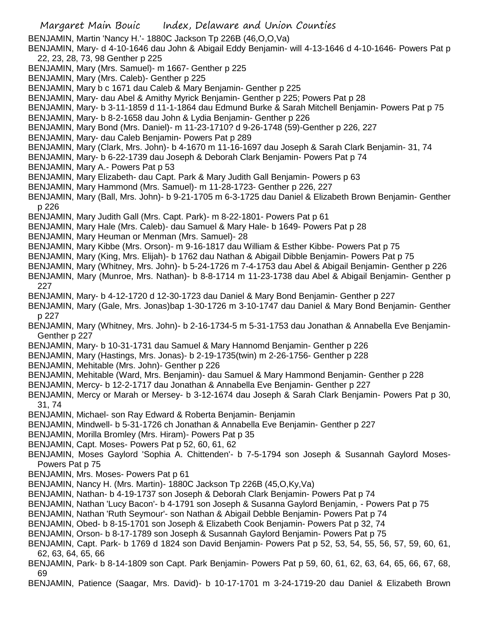BENJAMIN, Martin 'Nancy H.'- 1880C Jackson Tp 226B (46,O,O,Va)

BENJAMIN, Mary- d 4-10-1646 dau John & Abigail Eddy Benjamin- will 4-13-1646 d 4-10-1646- Powers Pat p 22, 23, 28, 73, 98 Genther p 225

- BENJAMIN, Mary (Mrs. Samuel)- m 1667- Genther p 225
- BENJAMIN, Mary (Mrs. Caleb)- Genther p 225
- BENJAMIN, Mary b c 1671 dau Caleb & Mary Benjamin- Genther p 225
- BENJAMIN, Mary- dau Abel & Amithy Myrick Benjamin- Genther p 225; Powers Pat p 28
- BENJAMIN, Mary- b 3-11-1859 d 11-1-1864 dau Edmund Burke & Sarah Mitchell Benjamin- Powers Pat p 75
- BENJAMIN, Mary- b 8-2-1658 dau John & Lydia Benjamin- Genther p 226
- BENJAMIN, Mary Bond (Mrs. Daniel)- m 11-23-1710? d 9-26-1748 (59)-Genther p 226, 227
- BENJAMIN, Mary- dau Caleb Benjamin- Powers Pat p 289
- BENJAMIN, Mary (Clark, Mrs. John)- b 4-1670 m 11-16-1697 dau Joseph & Sarah Clark Benjamin- 31, 74
- BENJAMIN, Mary- b 6-22-1739 dau Joseph & Deborah Clark Benjamin- Powers Pat p 74
- BENJAMIN, Mary A.- Powers Pat p 53
- BENJAMIN, Mary Elizabeth- dau Capt. Park & Mary Judith Gall Benjamin- Powers p 63
- BENJAMIN, Mary Hammond (Mrs. Samuel)- m 11-28-1723- Genther p 226, 227
- BENJAMIN, Mary (Ball, Mrs. John)- b 9-21-1705 m 6-3-1725 dau Daniel & Elizabeth Brown Benjamin- Genther p 226
- BENJAMIN, Mary Judith Gall (Mrs. Capt. Park)- m 8-22-1801- Powers Pat p 61
- BENJAMIN, Mary Hale (Mrs. Caleb)- dau Samuel & Mary Hale- b 1649- Powers Pat p 28
- BENJAMIN, Mary Heuman or Menman (Mrs. Samuel)- 28
- BENJAMIN, Mary Kibbe (Mrs. Orson)- m 9-16-1817 dau William & Esther Kibbe- Powers Pat p 75
- BENJAMIN, Mary (King, Mrs. Elijah)- b 1762 dau Nathan & Abigail Dibble Benjamin- Powers Pat p 75
- BENJAMIN, Mary (Whitney, Mrs. John)- b 5-24-1726 m 7-4-1753 dau Abel & Abigail Benjamin- Genther p 226
- BENJAMIN, Mary (Munroe, Mrs. Nathan)- b 8-8-1714 m 11-23-1738 dau Abel & Abigail Benjamin- Genther p 227
- BENJAMIN, Mary- b 4-12-1720 d 12-30-1723 dau Daniel & Mary Bond Benjamin- Genther p 227
- BENJAMIN, Mary (Gale, Mrs. Jonas)bap 1-30-1726 m 3-10-1747 dau Daniel & Mary Bond Benjamin- Genther p 227
- BENJAMIN, Mary (Whitney, Mrs. John)- b 2-16-1734-5 m 5-31-1753 dau Jonathan & Annabella Eve Benjamin-Genther p 227
- BENJAMIN, Mary- b 10-31-1731 dau Samuel & Mary Hannomd Benjamin- Genther p 226
- BENJAMIN, Mary (Hastings, Mrs. Jonas)- b 2-19-1735(twin) m 2-26-1756- Genther p 228
- BENJAMIN, Mehitable (Mrs. John)- Genther p 226
- BENJAMIN, Mehitable (Ward, Mrs. Benjamin)- dau Samuel & Mary Hammond Benjamin- Genther p 228
- BENJAMIN, Mercy- b 12-2-1717 dau Jonathan & Annabella Eve Benjamin- Genther p 227
- BENJAMIN, Mercy or Marah or Mersey- b 3-12-1674 dau Joseph & Sarah Clark Benjamin- Powers Pat p 30, 31, 74
- BENJAMIN, Michael- son Ray Edward & Roberta Benjamin- Benjamin
- BENJAMIN, Mindwell- b 5-31-1726 ch Jonathan & Annabella Eve Benjamin- Genther p 227
- BENJAMIN, Morilla Bromley (Mrs. Hiram)- Powers Pat p 35
- BENJAMIN, Capt. Moses- Powers Pat p 52, 60, 61, 62
- BENJAMIN, Moses Gaylord 'Sophia A. Chittenden'- b 7-5-1794 son Joseph & Susannah Gaylord Moses-Powers Pat p 75
- BENJAMIN, Mrs. Moses- Powers Pat p 61
- BENJAMIN, Nancy H. (Mrs. Martin)- 1880C Jackson Tp 226B (45,O,Ky,Va)
- BENJAMIN, Nathan- b 4-19-1737 son Joseph & Deborah Clark Benjamin- Powers Pat p 74
- BENJAMIN, Nathan 'Lucy Bacon'- b 4-1791 son Joseph & Susanna Gaylord Benjamin, Powers Pat p 75
- BENJAMIN, Nathan 'Ruth Seymour'- son Nathan & Abigail Debble Benjamin- Powers Pat p 74
- BENJAMIN, Obed- b 8-15-1701 son Joseph & Elizabeth Cook Benjamin- Powers Pat p 32, 74
- BENJAMIN, Orson- b 8-17-1789 son Joseph & Susannah Gaylord Benjamin- Powers Pat p 75
- BENJAMIN, Capt. Park- b 1769 d 1824 son David Benjamin- Powers Pat p 52, 53, 54, 55, 56, 57, 59, 60, 61, 62, 63, 64, 65, 66
- BENJAMIN, Park- b 8-14-1809 son Capt. Park Benjamin- Powers Pat p 59, 60, 61, 62, 63, 64, 65, 66, 67, 68, 69
- BENJAMIN, Patience (Saagar, Mrs. David)- b 10-17-1701 m 3-24-1719-20 dau Daniel & Elizabeth Brown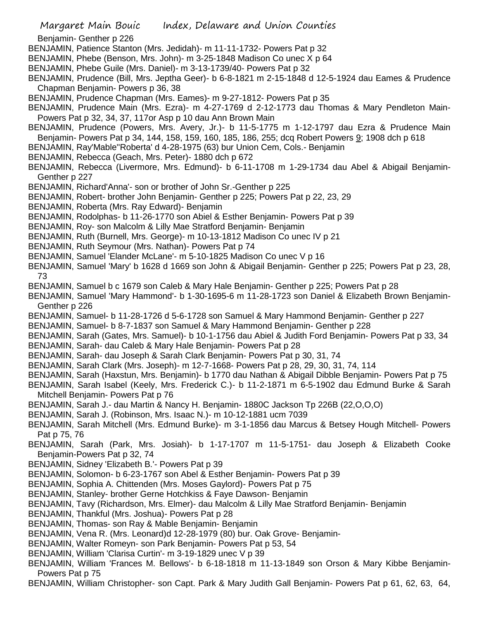Benjamin- Genther p 226

- BENJAMIN, Patience Stanton (Mrs. Jedidah)- m 11-11-1732- Powers Pat p 32
- BENJAMIN, Phebe (Benson, Mrs. John)- m 3-25-1848 Madison Co unec X p 64
- BENJAMIN, Phebe Guile (Mrs. Daniel)- m 3-13-1739/40- Powers Pat p 32
- BENJAMIN, Prudence (Bill, Mrs. Jeptha Geer)- b 6-8-1821 m 2-15-1848 d 12-5-1924 dau Eames & Prudence Chapman Benjamin- Powers p 36, 38
- BENJAMIN, Prudence Chapman (Mrs. Eames)- m 9-27-1812- Powers Pat p 35
- BENJAMIN, Prudence Main (Mrs. Ezra)- m 4-27-1769 d 2-12-1773 dau Thomas & Mary Pendleton Main-Powers Pat p 32, 34, 37, 117or Asp p 10 dau Ann Brown Main
- BENJAMIN, Prudence (Powers, Mrs. Avery, Jr.)- b 11-5-1775 m 1-12-1797 dau Ezra & Prudence Main Benjamin- Powers Pat p 34, 144, 158, 159, 160, 185, 186, 255; dcq Robert Powers 9; 1908 dch p 618
- BENJAMIN, Ray'Mable''Roberta' d 4-28-1975 (63) bur Union Cem, Cols.- Benjamin
- BENJAMIN, Rebecca (Geach, Mrs. Peter)- 1880 dch p 672
- BENJAMIN, Rebecca (Livermore, Mrs. Edmund)- b 6-11-1708 m 1-29-1734 dau Abel & Abigail Benjamin-Genther p 227
- BENJAMIN, Richard'Anna'- son or brother of John Sr.-Genther p 225
- BENJAMIN, Robert- brother John Benjamin- Genther p 225; Powers Pat p 22, 23, 29
- BENJAMIN, Roberta (Mrs. Ray Edward)- Benjamin
- BENJAMIN, Rodolphas- b 11-26-1770 son Abiel & Esther Benjamin- Powers Pat p 39
- BENJAMIN, Roy- son Malcolm & Lilly Mae Stratford Benjamin- Benjamin
- BENJAMIN, Ruth (Burnell, Mrs. George)- m 10-13-1812 Madison Co unec IV p 21
- BENJAMIN, Ruth Seymour (Mrs. Nathan)- Powers Pat p 74
- BENJAMIN, Samuel 'Elander McLane'- m 5-10-1825 Madison Co unec V p 16
- BENJAMIN, Samuel 'Mary' b 1628 d 1669 son John & Abigail Benjamin- Genther p 225; Powers Pat p 23, 28, 73
- BENJAMIN, Samuel b c 1679 son Caleb & Mary Hale Benjamin- Genther p 225; Powers Pat p 28
- BENJAMIN, Samuel 'Mary Hammond'- b 1-30-1695-6 m 11-28-1723 son Daniel & Elizabeth Brown Benjamin-Genther p 226
- BENJAMIN, Samuel- b 11-28-1726 d 5-6-1728 son Samuel & Mary Hammond Benjamin- Genther p 227
- BENJAMIN, Samuel- b 8-7-1837 son Samuel & Mary Hammond Benjamin- Genther p 228
- BENJAMIN, Sarah (Gates, Mrs. Samuel)- b 10-1-1756 dau Abiel & Judith Ford Benjamin- Powers Pat p 33, 34
- BENJAMIN, Sarah- dau Caleb & Mary Hale Benjamin- Powers Pat p 28
- BENJAMIN, Sarah- dau Joseph & Sarah Clark Benjamin- Powers Pat p 30, 31, 74
- BENJAMIN, Sarah Clark (Mrs. Joseph)- m 12-7-1668- Powers Pat p 28, 29, 30, 31, 74, 114
- BENJAMIN, Sarah (Haxstun, Mrs. Benjamin)- b 1770 dau Nathan & Abigail Dibble Benjamin- Powers Pat p 75
- BENJAMIN, Sarah Isabel (Keely, Mrs. Frederick C.)- b 11-2-1871 m 6-5-1902 dau Edmund Burke & Sarah Mitchell Benjamin- Powers Pat p 76
- BENJAMIN, Sarah J.- dau Martin & Nancy H. Benjamin- 1880C Jackson Tp 226B (22,O,O,O)
- BENJAMIN, Sarah J. (Robinson, Mrs. Isaac N.)- m 10-12-1881 ucm 7039
- BENJAMIN, Sarah Mitchell (Mrs. Edmund Burke)- m 3-1-1856 dau Marcus & Betsey Hough Mitchell- Powers Pat p 75, 76
- BENJAMIN, Sarah (Park, Mrs. Josiah)- b 1-17-1707 m 11-5-1751- dau Joseph & Elizabeth Cooke Benjamin-Powers Pat p 32, 74
- BENJAMIN, Sidney 'Elizabeth B.'- Powers Pat p 39
- BENJAMIN, Solomon- b 6-23-1767 son Abel & Esther Benjamin- Powers Pat p 39
- BENJAMIN, Sophia A. Chittenden (Mrs. Moses Gaylord)- Powers Pat p 75
- BENJAMIN, Stanley- brother Gerne Hotchkiss & Faye Dawson- Benjamin
- BENJAMIN, Tavy (Richardson, Mrs. Elmer)- dau Malcolm & Lilly Mae Stratford Benjamin- Benjamin
- BENJAMIN, Thankful (Mrs. Joshua)- Powers Pat p 28
- BENJAMIN, Thomas- son Ray & Mable Benjamin- Benjamin
- BENJAMIN, Vena R. (Mrs. Leonard)d 12-28-1979 (80) bur. Oak Grove- Benjamin-
- BENJAMIN, Walter Romeyn- son Park Benjamin- Powers Pat p 53, 54
- BENJAMIN, William 'Clarisa Curtin'- m 3-19-1829 unec V p 39
- BENJAMIN, William 'Frances M. Bellows'- b 6-18-1818 m 11-13-1849 son Orson & Mary Kibbe Benjamin-Powers Pat p 75
- BENJAMIN, William Christopher- son Capt. Park & Mary Judith Gall Benjamin- Powers Pat p 61, 62, 63, 64,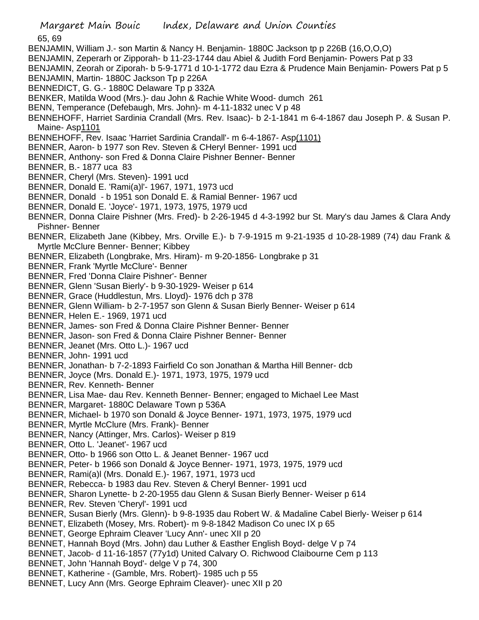- 65, 69 BENJAMIN, William J.- son Martin & Nancy H. Benjamin- 1880C Jackson tp p 226B (16,O,O,O) BENJAMIN, Zeperarh or Zipporah- b 11-23-1744 dau Abiel & Judith Ford Benjamin- Powers Pat p 33 BENJAMIN, Zeorah or Ziporah- b 5-9-1771 d 10-1-1772 dau Ezra & Prudence Main Benjamin- Powers Pat p 5 BENJAMIN, Martin- 1880C Jackson Tp p 226A BENNEDICT, G. G.- 1880C Delaware Tp p 332A BENKER, Matilda Wood (Mrs.)- dau John & Rachie White Wood- dumch 261 BENN, Temperance (Defebaugh, Mrs. John)- m 4-11-1832 unec V p 48 BENNEHOFF, Harriet Sardinia Crandall (Mrs. Rev. Isaac)- b 2-1-1841 m 6-4-1867 dau Joseph P. & Susan P. Maine- Asp1101 BENNEHOFF, Rev. Isaac 'Harriet Sardinia Crandall'- m 6-4-1867- Asp(1101) BENNER, Aaron- b 1977 son Rev. Steven & CHeryl Benner- 1991 ucd BENNER, Anthony- son Fred & Donna Claire Pishner Benner- Benner BENNER, B.- 1877 uca 83 BENNER, Cheryl (Mrs. Steven)- 1991 ucd BENNER, Donald E. 'Rami(a)l'- 1967, 1971, 1973 ucd BENNER, Donald - b 1951 son Donald E. & Ramial Benner- 1967 ucd BENNER, Donald E. 'Joyce'- 1971, 1973, 1975, 1979 ucd BENNER, Donna Claire Pishner (Mrs. Fred)- b 2-26-1945 d 4-3-1992 bur St. Mary's dau James & Clara Andy Pishner- Benner BENNER, Elizabeth Jane (Kibbey, Mrs. Orville E.)- b 7-9-1915 m 9-21-1935 d 10-28-1989 (74) dau Frank & Myrtle McClure Benner- Benner; Kibbey BENNER, Elizabeth (Longbrake, Mrs. Hiram)- m 9-20-1856- Longbrake p 31 BENNER, Frank 'Myrtle McClure'- Benner BENNER, Fred 'Donna Claire Pishner'- Benner BENNER, Glenn 'Susan Bierly'- b 9-30-1929- Weiser p 614 BENNER, Grace (Huddlestun, Mrs. Lloyd)- 1976 dch p 378 BENNER, Glenn William- b 2-7-1957 son Glenn & Susan Bierly Benner- Weiser p 614 BENNER, Helen E.- 1969, 1971 ucd BENNER, James- son Fred & Donna Claire Pishner Benner- Benner BENNER, Jason- son Fred & Donna Claire Pishner Benner- Benner BENNER, Jeanet (Mrs. Otto L.)- 1967 ucd BENNER, John- 1991 ucd BENNER, Jonathan- b 7-2-1893 Fairfield Co son Jonathan & Martha Hill Benner- dcb BENNER, Joyce (Mrs. Donald E.)- 1971, 1973, 1975, 1979 ucd BENNER, Rev. Kenneth- Benner BENNER, Lisa Mae- dau Rev. Kenneth Benner- Benner; engaged to Michael Lee Mast BENNER, Margaret- 1880C Delaware Town p 536A BENNER, Michael- b 1970 son Donald & Joyce Benner- 1971, 1973, 1975, 1979 ucd BENNER, Myrtle McClure (Mrs. Frank)- Benner BENNER, Nancy (Attinger, Mrs. Carlos)- Weiser p 819 BENNER, Otto L. 'Jeanet'- 1967 ucd BENNER, Otto- b 1966 son Otto L. & Jeanet Benner- 1967 ucd BENNER, Peter- b 1966 son Donald & Joyce Benner- 1971, 1973, 1975, 1979 ucd BENNER, Rami(a)l (Mrs. Donald E.)- 1967, 1971, 1973 ucd BENNER, Rebecca- b 1983 dau Rev. Steven & Cheryl Benner- 1991 ucd BENNER, Sharon Lynette- b 2-20-1955 dau Glenn & Susan Bierly Benner- Weiser p 614 BENNER, Rev. Steven 'Cheryl'- 1991 ucd BENNER, Susan Bierly (Mrs. Glenn)- b 9-8-1935 dau Robert W. & Madaline Cabel Bierly- Weiser p 614 BENNET, Elizabeth (Mosey, Mrs. Robert)- m 9-8-1842 Madison Co unec IX p 65 BENNET, George Ephraim Cleaver 'Lucy Ann'- unec XII p 20 BENNET, Hannah Boyd (Mrs. John) dau Luther & Easther English Boyd- delge V p 74 BENNET, Jacob- d 11-16-1857 (77y1d) United Calvary O. Richwood Claibourne Cem p 113 BENNET, John 'Hannah Boyd'- delge V p 74, 300 BENNET, Katherine - (Gamble, Mrs. Robert)- 1985 uch p 55
- BENNET, Lucy Ann (Mrs. George Ephraim Cleaver)- unec XII p 20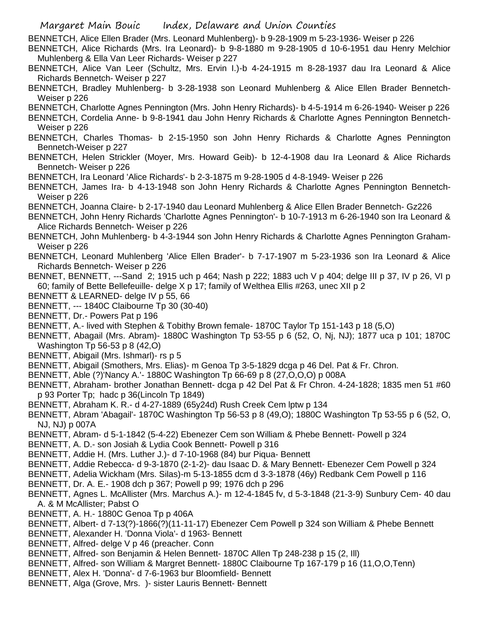- BENNETCH, Alice Ellen Brader (Mrs. Leonard Muhlenberg)- b 9-28-1909 m 5-23-1936- Weiser p 226
- BENNETCH, Alice Richards (Mrs. Ira Leonard)- b 9-8-1880 m 9-28-1905 d 10-6-1951 dau Henry Melchior Muhlenberg & Ella Van Leer Richards- Weiser p 227
- BENNETCH, Alice Van Leer (Schultz, Mrs. Ervin I.)-b 4-24-1915 m 8-28-1937 dau Ira Leonard & Alice Richards Bennetch- Weiser p 227
- BENNETCH, Bradley Muhlenberg- b 3-28-1938 son Leonard Muhlenberg & Alice Ellen Brader Bennetch-Weiser p 226
- BENNETCH, Charlotte Agnes Pennington (Mrs. John Henry Richards)- b 4-5-1914 m 6-26-1940- Weiser p 226
- BENNETCH, Cordelia Anne- b 9-8-1941 dau John Henry Richards & Charlotte Agnes Pennington Bennetch-Weiser p 226
- BENNETCH, Charles Thomas- b 2-15-1950 son John Henry Richards & Charlotte Agnes Pennington Bennetch-Weiser p 227
- BENNETCH, Helen Strickler (Moyer, Mrs. Howard Geib)- b 12-4-1908 dau Ira Leonard & Alice Richards Bennetch- Weiser p 226
- BENNETCH, Ira Leonard 'Alice Richards'- b 2-3-1875 m 9-28-1905 d 4-8-1949- Weiser p 226
- BENNETCH, James Ira- b 4-13-1948 son John Henry Richards & Charlotte Agnes Pennington Bennetch-Weiser p 226
- BENNETCH, Joanna Claire- b 2-17-1940 dau Leonard Muhlenberg & Alice Ellen Brader Bennetch- Gz226
- BENNETCH, John Henry Richards 'Charlotte Agnes Pennington'- b 10-7-1913 m 6-26-1940 son Ira Leonard & Alice Richards Bennetch- Weiser p 226
- BENNETCH, John Muhlenberg- b 4-3-1944 son John Henry Richards & Charlotte Agnes Pennington Graham-Weiser p 226
- BENNETCH, Leonard Muhlenberg 'Alice Ellen Brader'- b 7-17-1907 m 5-23-1936 son Ira Leonard & Alice Richards Bennetch- Weiser p 226
- BENNET, BENNETT, ---Sand 2; 1915 uch p 464; Nash p 222; 1883 uch V p 404; delge III p 37, IV p 26, VI p 60; family of Bette Bellefeuille- delge X p 17; family of Welthea Ellis #263, unec XII p 2
- BENNETT & LEARNED- delge IV p 55, 66
- BENNETT, --- 1840C Claibourne Tp 30 (30-40)
- BENNETT, Dr.- Powers Pat p 196
- BENNETT, A.- lived with Stephen & Tobithy Brown female- 1870C Taylor Tp 151-143 p 18 (5,O)
- BENNETT, Abagail (Mrs. Abram)- 1880C Washington Tp 53-55 p 6 (52, O, Nj, NJ); 1877 uca p 101; 1870C Washington Tp 56-53 p 8 (42,O)
- BENNETT, Abigail (Mrs. Ishmarl)- rs p 5
- BENNETT, Abigail (Smothers, Mrs. Elias)- m Genoa Tp 3-5-1829 dcga p 46 Del. Pat & Fr. Chron.
- BENNETT, Able (?)'Nancy A.'- 1880C Washington Tp 66-69 p 8 (27,O,O,O) p 008A
- BENNETT, Abraham- brother Jonathan Bennett- dcga p 42 Del Pat & Fr Chron. 4-24-1828; 1835 men 51 #60 p 93 Porter Tp; hadc p 36(Lincoln Tp 1849)
- BENNETT, Abraham K. R.- d 4-27-1889 (65y24d) Rush Creek Cem lptw p 134
- BENNETT, Abram 'Abagail'- 1870C Washington Tp 56-53 p 8 (49,O); 1880C Washington Tp 53-55 p 6 (52, O, NJ, NJ) p 007A
- BENNETT, Abram- d 5-1-1842 (5-4-22) Ebenezer Cem son William & Phebe Bennett- Powell p 324
- BENNETT, A. D.- son Josiah & Lydia Cook Bennett- Powell p 316
- BENNETT, Addie H. (Mrs. Luther J.)- d 7-10-1968 (84) bur Piqua- Bennett
- BENNETT, Addie Rebecca- d 9-3-1870 (2-1-2)- dau Isaac D. & Mary Bennett- Ebenezer Cem Powell p 324
- BENNETT, Adelia Wickham (Mrs. Silas)-m 5-13-1855 dcm d 3-3-1878 (46y) Redbank Cem Powell p 116
- BENNETT, Dr. A. E.- 1908 dch p 367; Powell p 99; 1976 dch p 296
- BENNETT, Agnes L. McAllister (Mrs. Marchus A.)- m 12-4-1845 fv, d 5-3-1848 (21-3-9) Sunbury Cem- 40 dau A. & M McAllister; Pabst O
- BENNETT, A. H.- 1880C Genoa Tp p 406A
- BENNETT, Albert- d 7-13(?)-1866(?)(11-11-17) Ebenezer Cem Powell p 324 son William & Phebe Bennett
- BENNETT, Alexander H. 'Donna Viola'- d 1963- Bennett
- BENNETT, Alfred- delge V p 46 (preacher. Conn
- BENNETT, Alfred- son Benjamin & Helen Bennett- 1870C Allen Tp 248-238 p 15 (2, Ill)
- BENNETT, Alfred- son William & Margret Bennett- 1880C Claibourne Tp 167-179 p 16 (11,O,O,Tenn)
- BENNETT, Alex H. 'Donna'- d 7-6-1963 bur Bloomfield- Bennett
- BENNETT, Alga (Grove, Mrs. )- sister Lauris Bennett- Bennett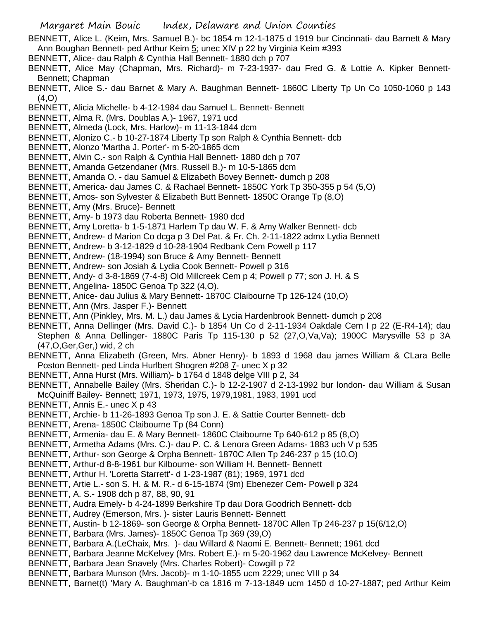BENNETT, Alice L. (Keim, Mrs. Samuel B.)- bc 1854 m 12-1-1875 d 1919 bur Cincinnati- dau Barnett & Mary Ann Boughan Bennett- ped Arthur Keim 5; unec XIV p 22 by Virginia Keim #393

- BENNETT, Alice- dau Ralph & Cynthia Hall Bennett- 1880 dch p 707
- BENNETT, Alice May (Chapman, Mrs. Richard)- m 7-23-1937- dau Fred G. & Lottie A. Kipker Bennett-Bennett; Chapman
- BENNETT, Alice S.- dau Barnet & Mary A. Baughman Bennett- 1860C Liberty Tp Un Co 1050-1060 p 143 (4,O)
- BENNETT, Alicia Michelle- b 4-12-1984 dau Samuel L. Bennett- Bennett
- BENNETT, Alma R. (Mrs. Doublas A.)- 1967, 1971 ucd
- BENNETT, Almeda (Lock, Mrs. Harlow)- m 11-13-1844 dcm
- BENNETT, Alonizo C.- b 10-27-1874 Liberty Tp son Ralph & Cynthia Bennett- dcb
- BENNETT, Alonzo 'Martha J. Porter'- m 5-20-1865 dcm
- BENNETT, Alvin C.- son Ralph & Cynthia Hall Bennett- 1880 dch p 707
- BENNETT, Amanda Getzendaner (Mrs. Russell B.)- m 10-5-1865 dcm
- BENNETT, Amanda O. dau Samuel & Elizabeth Bovey Bennett- dumch p 208
- BENNETT, America- dau James C. & Rachael Bennett- 1850C York Tp 350-355 p 54 (5,O)
- BENNETT, Amos- son Sylvester & Elizabeth Butt Bennett- 1850C Orange Tp (8,O)
- BENNETT, Amy (Mrs. Bruce)- Bennett
- BENNETT, Amy- b 1973 dau Roberta Bennett- 1980 dcd
- BENNETT, Amy Loretta- b 1-5-1871 Harlem Tp dau W. F. & Amy Walker Bennett- dcb
- BENNETT, Andrew- d Marion Co dcga p 3 Del Pat. & Fr. Ch. 2-11-1822 admx Lydia Bennett
- BENNETT, Andrew- b 3-12-1829 d 10-28-1904 Redbank Cem Powell p 117
- BENNETT, Andrew- (18-1994) son Bruce & Amy Bennett- Bennett
- BENNETT, Andrew- son Josiah & Lydia Cook Bennett- Powell p 316
- BENNETT, Andy- d 3-8-1869 (7-4-8) Old Millcreek Cem p 4; Powell p 77; son J. H. & S
- BENNETT, Angelina- 1850C Genoa Tp 322 (4,O).
- BENNETT, Anice- dau Julius & Mary Bennett- 1870C Claibourne Tp 126-124 (10,O)
- BENNETT, Ann (Mrs. Jasper F.)- Bennett
- BENNETT, Ann (Pinkley, Mrs. M. L.) dau James & Lycia Hardenbrook Bennett- dumch p 208
- BENNETT, Anna Dellinger (Mrs. David C.)- b 1854 Un Co d 2-11-1934 Oakdale Cem I p 22 (E-R4-14); dau Stephen & Anna Dellinger- 1880C Paris Tp 115-130 p 52 (27,O,Va,Va); 1900C Marysville 53 p 3A (47,O,Ger,Ger,) wid, 2 ch
- BENNETT, Anna Elizabeth (Green, Mrs. Abner Henry)- b 1893 d 1968 dau james William & CLara Belle Poston Bennett- ped Linda Hurlbert Shogren #208 7- unec X p 32
- BENNETT, Anna Hurst (Mrs. William)- b 1764 d 1848 delge VIII p 2, 34
- BENNETT, Annabelle Bailey (Mrs. Sheridan C.)- b 12-2-1907 d 2-13-1992 bur london- dau William & Susan McQuiniff Bailey- Bennett; 1971, 1973, 1975, 1979,1981, 1983, 1991 ucd
- BENNETT, Annis E.- unec X p 43
- BENNETT, Archie- b 11-26-1893 Genoa Tp son J. E. & Sattie Courter Bennett- dcb
- BENNETT, Arena- 1850C Claibourne Tp (84 Conn)
- BENNETT, Armenia- dau E. & Mary Bennett- 1860C Claibourne Tp 640-612 p 85 (8,O)
- BENNETT, Armetha Adams (Mrs. C.)- dau P. C. & Lenora Green Adams- 1883 uch V p 535
- BENNETT, Arthur- son George & Orpha Bennett- 1870C Allen Tp 246-237 p 15 (10,O)
- BENNETT, Arthur-d 8-8-1961 bur Kilbourne- son William H. Bennett- Bennett
- BENNETT, Arthur H. 'Loretta Starrett'- d 1-23-1987 (81); 1969, 1971 dcd
- BENNETT, Artie L.- son S. H. & M. R.- d 6-15-1874 (9m) Ebenezer Cem- Powell p 324
- BENNETT, A. S.- 1908 dch p 87, 88, 90, 91
- BENNETT, Audra Emely- b 4-24-1899 Berkshire Tp dau Dora Goodrich Bennett- dcb
- BENNETT, Audrey (Emerson, Mrs. )- sister Lauris Bennett- Bennett
- BENNETT, Austin- b 12-1869- son George & Orpha Bennett- 1870C Allen Tp 246-237 p 15(6/12,O)
- BENNETT, Barbara (Mrs. James)- 1850C Genoa Tp 369 (39,O)
- BENNETT, Barbara A.(LeChaix, Mrs. )- dau Willard & Naomi E. Bennett- Bennett; 1961 dcd
- BENNETT, Barbara Jeanne McKelvey (Mrs. Robert E.)- m 5-20-1962 dau Lawrence McKelvey- Bennett
- BENNETT, Barbara Jean Snavely (Mrs. Charles Robert)- Cowgill p 72
- BENNETT, Barbara Munson (Mrs. Jacob)- m 1-10-1855 ucm 2229; unec VIII p 34
- BENNETT, Barnet(t) 'Mary A. Baughman'-b ca 1816 m 7-13-1849 ucm 1450 d 10-27-1887; ped Arthur Keim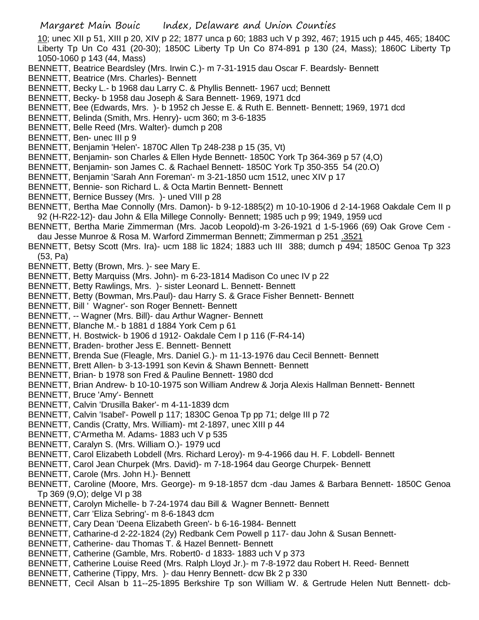10; unec XII p 51, XIII p 20, XIV p 22; 1877 unca p 60; 1883 uch V p 392, 467; 1915 uch p 445, 465; 1840C Liberty Tp Un Co 431 (20-30); 1850C Liberty Tp Un Co 874-891 p 130 (24, Mass); 1860C Liberty Tp 1050-1060 p 143 (44, Mass)

- BENNETT, Beatrice Beardsley (Mrs. Irwin C.)- m 7-31-1915 dau Oscar F. Beardsly- Bennett
- BENNETT, Beatrice (Mrs. Charles)- Bennett
- BENNETT, Becky L.- b 1968 dau Larry C. & Phyllis Bennett- 1967 ucd; Bennett
- BENNETT, Becky- b 1958 dau Joseph & Sara Bennett- 1969, 1971 dcd
- BENNETT, Bee (Edwards, Mrs. )- b 1952 ch Jesse E. & Ruth E. Bennett- Bennett; 1969, 1971 dcd
- BENNETT, Belinda (Smith, Mrs. Henry)- ucm 360; m 3-6-1835
- BENNETT, Belle Reed (Mrs. Walter)- dumch p 208
- BENNETT, Ben- unec III p 9
- BENNETT, Benjamin 'Helen'- 1870C Allen Tp 248-238 p 15 (35, Vt)
- BENNETT, Benjamin- son Charles & Ellen Hyde Bennett- 1850C York Tp 364-369 p 57 (4,O)
- BENNETT, Benjamin- son James C. & Rachael Bennett- 1850C York Tp 350-355 54 (20.O)
- BENNETT, Benjamin 'Sarah Ann Foreman'- m 3-21-1850 ucm 1512, unec XIV p 17
- BENNETT, Bennie- son Richard L. & Octa Martin Bennett- Bennett
- BENNETT, Bernice Bussey (Mrs. )- uned VIII p 28
- BENNETT, Bertha Mae Connolly (Mrs. Damon)- b 9-12-1885(2) m 10-10-1906 d 2-14-1968 Oakdale Cem II p 92 (H-R22-12)- dau John & Ella Millege Connolly- Bennett; 1985 uch p 99; 1949, 1959 ucd
- BENNETT, Bertha Marie Zimmerman (Mrs. Jacob Leopold)-m 3-26-1921 d 1-5-1966 (69) Oak Grove Cem dau Jesse Munroe & Rosa M. Warford Zimmerman Bennett; Zimmerman p 251 .3521
- BENNETT, Betsy Scott (Mrs. Ira)- ucm 188 lic 1824; 1883 uch III 388; dumch p 494; 1850C Genoa Tp 323 (53, Pa)
- BENNETT, Betty (Brown, Mrs. )- see Mary E.
- BENNETT, Betty Marquiss (Mrs. John)- m 6-23-1814 Madison Co unec IV p 22
- BENNETT, Betty Rawlings, Mrs. )- sister Leonard L. Bennett- Bennett
- BENNETT, Betty (Bowman, Mrs.Paul)- dau Harry S. & Grace Fisher Bennett- Bennett
- BENNETT, Bill ' Wagner'- son Roger Bennett- Bennett
- BENNETT, -- Wagner (Mrs. Bill)- dau Arthur Wagner- Bennett
- BENNETT, Blanche M.- b 1881 d 1884 York Cem p 61
- BENNETT, H. Bostwick- b 1906 d 1912- Oakdale Cem I p 116 (F-R4-14)
- BENNETT, Braden- brother Jess E. Bennett- Bennett
- BENNETT, Brenda Sue (Fleagle, Mrs. Daniel G.)- m 11-13-1976 dau Cecil Bennett- Bennett
- BENNETT, Brett Allen- b 3-13-1991 son Kevin & Shawn Bennett- Bennett
- BENNETT, Brian- b 1978 son Fred & Pauline Bennett- 1980 dcd
- BENNETT, Brian Andrew- b 10-10-1975 son William Andrew & Jorja Alexis Hallman Bennett- Bennett
- BENNETT, Bruce 'Amy'- Bennett
- BENNETT, Calvin 'Drusilla Baker'- m 4-11-1839 dcm
- BENNETT, Calvin 'Isabel'- Powell p 117; 1830C Genoa Tp pp 71; delge III p 72
- BENNETT, Candis (Cratty, Mrs. William)- mt 2-1897, unec XIII p 44
- BENNETT, C'Armetha M. Adams- 1883 uch V p 535
- BENNETT, Caralyn S. (Mrs. William O.)- 1979 ucd
- BENNETT, Carol Elizabeth Lobdell (Mrs. Richard Leroy)- m 9-4-1966 dau H. F. Lobdell- Bennett
- BENNETT, Carol Jean Churpek (Mrs. David)- m 7-18-1964 dau George Churpek- Bennett
- BENNETT, Carole (Mrs. John H.)- Bennett
- BENNETT, Caroline (Moore, Mrs. George)- m 9-18-1857 dcm -dau James & Barbara Bennett- 1850C Genoa Tp 369 (9,O); delge VI p 38
- BENNETT, Carolyn Michelle- b 7-24-1974 dau Bill & Wagner Bennett- Bennett
- BENNETT, Carr 'Eliza Sebring'- m 8-6-1843 dcm
- BENNETT, Cary Dean 'Deena Elizabeth Green'- b 6-16-1984- Bennett
- BENNETT, Catharine-d 2-22-1824 (2y) Redbank Cem Powell p 117- dau John & Susan Bennett-
- BENNETT, Catherine- dau Thomas T. & Hazel Bennett- Bennett
- BENNETT, Catherine (Gamble, Mrs. Robert0- d 1833- 1883 uch V p 373
- BENNETT, Catherine Louise Reed (Mrs. Ralph Lloyd Jr.)- m 7-8-1972 dau Robert H. Reed- Bennett
- BENNETT, Catherine (Tippy, Mrs. )- dau Henry Bennett- dcw Bk 2 p 330
- BENNETT, Cecil Alsan b 11--25-1895 Berkshire Tp son William W. & Gertrude Helen Nutt Bennett- dcb-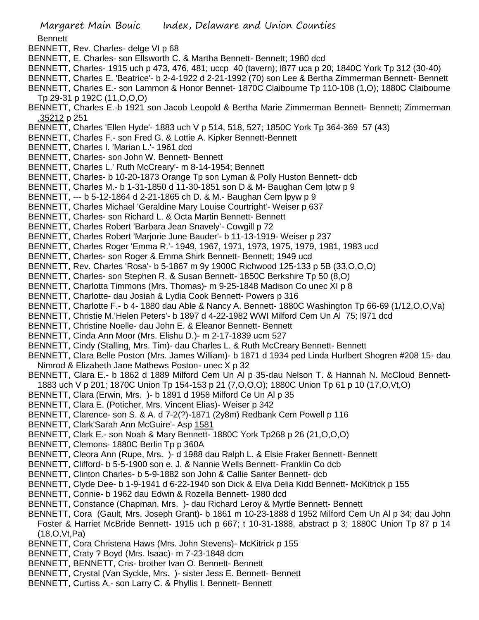**Bennett** 

- BENNETT, Rev. Charles- delge VI p 68
- BENNETT, E. Charles- son Ellsworth C. & Martha Bennett- Bennett; 1980 dcd
- BENNETT, Charles- 1915 uch p 473, 476, 481; uccp 40 (tavern); l877 uca p 20; 1840C York Tp 312 (30-40)
- BENNETT, Charles E. 'Beatrice'- b 2-4-1922 d 2-21-1992 (70) son Lee & Bertha Zimmerman Bennett- Bennett
- BENNETT, Charles E.- son Lammon & Honor Bennet- 1870C Claibourne Tp 110-108 (1,O); 1880C Claibourne Tp 29-31 p 192C (11,O,O,O)
- BENNETT, Charles E.-b 1921 son Jacob Leopold & Bertha Marie Zimmerman Bennett- Bennett; Zimmerman .35212 p 251
- BENNETT, Charles 'Ellen Hyde'- 1883 uch V p 514, 518, 527; 1850C York Tp 364-369 57 (43)
- BENNETT, Charles F.- son Fred G. & Lottie A. Kipker Bennett-Bennett
- BENNETT, Charles I. 'Marian L.'- 1961 dcd
- BENNETT, Charles- son John W. Bennett- Bennett
- BENNETT, Charles L.' Ruth McCreary'- m 8-14-1954; Bennett
- BENNETT, Charles- b 10-20-1873 Orange Tp son Lyman & Polly Huston Bennett- dcb
- BENNETT, Charles M.- b 1-31-1850 d 11-30-1851 son D & M- Baughan Cem lptw p 9
- BENNETT, --- b 5-12-1864 d 2-21-1865 ch D. & M.- Baughan Cem lpyw p 9
- BENNETT, Charles Michael 'Geraldine Mary Louise Courtright'- Weiser p 637
- BENNETT, Charles- son Richard L. & Octa Martin Bennett- Bennett
- BENNETT, Charles Robert 'Barbara Jean Snavely'- Cowgill p 72
- BENNETT, Charles Robert 'Marjorie June Bauder'- b 11-13-1919- Weiser p 237
- BENNETT, Charles Roger 'Emma R.'- 1949, 1967, 1971, 1973, 1975, 1979, 1981, 1983 ucd
- BENNETT, Charles- son Roger & Emma Shirk Bennett- Bennett; 1949 ucd
- BENNETT, Rev. Charles 'Rosa'- b 5-1867 m 9y 1900C Richwood 125-133 p 5B (33,O,O,O)
- BENNETT, Charles- son Stephen R. & Susan Bennett- 1850C Berkshire Tp 50 (8,O)
- BENNETT, Charlotta Timmons (Mrs. Thomas)- m 9-25-1848 Madison Co unec XI p 8
- BENNETT, Charlotte- dau Josiah & Lydia Cook Bennett- Powers p 316
- BENNETT, Charlotte F.- b 4- 1880 dau Able & Nancy A. Bennett- 1880C Washington Tp 66-69 (1/12,O,O,Va)
- BENNETT, Christie M.'Helen Peters'- b 1897 d 4-22-1982 WWI Milford Cem Un Al 75; l971 dcd
- BENNETT, Christine Noelle- dau John E. & Eleanor Bennett- Bennett
- BENNETT, Cinda Ann Moor (Mrs. Elishu D.)- m 2-17-1839 ucm 527
- BENNETT, Cindy (Stalling, Mrs. Tim)- dau Charles L. & Ruth McCreary Bennett- Bennett
- BENNETT, Clara Belle Poston (Mrs. James William)- b 1871 d 1934 ped Linda Hurlbert Shogren #208 15- dau Nimrod & Elizabeth Jane Mathews Poston- unec X p 32
- BENNETT, Clara E.- b 1862 d 1889 Milford Cem Un Al p 35-dau Nelson T. & Hannah N. McCloud Bennett-1883 uch V p 201; 1870C Union Tp 154-153 p 21 (7,O,O,O); 1880C Union Tp 61 p 10 (17,O,Vt,O)
- BENNETT, Clara (Erwin, Mrs. )- b 1891 d 1958 Milford Ce Un Al p 35
- BENNETT, Clara E. (Poticher, Mrs. Vincent Elias)- Weiser p 342
- BENNETT, Clarence- son S. & A. d 7-2(?)-1871 (2y8m) Redbank Cem Powell p 116
- BENNETT, Clark'Sarah Ann McGuire'- Asp 1581
- BENNETT, Clark E.- son Noah & Mary Bennett- 1880C York Tp268 p 26 (21,O,O,O)
- BENNETT, Clemons- 1880C Berlin Tp p 360A
- BENNETT, Cleora Ann (Rupe, Mrs. )- d 1988 dau Ralph L. & Elsie Fraker Bennett- Bennett
- BENNETT, Clifford- b 5-5-1900 son e. J. & Nannie Wells Bennett- Franklin Co dcb
- BENNETT, Clinton Charles- b 5-9-1882 son John & Callie Santer Bennett- dcb
- BENNETT, Clyde Dee- b 1-9-1941 d 6-22-1940 son Dick & Elva Delia Kidd Bennett- McKitrick p 155
- BENNETT, Connie- b 1962 dau Edwin & Rozella Bennett- 1980 dcd
- BENNETT, Constance (Chapman, Mrs. )- dau Richard Leroy & Myrtle Bennett- Bennett
- BENNETT, Cora (Gault, Mrs. Joseph Grant)- b 1861 m 10-23-1888 d 1952 Milford Cem Un Al p 34; dau John
- Foster & Harriet McBride Bennett- 1915 uch p 667; t 10-31-1888, abstract p 3; 1880C Union Tp 87 p 14 (18,O,Vt,Pa)
- BENNETT, Cora Christena Haws (Mrs. John Stevens)- McKitrick p 155
- BENNETT, Craty ? Boyd (Mrs. Isaac)- m 7-23-1848 dcm
- BENNETT, BENNETT, Cris- brother Ivan O. Bennett- Bennett
- BENNETT, Crystal (Van Syckle, Mrs. )- sister Jess E. Bennett- Bennett
- BENNETT, Curtiss A.- son Larry C. & Phyllis I. Bennett- Bennett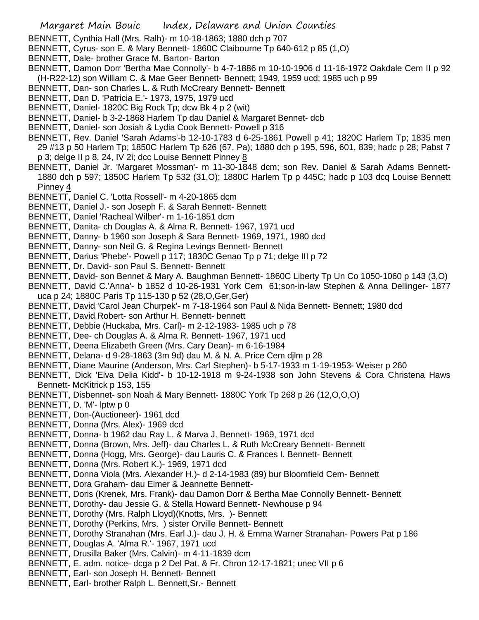- BENNETT, Cynthia Hall (Mrs. Ralh)- m 10-18-1863; 1880 dch p 707
- BENNETT, Cyrus- son E. & Mary Bennett- 1860C Claibourne Tp 640-612 p 85 (1,O)
- BENNETT, Dale- brother Grace M. Barton- Barton
- BENNETT, Damon Dorr 'Bertha Mae Connolly'- b 4-7-1886 m 10-10-1906 d 11-16-1972 Oakdale Cem II p 92 (H-R22-12) son William C. & Mae Geer Bennett- Bennett; 1949, 1959 ucd; 1985 uch p 99
- BENNETT, Dan- son Charles L. & Ruth McCreary Bennett- Bennett
- BENNETT, Dan D. 'Patricia E.'- 1973, 1975, 1979 ucd
- BENNETT, Daniel- 1820C Big Rock Tp; dcw Bk 4 p 2 (wit)
- BENNETT, Daniel- b 3-2-1868 Harlem Tp dau Daniel & Margaret Bennet- dcb
- BENNETT, Daniel- son Josiah & Lydia Cook Bennett- Powell p 316
- BENNETT, Rev. Daniel 'Sarah Adams'-b 12-10-1783 d 6-25-1861 Powell p 41; 1820C Harlem Tp; 1835 men 29 #13 p 50 Harlem Tp; 1850C Harlem Tp 626 (67, Pa); 1880 dch p 195, 596, 601, 839; hadc p 28; Pabst 7 p 3; delge II p 8, 24, IV 2i; dcc Louise Bennett Pinney 8
- BENNETT, Daniel Jr. 'Margaret Mossman'- m 11-30-1848 dcm; son Rev. Daniel & Sarah Adams Bennett-1880 dch p 597; 1850C Harlem Tp 532 (31,O); 1880C Harlem Tp p 445C; hadc p 103 dcq Louise Bennett Pinney 4
- BENNETT, Daniel C. 'Lotta Rossell'- m 4-20-1865 dcm
- BENNETT, Daniel J.- son Joseph F. & Sarah Bennett- Bennett
- BENNETT, Daniel 'Racheal Wilber'- m 1-16-1851 dcm
- BENNETT, Danita- ch Douglas A. & Alma R. Bennett- 1967, 1971 ucd
- BENNETT, Danny- b 1960 son Joseph & Sara Bennett- 1969, 1971, 1980 dcd
- BENNETT, Danny- son Neil G. & Regina Levings Bennett- Bennett
- BENNETT, Darius 'Phebe'- Powell p 117; 1830C Genao Tp p 71; delge III p 72
- BENNETT, Dr. David- son Paul S. Bennett- Bennett
- BENNETT, David- son Bennet & Mary A. Baughman Bennett- 1860C Liberty Tp Un Co 1050-1060 p 143 (3,O)
- BENNETT, David C.'Anna'- b 1852 d 10-26-1931 York Cem 61;son-in-law Stephen & Anna Dellinger- 1877 uca p 24; 1880C Paris Tp 115-130 p 52 (28,O,Ger,Ger)
- BENNETT, David 'Carol Jean Churpek'- m 7-18-1964 son Paul & Nida Bennett- Bennett; 1980 dcd
- BENNETT, David Robert- son Arthur H. Bennett- bennett
- BENNETT, Debbie (Huckaba, Mrs. Carl)- m 2-12-1983- 1985 uch p 78
- BENNETT, Dee- ch Douglas A. & Alma R. Bennett- 1967, 1971 ucd
- BENNETT, Deena Elizabeth Green (Mrs. Cary Dean)- m 6-16-1984
- BENNETT, Delana- d 9-28-1863 (3m 9d) dau M. & N. A. Price Cem djlm p 28
- BENNETT, Diane Maurine (Anderson, Mrs. Carl Stephen)- b 5-17-1933 m 1-19-1953- Weiser p 260
- BENNETT, Dick 'Elva Delia Kidd'- b 10-12-1918 m 9-24-1938 son John Stevens & Cora Christena Haws Bennett- McKitrick p 153, 155
- BENNETT, Disbennet- son Noah & Mary Bennett- 1880C York Tp 268 p 26 (12,O,O,O)
- BENNETT, D. 'M'- lptw p 0
- BENNETT, Don-(Auctioneer)- 1961 dcd
- BENNETT, Donna (Mrs. Alex)- 1969 dcd
- BENNETT, Donna- b 1962 dau Ray L. & Marva J. Bennett- 1969, 1971 dcd
- BENNETT, Donna (Brown, Mrs. Jeff)- dau Charles L. & Ruth McCreary Bennett- Bennett
- BENNETT, Donna (Hogg, Mrs. George)- dau Lauris C. & Frances I. Bennett- Bennett
- BENNETT, Donna (Mrs. Robert K.)- 1969, 1971 dcd
- BENNETT, Donna Viola (Mrs. Alexander H.)- d 2-14-1983 (89) bur Bloomfield Cem- Bennett
- BENNETT, Dora Graham- dau Elmer & Jeannette Bennett-
- BENNETT, Doris (Krenek, Mrs. Frank)- dau Damon Dorr & Bertha Mae Connolly Bennett- Bennett
- BENNETT, Dorothy- dau Jessie G. & Stella Howard Bennett- Newhouse p 94
- BENNETT, Dorothy (Mrs. Ralph Lloyd)(Knotts, Mrs. )- Bennett
- BENNETT, Dorothy (Perkins, Mrs. ) sister Orville Bennett- Bennett
- BENNETT, Dorothy Stranahan (Mrs. Earl J.)- dau J. H. & Emma Warner Stranahan- Powers Pat p 186
- BENNETT, Douglas A. 'Alma R.'- 1967, 1971 ucd
- BENNETT, Drusilla Baker (Mrs. Calvin)- m 4-11-1839 dcm
- BENNETT, E. adm. notice- dcga p 2 Del Pat. & Fr. Chron 12-17-1821; unec VII p 6
- BENNETT, Earl- son Joseph H. Bennett- Bennett
- BENNETT, Earl- brother Ralph L. Bennett,Sr.- Bennett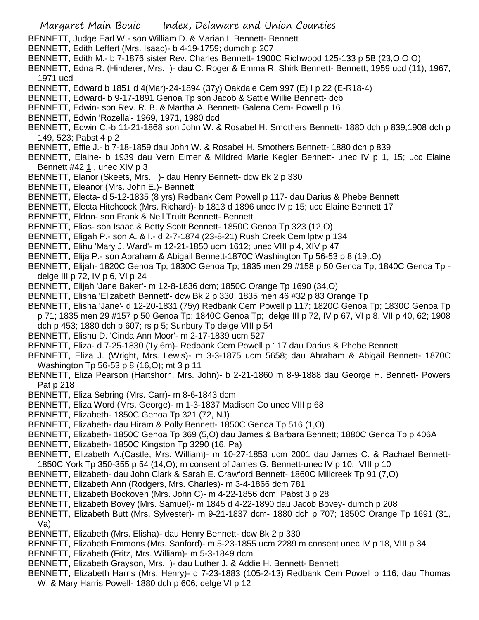- BENNETT, Judge Earl W.- son William D. & Marian I. Bennett- Bennett
- BENNETT, Edith Leffert (Mrs. Isaac)- b 4-19-1759; dumch p 207
- BENNETT, Edith M.- b 7-1876 sister Rev. Charles Bennett- 1900C Richwood 125-133 p 5B (23,O,O,O)
- BENNETT, Edna R. (Hinderer, Mrs. )- dau C. Roger & Emma R. Shirk Bennett- Bennett; 1959 ucd (11), 1967, 1971 ucd
- BENNETT, Edward b 1851 d 4(Mar)-24-1894 (37y) Oakdale Cem 997 (E) I p 22 (E-R18-4)
- BENNETT, Edward- b 9-17-1891 Genoa Tp son Jacob & Sattie Willie Bennett- dcb
- BENNETT, Edwin- son Rev. R. B. & Martha A. Bennett- Galena Cem- Powell p 16
- BENNETT, Edwin 'Rozella'- 1969, 1971, 1980 dcd
- BENNETT, Edwin C.-b 11-21-1868 son John W. & Rosabel H. Smothers Bennett- 1880 dch p 839;1908 dch p 149, 523; Pabst 4 p 2
- BENNETT, Effie J.- b 7-18-1859 dau John W. & Rosabel H. Smothers Bennett- 1880 dch p 839
- BENNETT, Elaine- b 1939 dau Vern Elmer & Mildred Marie Kegler Bennett- unec IV p 1, 15; ucc Elaine Bennett #42 1 , unec XIV p 3
- BENNETT, Elanor (Skeets, Mrs. )- dau Henry Bennett- dcw Bk 2 p 330
- BENNETT, Eleanor (Mrs. John E.)- Bennett
- BENNETT, Electa- d 5-12-1835 (8 yrs) Redbank Cem Powell p 117- dau Darius & Phebe Bennett
- BENNETT, Electa Hitchcock (Mrs. Richard)- b 1813 d 1896 unec IV p 15; ucc Elaine Bennett 17
- BENNETT, Eldon- son Frank & Nell Truitt Bennett- Bennett
- BENNETT, Elias- son Isaac & Betty Scott Bennett- 1850C Genoa Tp 323 (12,O)
- BENNETT, Eligah P.- son A. & I.- d 2-7-1874 (23-8-21) Rush Creek Cem lptw p 134
- BENNETT, Elihu 'Mary J. Ward'- m 12-21-1850 ucm 1612; unec VIII p 4, XIV p 47
- BENNETT, Elija P.- son Abraham & Abigail Bennett-1870C Washington Tp 56-53 p 8 (19,.O)
- BENNETT, Elijah- 1820C Genoa Tp; 1830C Genoa Tp; 1835 men 29 #158 p 50 Genoa Tp; 1840C Genoa Tp delge III p 72, IV p 6, VI p 24
- BENNETT, Elijah 'Jane Baker'- m 12-8-1836 dcm; 1850C Orange Tp 1690 (34,O)
- BENNETT, Elisha 'Elizabeth Bennett'- dcw Bk 2 p 330; 1835 men 46 #32 p 83 Orange Tp
- BENNETT, Elisha 'Jane'- d 12-20-1831 (75y) Redbank Cem Powell p 117; 1820C Genoa Tp; 1830C Genoa Tp
- p 71; 1835 men 29 #157 p 50 Genoa Tp; 1840C Genoa Tp; delge III p 72, IV p 67, VI p 8, VII p 40, 62; 1908 dch p 453; 1880 dch p 607; rs p 5; Sunbury Tp delge VIII p 54
- BENNETT, Elishu D. 'Cinda Ann Moor'- m 2-17-1839 ucm 527
- BENNETT, Eliza- d 7-25-1830 (1y 6m)- Redbank Cem Powell p 117 dau Darius & Phebe Bennett
- BENNETT, Eliza J. (Wright, Mrs. Lewis)- m 3-3-1875 ucm 5658; dau Abraham & Abigail Bennett- 1870C Washington Tp 56-53 p 8 (16,O); mt 3 p 11
- BENNETT, Eliza Pearson (Hartshorn, Mrs. John)- b 2-21-1860 m 8-9-1888 dau George H. Bennett- Powers Pat p 218
- BENNETT, Eliza Sebring (Mrs. Carr)- m 8-6-1843 dcm
- BENNETT, Eliza Word (Mrs. George)- m 1-3-1837 Madison Co unec VIII p 68
- BENNETT, Elizabeth- 1850C Genoa Tp 321 (72, NJ)
- BENNETT, Elizabeth- dau Hiram & Polly Bennett- 1850C Genoa Tp 516 (1,O)
- BENNETT, Elizabeth- 1850C Genoa Tp 369 (5,O) dau James & Barbara Bennett; 1880C Genoa Tp p 406A
- BENNETT, Elizabeth- 1850C Kingston Tp 3290 (16, Pa)
- BENNETT, Elizabeth A.(Castle, Mrs. William)- m 10-27-1853 ucm 2001 dau James C. & Rachael Bennett-1850C York Tp 350-355 p 54 (14,O); m consent of James G. Bennett-unec IV p 10; VIII p 10
- BENNETT, Elizabeth- dau John Clark & Sarah E. Crawford Bennett- 1860C Millcreek Tp 91 (7,O)
- BENNETT, Elizabeth Ann (Rodgers, Mrs. Charles)- m 3-4-1866 dcm 781
- BENNETT, Elizabeth Bockoven (Mrs. John C)- m 4-22-1856 dcm; Pabst 3 p 28
- BENNETT, Elizabeth Bovey (Mrs. Samuel)- m 1845 d 4-22-1890 dau Jacob Bovey- dumch p 208
- BENNETT, Elizabeth Butt (Mrs. Sylvester)- m 9-21-1837 dcm- 1880 dch p 707; 1850C Orange Tp 1691 (31, Va)
- BENNETT, Elizabeth (Mrs. Elisha)- dau Henry Bennett- dcw Bk 2 p 330
- BENNETT, Elizabeth Emmons (Mrs. Sanford)- m 5-23-1855 ucm 2289 m consent unec IV p 18, VIII p 34
- BENNETT, Elizabeth (Fritz, Mrs. William)- m 5-3-1849 dcm
- BENNETT, Elizabeth Grayson, Mrs. )- dau Luther J. & Addie H. Bennett- Bennett
- BENNETT, Elizabeth Harris (Mrs. Henry)- d 7-23-1883 (105-2-13) Redbank Cem Powell p 116; dau Thomas W. & Mary Harris Powell- 1880 dch p 606; delge VI p 12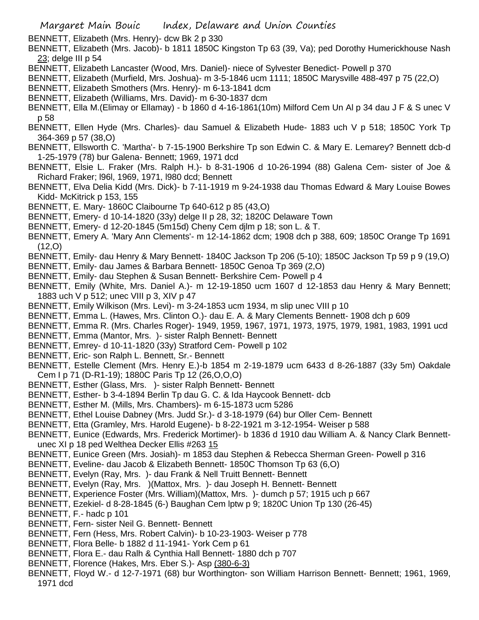BENNETT, Elizabeth (Mrs. Henry)- dcw Bk 2 p 330

- BENNETT, Elizabeth (Mrs. Jacob)- b 1811 1850C Kingston Tp 63 (39, Va); ped Dorothy Humerickhouse Nash 23; delge III p 54
- BENNETT, Elizabeth Lancaster (Wood, Mrs. Daniel)- niece of Sylvester Benedict- Powell p 370
- BENNETT, Elizabeth (Murfield, Mrs. Joshua)- m 3-5-1846 ucm 1111; 1850C Marysville 488-497 p 75 (22,O)
- BENNETT, Elizabeth Smothers (Mrs. Henry)- m 6-13-1841 dcm
- BENNETT, Elizabeth (Williams, Mrs. David)- m 6-30-1837 dcm
- BENNETT, Ella M.(Elimay or Ellamay) b 1860 d 4-16-1861(10m) Milford Cem Un Al p 34 dau J F & S unec V p 58
- BENNETT, Ellen Hyde (Mrs. Charles)- dau Samuel & Elizabeth Hude- 1883 uch V p 518; 1850C York Tp 364-369 p 57 (38,O)
- BENNETT, Ellsworth C. 'Martha'- b 7-15-1900 Berkshire Tp son Edwin C. & Mary E. Lemarey? Bennett dcb-d 1-25-1979 (78) bur Galena- Bennett; 1969, 1971 dcd
- BENNETT, Elsie L. Fraker (Mrs. Ralph H.)- b 8-31-1906 d 10-26-1994 (88) Galena Cem- sister of Joe & Richard Fraker; l96l, 1969, 1971, l980 dcd; Bennett
- BENNETT, Elva Delia Kidd (Mrs. Dick)- b 7-11-1919 m 9-24-1938 dau Thomas Edward & Mary Louise Bowes Kidd- McKitrick p 153, 155
- BENNETT, E. Mary- 1860C Claibourne Tp 640-612 p 85 (43,O)
- BENNETT, Emery- d 10-14-1820 (33y) delge II p 28, 32; 1820C Delaware Town
- BENNETT, Emery- d 12-20-1845 (5m15d) Cheny Cem djlm p 18; son L. & T.
- BENNETT, Emery A. 'Mary Ann Clements'- m 12-14-1862 dcm; 1908 dch p 388, 609; 1850C Orange Tp 1691 (12,O)
- BENNETT, Emily- dau Henry & Mary Bennett- 1840C Jackson Tp 206 (5-10); 1850C Jackson Tp 59 p 9 (19,O)
- BENNETT, Emily- dau James & Barbara Bennett- 1850C Genoa Tp 369 (2,O)
- BENNETT, Emily- dau Stephen & Susan Bennett- Berkshire Cem- Powell p 4
- BENNETT, Emily (White, Mrs. Daniel A.)- m 12-19-1850 ucm 1607 d 12-1853 dau Henry & Mary Bennett; 1883 uch V p 512; unec VIII p 3, XIV p 47
- BENNETT, Emily Wilkison (Mrs. Levi)- m 3-24-1853 ucm 1934, m slip unec VIII p 10
- BENNETT, Emma L. (Hawes, Mrs. Clinton O.)- dau E. A. & Mary Clements Bennett- 1908 dch p 609
- BENNETT, Emma R. (Mrs. Charles Roger)- 1949, 1959, 1967, 1971, 1973, 1975, 1979, 1981, 1983, 1991 ucd
- BENNETT, Emma (Mantor, Mrs. )- sister Ralph Bennett- Bennett
- BENNETT, Emrey- d 10-11-1820 (33y) Stratford Cem- Powell p 102
- BENNETT, Eric- son Ralph L. Bennett, Sr.- Bennett
- BENNETT, Estelle Clement (Mrs. Henry E.)-b 1854 m 2-19-1879 ucm 6433 d 8-26-1887 (33y 5m) Oakdale Cem I p 71 (D-R1-19); 1880C Paris Tp 12 (26,O,O,O)
- BENNETT, Esther (Glass, Mrs. )- sister Ralph Bennett- Bennett
- BENNETT, Esther- b 3-4-1894 Berlin Tp dau G. C. & Ida Haycook Bennett- dcb
- BENNETT, Esther M. (Mills, Mrs. Chambers)- m 6-15-1873 ucm 5286
- BENNETT, Ethel Louise Dabney (Mrs. Judd Sr.)- d 3-18-1979 (64) bur Oller Cem- Bennett
- BENNETT, Etta (Gramley, Mrs. Harold Eugene)- b 8-22-1921 m 3-12-1954- Weiser p 588
- BENNETT, Eunice (Edwards, Mrs. Frederick Mortimer)- b 1836 d 1910 dau William A. & Nancy Clark Bennettunec XI p 18 ped Welthea Decker Ellis #263 15
- BENNETT, Eunice Green (Mrs. Josiah)- m 1853 dau Stephen & Rebecca Sherman Green- Powell p 316
- BENNETT, Eveline- dau Jacob & Elizabeth Bennett- 1850C Thomson Tp 63 (6,O)
- BENNETT, Evelyn (Ray, Mrs. )- dau Frank & Nell Truitt Bennett- Bennett
- BENNETT, Evelyn (Ray, Mrs. )(Mattox, Mrs. )- dau Joseph H. Bennett- Bennett
- BENNETT, Experience Foster (Mrs. William)(Mattox, Mrs. )- dumch p 57; 1915 uch p 667
- BENNETT, Ezekiel- d 8-28-1845 (6-) Baughan Cem lptw p 9; 1820C Union Tp 130 (26-45)
- BENNETT, F.- hadc p 101
- BENNETT, Fern- sister Neil G. Bennett- Bennett
- BENNETT, Fern (Hess, Mrs. Robert Calvin)- b 10-23-1903- Weiser p 778
- BENNETT, Flora Belle- b 1882 d 11-1941- York Cem p 61
- BENNETT, Flora E.- dau Ralh & Cynthia Hall Bennett- 1880 dch p 707
- BENNETT, Florence (Hakes, Mrs. Eber S.)- Asp (380-6-3)
- BENNETT, Floyd W.- d 12-7-1971 (68) bur Worthington- son William Harrison Bennett- Bennett; 1961, 1969, 1971 dcd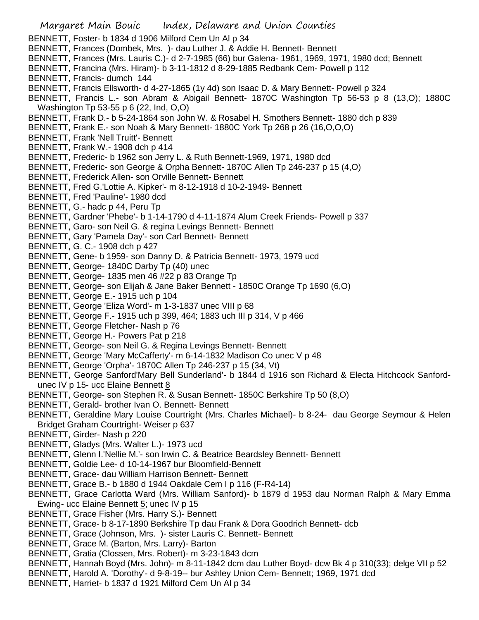- BENNETT, Foster- b 1834 d 1906 Milford Cem Un Al p 34
- BENNETT, Frances (Dombek, Mrs. )- dau Luther J. & Addie H. Bennett- Bennett
- BENNETT, Frances (Mrs. Lauris C.)- d 2-7-1985 (66) bur Galena- 1961, 1969, 1971, 1980 dcd; Bennett
- BENNETT, Francina (Mrs. Hiram)- b 3-11-1812 d 8-29-1885 Redbank Cem- Powell p 112
- BENNETT, Francis- dumch 144
- BENNETT, Francis Ellsworth- d 4-27-1865 (1y 4d) son Isaac D. & Mary Bennett- Powell p 324
- BENNETT, Francis L.- son Abram & Abigail Bennett- 1870C Washington Tp 56-53 p 8 (13,O); 1880C Washington Tp 53-55 p 6 (22, Ind, O,O)
- BENNETT, Frank D.- b 5-24-1864 son John W. & Rosabel H. Smothers Bennett- 1880 dch p 839
- BENNETT, Frank E.- son Noah & Mary Bennett- 1880C York Tp 268 p 26 (16,O,O,O)
- BENNETT, Frank 'Nell Truitt'- Bennett
- BENNETT, Frank W.- 1908 dch p 414
- BENNETT, Frederic- b 1962 son Jerry L. & Ruth Bennett-1969, 1971, 1980 dcd
- BENNETT, Frederic- son George & Orpha Bennett- 1870C Allen Tp 246-237 p 15 (4,O)
- BENNETT, Frederick Allen- son Orville Bennett- Bennett
- BENNETT, Fred G.'Lottie A. Kipker'- m 8-12-1918 d 10-2-1949- Bennett
- BENNETT, Fred 'Pauline'- 1980 dcd
- BENNETT, G.- hadc p 44, Peru Tp
- BENNETT, Gardner 'Phebe'- b 1-14-1790 d 4-11-1874 Alum Creek Friends- Powell p 337
- BENNETT, Garo- son Neil G. & regina Levings Bennett- Bennett
- BENNETT, Gary 'Pamela Day'- son Carl Bennett- Bennett
- BENNETT, G. C.- 1908 dch p 427
- BENNETT, Gene- b 1959- son Danny D. & Patricia Bennett- 1973, 1979 ucd
- BENNETT, George- 1840C Darby Tp (40) unec
- BENNETT, George- 1835 men 46 #22 p 83 Orange Tp
- BENNETT, George- son Elijah & Jane Baker Bennett 1850C Orange Tp 1690 (6,O)
- BENNETT, George E.- 1915 uch p 104
- BENNETT, George 'Eliza Word'- m 1-3-1837 unec VIII p 68
- BENNETT, George F.- 1915 uch p 399, 464; 1883 uch III p 314, V p 466
- BENNETT, George Fletcher- Nash p 76
- BENNETT, George H.- Powers Pat p 218
- BENNETT, George- son Neil G. & Regina Levings Bennett- Bennett
- BENNETT, George 'Mary McCafferty'- m 6-14-1832 Madison Co unec V p 48
- BENNETT, George 'Orpha'- 1870C Allen Tp 246-237 p 15 (34, Vt)
- BENNETT, George Sanford'Mary Bell Sunderland'- b 1844 d 1916 son Richard & Electa Hitchcock Sanfordunec IV p 15- ucc Elaine Bennett 8
- BENNETT, George- son Stephen R. & Susan Bennett- 1850C Berkshire Tp 50 (8,O)
- BENNETT, Gerald- brother Ivan O. Bennett- Bennett
- BENNETT, Geraldine Mary Louise Courtright (Mrs. Charles Michael)- b 8-24- dau George Seymour & Helen Bridget Graham Courtright- Weiser p 637
- BENNETT, Girder- Nash p 220
- BENNETT, Gladys (Mrs. Walter L.)- 1973 ucd
- BENNETT, Glenn I.'Nellie M.'- son Irwin C. & Beatrice Beardsley Bennett- Bennett
- BENNETT, Goldie Lee- d 10-14-1967 bur Bloomfield-Bennett
- BENNETT, Grace- dau William Harrison Bennett- Bennett
- BENNETT, Grace B.- b 1880 d 1944 Oakdale Cem I p 116 (F-R4-14)
- BENNETT, Grace Carlotta Ward (Mrs. William Sanford)- b 1879 d 1953 dau Norman Ralph & Mary Emma Ewing- ucc Elaine Bennett 5; unec IV p 15
- BENNETT, Grace Fisher (Mrs. Harry S.)- Bennett
- BENNETT, Grace- b 8-17-1890 Berkshire Tp dau Frank & Dora Goodrich Bennett- dcb
- BENNETT, Grace (Johnson, Mrs. )- sister Lauris C. Bennett- Bennett
- BENNETT, Grace M. (Barton, Mrs. Larry)- Barton
- BENNETT, Gratia (Clossen, Mrs. Robert)- m 3-23-1843 dcm
- BENNETT, Hannah Boyd (Mrs. John)- m 8-11-1842 dcm dau Luther Boyd- dcw Bk 4 p 310(33); delge VII p 52
- BENNETT, Harold A. 'Dorothy'- d 9-8-19-- bur Ashley Union Cem- Bennett; 1969, 1971 dcd
- BENNETT, Harriet- b 1837 d 1921 Milford Cem Un Al p 34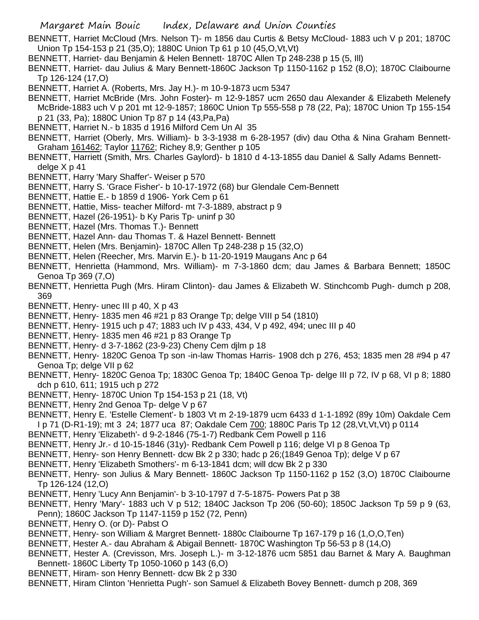- BENNETT, Harriet McCloud (Mrs. Nelson T)- m 1856 dau Curtis & Betsy McCloud- 1883 uch V p 201; 1870C Union Tp 154-153 p 21 (35,O); 1880C Union Tp 61 p 10 (45,O,Vt,Vt)
- BENNETT, Harriet- dau Benjamin & Helen Bennett- 1870C Allen Tp 248-238 p 15 (5, Ill)
- BENNETT, Harriet- dau Julius & Mary Bennett-1860C Jackson Tp 1150-1162 p 152 (8,O); 1870C Claibourne Tp 126-124 (17,O)
- BENNETT, Harriet A. (Roberts, Mrs. Jay H.)- m 10-9-1873 ucm 5347
- BENNETT, Harriet McBride (Mrs. John Foster)- m 12-9-1857 ucm 2650 dau Alexander & Elizabeth Melenefy McBride-1883 uch V p 201 mt 12-9-1857; 1860C Union Tp 555-558 p 78 (22, Pa); 1870C Union Tp 155-154 p 21 (33, Pa); 1880C Union Tp 87 p 14 (43,Pa,Pa)
- BENNETT, Harriet N.- b 1835 d 1916 Milford Cem Un Al 35
- BENNETT, Harriet (Oberly, Mrs. William)- b 3-3-1938 m 6-28-1957 (div) dau Otha & Nina Graham Bennett-Graham 161462; Taylor 11762; Richey 8,9; Genther p 105
- BENNETT, Harriett (Smith, Mrs. Charles Gaylord)- b 1810 d 4-13-1855 dau Daniel & Sally Adams Bennettdelge X p 41
- BENNETT, Harry 'Mary Shaffer'- Weiser p 570
- BENNETT, Harry S. 'Grace Fisher'- b 10-17-1972 (68) bur Glendale Cem-Bennett
- BENNETT, Hattie E.- b 1859 d 1906- York Cem p 61
- BENNETT, Hattie, Miss- teacher Milford- mt 7-3-1889, abstract p 9
- BENNETT, Hazel (26-1951)- b Ky Paris Tp- uninf p 30
- BENNETT, Hazel (Mrs. Thomas T.)- Bennett
- BENNETT, Hazel Ann- dau Thomas T. & Hazel Bennett- Bennett
- BENNETT, Helen (Mrs. Benjamin)- 1870C Allen Tp 248-238 p 15 (32,O)
- BENNETT, Helen (Reecher, Mrs. Marvin E.)- b 11-20-1919 Maugans Anc p 64
- BENNETT, Henrietta (Hammond, Mrs. William)- m 7-3-1860 dcm; dau James & Barbara Bennett; 1850C Genoa Tp 369 (7,O)
- BENNETT, Henrietta Pugh (Mrs. Hiram Clinton)- dau James & Elizabeth W. Stinchcomb Pugh- dumch p 208, 369
- BENNETT, Henry- unec III p 40, X p 43
- BENNETT, Henry- 1835 men 46 #21 p 83 Orange Tp; delge VIII p 54 (1810)
- BENNETT, Henry- 1915 uch p 47; 1883 uch IV p 433, 434, V p 492, 494; unec III p 40
- BENNETT, Henry- 1835 men 46 #21 p 83 Orange Tp
- BENNETT, Henry- d 3-7-1862 (23-9-23) Cheny Cem djlm p 18
- BENNETT, Henry- 1820C Genoa Tp son -in-law Thomas Harris- 1908 dch p 276, 453; 1835 men 28 #94 p 47 Genoa Tp; delge VII p 62
- BENNETT, Henry- 1820C Genoa Tp; 1830C Genoa Tp; 1840C Genoa Tp- delge III p 72, IV p 68, VI p 8; 1880 dch p 610, 611; 1915 uch p 272
- BENNETT, Henry- 1870C Union Tp 154-153 p 21 (18, Vt)
- BENNETT, Henry 2nd Genoa Tp- delge V p 67
- BENNETT, Henry E. 'Estelle Clement'- b 1803 Vt m 2-19-1879 ucm 6433 d 1-1-1892 (89y 10m) Oakdale Cem I p 71 (D-R1-19); mt 3 24; 1877 uca 87; Oakdale Cem 700; 1880C Paris Tp 12 (28,Vt,Vt,Vt) p 0114
- BENNETT, Henry 'Elizabeth'- d 9-2-1846 (75-1-7) Redbank Cem Powell p 116
- BENNETT, Henry Jr.- d 10-15-1846 (31y)- Redbank Cem Powell p 116; delge VI p 8 Genoa Tp
- BENNETT, Henry- son Henry Bennett- dcw Bk 2 p 330; hadc p 26;(1849 Genoa Tp); delge V p 67
- BENNETT, Henry 'Elizabeth Smothers'- m 6-13-1841 dcm; will dcw Bk 2 p 330
- BENNETT, Henry- son Julius & Mary Bennett- 1860C Jackson Tp 1150-1162 p 152 (3,O) 1870C Claibourne Tp 126-124 (12,O)
- BENNETT, Henry 'Lucy Ann Benjamin'- b 3-10-1797 d 7-5-1875- Powers Pat p 38
- BENNETT, Henry 'Mary'- 1883 uch V p 512; 1840C Jackson Tp 206 (50-60); 1850C Jackson Tp 59 p 9 (63, Penn); 1860C Jackson Tp 1147-1159 p 152 (72, Penn)
- BENNETT, Henry O. (or D)- Pabst O
- BENNETT, Henry- son William & Margret Bennett- 1880c Claibourne Tp 167-179 p 16 (1,O,O,Ten)
- BENNETT, Hester A.- dau Abraham & Abigail Bennett- 1870C Washington Tp 56-53 p 8 (14,O)
- BENNETT, Hester A. (Crevisson, Mrs. Joseph L.)- m 3-12-1876 ucm 5851 dau Barnet & Mary A. Baughman Bennett- 1860C Liberty Tp 1050-1060 p 143 (6,O)
- BENNETT, Hiram- son Henry Bennett- dcw Bk 2 p 330
- BENNETT, Hiram Clinton 'Henrietta Pugh'- son Samuel & Elizabeth Bovey Bennett- dumch p 208, 369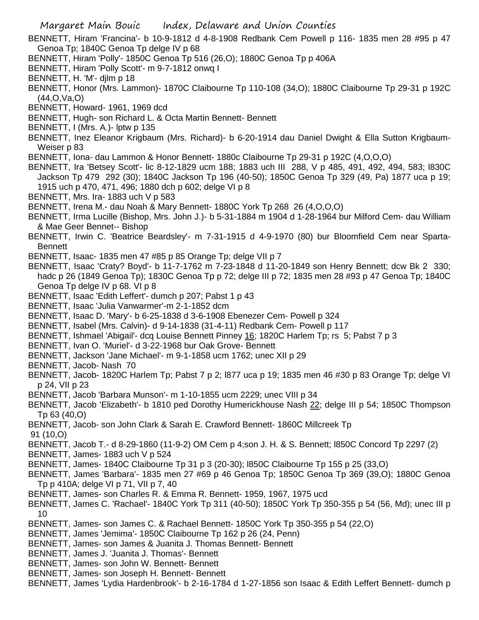- BENNETT, Hiram 'Francina'- b 10-9-1812 d 4-8-1908 Redbank Cem Powell p 116- 1835 men 28 #95 p 47 Genoa Tp; 1840C Genoa Tp delge IV p 68
- BENNETT, Hiram 'Polly'- 1850C Genoa Tp 516 (26,O); 1880C Genoa Tp p 406A
- BENNETT, Hiram 'Polly Scott'- m 9-7-1812 onwq I
- BENNETT, H. 'M'- djlm p 18
- BENNETT, Honor (Mrs. Lammon)- 1870C Claibourne Tp 110-108 (34,O); 1880C Claibourne Tp 29-31 p 192C (44,O,Va,O)
- BENNETT, Howard- 1961, 1969 dcd
- BENNETT, Hugh- son Richard L. & Octa Martin Bennett- Bennett
- BENNETT, I (Mrs. A.)- lptw p 135
- BENNETT, Inez Eleanor Krigbaum (Mrs. Richard)- b 6-20-1914 dau Daniel Dwight & Ella Sutton Krigbaum-Weiser p 83
- BENNETT, Iona- dau Lammon & Honor Bennett- 1880c Claibourne Tp 29-31 p 192C (4,O,O,O)
- BENNETT, Ira 'Betsey Scott'- lic 8-12-1829 ucm 188; 1883 uch III 288, V p 485, 491, 492, 494, 583; l830C Jackson Tp 479 292 (30); 1840C Jackson Tp 196 (40-50); 1850C Genoa Tp 329 (49, Pa) 1877 uca p 19; 1915 uch p 470, 471, 496; 1880 dch p 602; delge VI p 8
- BENNETT, Mrs. Ira- 1883 uch V p 583
- BENNETT, Irena M.- dau Noah & Mary Bennett- 1880C York Tp 268 26 (4,O,O,O)
- BENNETT, Irma Lucille (Bishop, Mrs. John J.)- b 5-31-1884 m 1904 d 1-28-1964 bur Milford Cem- dau William & Mae Geer Bennet-- Bishop
- BENNETT, Irwin C. 'Beatrice Beardsley'- m 7-31-1915 d 4-9-1970 (80) bur Bloomfield Cem near Sparta-**Bennett**
- BENNETT, Isaac- 1835 men 47 #85 p 85 Orange Tp; delge VII p 7
- BENNETT, Isaac 'Craty? Boyd'- b 11-7-1762 m 7-23-1848 d 11-20-1849 son Henry Bennett; dcw Bk 2 330; hadc p 26 (1849 Genoa Tp); 1830C Genoa Tp p 72; delge III p 72; 1835 men 28 #93 p 47 Genoa Tp; 1840C Genoa Tp delge IV p 68. VI p 8
- BENNETT, Isaac 'Edith Leffert'- dumch p 207; Pabst 1 p 43
- BENNETT, Isaac 'Julia Vanwarmer'-m 2-1-1852 dcm
- BENNETT, Isaac D. 'Mary'- b 6-25-1838 d 3-6-1908 Ebenezer Cem- Powell p 324
- BENNETT, Isabel (Mrs. Calvin)- d 9-14-1838 (31-4-11) Redbank Cem- Powell p 117
- BENNETT, Ishmael 'Abigail'- dcq Louise Bennett Pinney 16; 1820C Harlem Tp; rs 5; Pabst 7 p 3
- BENNETT, Ivan O. 'Muriel'- d 3-22-1968 bur Oak Grove- Bennett
- BENNETT, Jackson 'Jane Michael'- m 9-1-1858 ucm 1762; unec XII p 29
- BENNETT, Jacob- Nash 70
- BENNETT, Jacob- 1820C Harlem Tp; Pabst 7 p 2; l877 uca p 19; 1835 men 46 #30 p 83 Orange Tp; delge VI p 24, VII p 23
- BENNETT, Jacob 'Barbara Munson'- m 1-10-1855 ucm 2229; unec VIII p 34
- BENNETT, Jacob 'Elizabeth'- b 1810 ped Dorothy Humerickhouse Nash 22; delge III p 54; 1850C Thompson Tp 63 (40,O)
- BENNETT, Jacob- son John Clark & Sarah E. Crawford Bennett- 1860C Millcreek Tp 91 (10,O)
- BENNETT, Jacob T.- d 8-29-1860 (11-9-2) OM Cem p 4;son J. H. & S. Bennett; l850C Concord Tp 2297 (2)
- BENNETT, James- 1883 uch V p 524
- BENNETT, James- 1840C Claibourne Tp 31 p 3 (20-30); l850C Claibourne Tp 155 p 25 (33,O)
- BENNETT, James 'Barbara'- 1835 men 27 #69 p 46 Genoa Tp; 1850C Genoa Tp 369 (39,O); 1880C Genoa Tp p 410A; delge VI p 71, VII p 7, 40
- BENNETT, James- son Charles R. & Emma R. Bennett- 1959, 1967, 1975 ucd
- BENNETT, James C. 'Rachael'- 1840C York Tp 311 (40-50); 1850C York Tp 350-355 p 54 (56, Md); unec III p 10
- BENNETT, James- son James C. & Rachael Bennett- 1850C York Tp 350-355 p 54 (22,O)
- BENNETT, James 'Jemima'- 1850C Claibourne Tp 162 p 26 (24, Penn)
- BENNETT, James- son James & Juanita J. Thomas Bennett- Bennett
- BENNETT, James J. 'Juanita J. Thomas'- Bennett
- BENNETT, James- son John W. Bennett- Bennett
- BENNETT, James- son Joseph H. Bennett- Bennett
- BENNETT, James 'Lydia Hardenbrook'- b 2-16-1784 d 1-27-1856 son Isaac & Edith Leffert Bennett- dumch p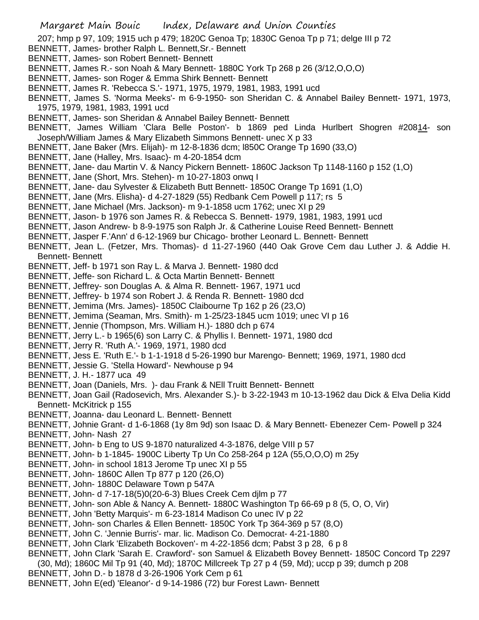207; hmp p 97, 109; 1915 uch p 479; 1820C Genoa Tp; 1830C Genoa Tp p 71; delge III p 72

- BENNETT, James- brother Ralph L. Bennett,Sr.- Bennett
- BENNETT, James- son Robert Bennett- Bennett
- BENNETT, James R.- son Noah & Mary Bennett- 1880C York Tp 268 p 26 (3/12,O,O,O)
- BENNETT, James- son Roger & Emma Shirk Bennett- Bennett
- BENNETT, James R. 'Rebecca S.'- 1971, 1975, 1979, 1981, 1983, 1991 ucd
- BENNETT, James S. 'Norma Meeks'- m 6-9-1950- son Sheridan C. & Annabel Bailey Bennett- 1971, 1973, 1975, 1979, 1981, 1983, 1991 ucd
- BENNETT, James- son Sheridan & Annabel Bailey Bennett- Bennett
- BENNETT, James William 'Clara Belle Poston'- b 1869 ped Linda Hurlbert Shogren #20814- son Joseph/William James & Mary Elizabeth Simmons Bennett- unec X p 33
- BENNETT, Jane Baker (Mrs. Elijah)- m 12-8-1836 dcm; l850C Orange Tp 1690 (33,O)
- BENNETT, Jane (Halley, Mrs. Isaac)- m 4-20-1854 dcm
- BENNETT, Jane- dau Martin V. & Nancy Pickern Bennett- 1860C Jackson Tp 1148-1160 p 152 (1,O)
- BENNETT, Jane (Short, Mrs. Stehen)- m 10-27-1803 onwq I
- BENNETT, Jane- dau Sylvester & Elizabeth Butt Bennett- 1850C Orange Tp 1691 (1,O)
- BENNETT, Jane (Mrs. Elisha)- d 4-27-1829 (55) Redbank Cem Powell p 117; rs 5
- BENNETT, Jane Michael (Mrs. Jackson)- m 9-1-1858 ucm 1762; unec XI p 29
- BENNETT, Jason- b 1976 son James R. & Rebecca S. Bennett- 1979, 1981, 1983, 1991 ucd
- BENNETT, Jason Andrew- b 8-9-1975 son Ralph Jr. & Catherine Louise Reed Bennett- Bennett
- BENNETT, Jasper F.'Ann' d 6-12-1969 bur Chicago- brother Leonard L. Bennett- Bennett
- BENNETT, Jean L. (Fetzer, Mrs. Thomas)- d 11-27-1960 (440 Oak Grove Cem dau Luther J. & Addie H. Bennett- Bennett
- BENNETT, Jeff- b 1971 son Ray L. & Marva J. Bennett- 1980 dcd
- BENNETT, Jeffe- son Richard L. & Octa Martin Bennett- Bennett
- BENNETT, Jeffrey- son Douglas A. & Alma R. Bennett- 1967, 1971 ucd
- BENNETT, Jeffrey- b 1974 son Robert J. & Renda R. Bennett- 1980 dcd
- BENNETT, Jemima (Mrs. James)- 1850C Claibourne Tp 162 p 26 (23,O)
- BENNETT, Jemima (Seaman, Mrs. Smith)- m 1-25/23-1845 ucm 1019; unec VI p 16
- BENNETT, Jennie (Thompson, Mrs. William H.)- 1880 dch p 674
- BENNETT, Jerry L.- b 1965(6) son Larry C. & Phyllis I. Bennett- 1971, 1980 dcd
- BENNETT, Jerry R. 'Ruth A.'- 1969, 1971, 1980 dcd
- BENNETT, Jess E. 'Ruth E.'- b 1-1-1918 d 5-26-1990 bur Marengo- Bennett; 1969, 1971, 1980 dcd
- BENNETT, Jessie G. 'Stella Howard'- Newhouse p 94
- BENNETT, J. H.- 1877 uca 49
- BENNETT, Joan (Daniels, Mrs. )- dau Frank & NEll Truitt Bennett- Bennett
- BENNETT, Joan Gail (Radosevich, Mrs. Alexander S.)- b 3-22-1943 m 10-13-1962 dau Dick & Elva Delia Kidd Bennett- McKitrick p 155
- BENNETT, Joanna- dau Leonard L. Bennett- Bennett
- BENNETT, Johnie Grant- d 1-6-1868 (1y 8m 9d) son Isaac D. & Mary Bennett- Ebenezer Cem- Powell p 324
- BENNETT, John- Nash 27
- BENNETT, John- b Eng to US 9-1870 naturalized 4-3-1876, delge VIII p 57
- BENNETT, John- b 1-1845- 1900C Liberty Tp Un Co 258-264 p 12A (55,O,O,O) m 25y
- BENNETT, John- in school 1813 Jerome Tp unec XI p 55
- BENNETT, John- 1860C Allen Tp 877 p 120 (26,O)
- BENNETT, John- 1880C Delaware Town p 547A
- BENNETT, John- d 7-17-18(5)0(20-6-3) Blues Creek Cem djlm p 77
- BENNETT, John- son Able & Nancy A. Bennett- 1880C Washington Tp 66-69 p 8 (5, O, O, Vir)
- BENNETT, John 'Betty Marquis'- m 6-23-1814 Madison Co unec IV p 22
- BENNETT, John- son Charles & Ellen Bennett- 1850C York Tp 364-369 p 57 (8,O)
- BENNETT, John C. 'Jennie Burris'- mar. lic. Madison Co. Democrat- 4-21-1880
- BENNETT, John Clark 'Elizabeth Bockoven'- m 4-22-1856 dcm; Pabst 3 p 28, 6 p 8
- BENNETT, John Clark 'Sarah E. Crawford'- son Samuel & Elizabeth Bovey Bennett- 1850C Concord Tp 2297
- (30, Md); 1860C Mil Tp 91 (40, Md); 1870C Millcreek Tp 27 p 4 (59, Md); uccp p 39; dumch p 208
- BENNETT, John D.- b 1878 d 3-26-1906 York Cem p 61
- BENNETT, John E(ed) 'Eleanor'- d 9-14-1986 (72) bur Forest Lawn- Bennett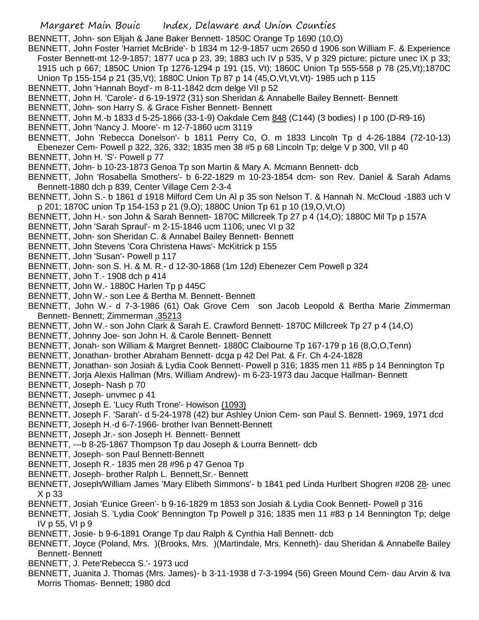## Margaret Main Bouic Index, Delaware and Union Counties

BENNETT, John- son Elijah & Jane Baker Bennett- 1850C Orange Tp 1690 (10,O)

- BENNETT, John Foster 'Harriet McBride'- b 1834 m 12-9-1857 ucm 2650 d 1906 son William F. & Experience Foster Bennett-mt 12-9-1857; 1877 uca p 23, 39; 1883 uch IV p 535, V p 329 picture; picture unec IX p 33; 1915 uch p 667; 1850C Union Tp 1276-1294 p 191 (15, Vt); 1860C Union Tp 555-558 p 78 (25,Vt);1870C Union Tp 155-154 p 21 (35,Vt); 1880C Union Tp 87 p 14 (45,O,Vt,Vt,Vt)- 1985 uch p 115
- BENNETT, John 'Hannah Boyd'- m 8-11-1842 dcm delge VII p 52
- BENNETT, John H. 'Carole'- d 6-19-1972 (31) son Sheridan & Annabelle Bailey Bennett- Bennett
- BENNETT, John- son Harry S. & Grace Fisher Bennett- Bennett
- BENNETT, John M.-b 1833 d 5-25-1866 (33-1-9) Oakdale Cem 848 (C144) (3 bodies) I p 100 (D-R9-16)
- BENNETT, John 'Nancy J. Moore'- m 12-7-1860 ucm 3119
- BENNETT, John 'Rebecca Donelson'- b 1811 Perry Co, O. m 1833 Lincoln Tp d 4-26-1884 (72-10-13) Ebenezer Cem- Powell p 322, 326, 332; 1835 men 38 #5 p 68 Lincoln Tp; delge V p 300, VII p 40
- BENNETT, John H. 'S'- Powell p 77
- BENNETT, John- b 10-23-1873 Genoa Tp son Martin & Mary A. Mcmann Bennett- dcb
- BENNETT, John 'Rosabella Smothers'- b 6-22-1829 m 10-23-1854 dcm- son Rev. Daniel & Sarah Adams Bennett-1880 dch p 839, Center Village Cem 2-3-4
- BENNETT, John S.- b 1861 d 1918 Milford Cem Un Al p 35 son Nelson T. & Hannah N. McCloud -1883 uch V p 201; 1870C union Tp 154-153 p 21 (9,O); 1880C Union Tp 61 p 10 (19,O,Vt,O)
- BENNETT, John H.- son John & Sarah Bennett- 1870C Millcreek Tp 27 p 4 (14,O); 1880C Mil Tp p 157A
- BENNETT, John 'Sarah Spraul'- m 2-15-1846 ucm 1106; unec VI p 32
- BENNETT, John- son Sheridan C. & Annabel Bailey Bennett- Bennett
- BENNETT, John Stevens 'Cora Christena Haws'- McKitrick p 155
- BENNETT, John 'Susan'- Powell p 117
- BENNETT, John- son S. H. & M. R.- d 12-30-1868 (1m 12d) Ebenezer Cem Powell p 324
- BENNETT, John T.- 1908 dch p 414
- BENNETT, John W.- 1880C Harlen Tp p 445C
- BENNETT, John W.- son Lee & Bertha M. Bennett- Bennett
- BENNETT, John W.- d 7-3-1986 (61) Oak Grove Cem son Jacob Leopold & Bertha Marie Zimmerman Bennett- Bennett; Zimmerman .35213
- BENNETT, John W.- son John Clark & Sarah E. Crawford Bennett- 1870C Millcreek Tp 27 p 4 (14,O)
- BENNETT, Johnny Joe- son John H. & Carole Bennett- Bennett
- BENNETT, Jonah- son William & Margret Bennett- 1880C Claibourne Tp 167-179 p 16 (8,O,O,Tenn)
- BENNETT, Jonathan- brother Abraham Bennett- dcga p 42 Del Pat. & Fr. Ch 4-24-1828
- BENNETT, Jonathan- son Josiah & Lydia Cook Bennett- Powell p 316; 1835 men 11 #85 p 14 Bennington Tp
- BENNETT, Jorja Alexis Hallman (Mrs. William Andrew)- m 6-23-1973 dau Jacque Hallman- Bennett
- BENNETT, Joseph- Nash p 70
- BENNETT, Joseph- unvmec p 41
- BENNETT, Joseph E. 'Lucy Ruth Trone'- Howison (1093)
- BENNETT, Joseph F. 'Sarah'- d 5-24-1978 (42) bur Ashley Union Cem- son Paul S. Bennett- 1969, 1971 dcd
- BENNETT, Joseph H.-d 6-7-1966- brother Ivan Bennett-Bennett
- BENNETT, Joseph Jr.- son Joseph H. Bennett- Bennett
- BENNETT, ---b 8-25-1867 Thompson Tp dau Joseph & Lourra Bennett- dcb
- BENNETT, Joseph- son Paul Bennett-Bennett
- BENNETT, Joseph R.- 1835 men 28 #96 p 47 Genoa Tp
- BENNETT, Joseph- brother Ralph L. Bennett,Sr.- Bennett
- BENNETT, Joseph/William James 'Mary Elibeth Simmons'- b 1841 ped Linda Hurlbert Shogren #208 28- unec X p 33
- BENNETT, Josiah 'Eunice Green'- b 9-16-1829 m 1853 son Josiah & Lydia Cook Bennett- Powell p 316
- BENNETT, Josiah S. 'Lydia Cook' Bennington Tp Powell p 316; 1835 men 11 #83 p 14 Bennington Tp; delge IV p 55, VI p 9
- BENNETT, Josie- b 9-6-1891 Orange Tp dau Ralph & Cynthia Hall Bennett- dcb
- BENNETT, Joyce (Poland, Mrs. )(Brooks, Mrs. )(Martindale, Mrs. Kenneth)- dau Sheridan & Annabelle Bailey Bennett- Bennett
- BENNETT, J. Pete'Rebecca S.'- 1973 ucd
- BENNETT, Juanita J. Thomas (Mrs. James)- b 3-11-1938 d 7-3-1994 (56) Green Mound Cem- dau Arvin & Iva Morris Thomas- Bennett; 1980 dcd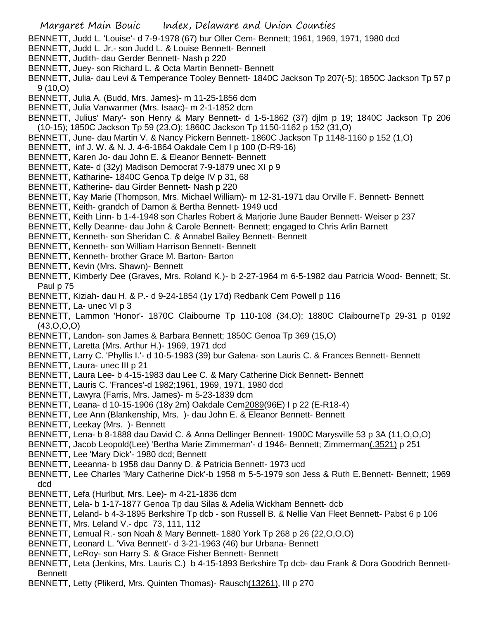BENNETT, Judd L. 'Louise'- d 7-9-1978 (67) bur Oller Cem- Bennett; 1961, 1969, 1971, 1980 dcd

- BENNETT, Judd L. Jr.- son Judd L. & Louise Bennett- Bennett
- BENNETT, Judith- dau Gerder Bennett- Nash p 220
- BENNETT, Juey- son Richard L. & Octa Martin Bennett- Bennett
- BENNETT, Julia- dau Levi & Temperance Tooley Bennett- 1840C Jackson Tp 207(-5); 1850C Jackson Tp 57 p 9 (10,O)
- BENNETT, Julia A. (Budd, Mrs. James)- m 11-25-1856 dcm
- BENNETT, Julia Vanwarmer (Mrs. Isaac)- m 2-1-1852 dcm

BENNETT, Julius' Mary'- son Henry & Mary Bennett- d 1-5-1862 (37) djlm p 19; 1840C Jackson Tp 206 (10-15); 1850C Jackson Tp 59 (23,O); 1860C Jackson Tp 1150-1162 p 152 (31,O)

- BENNETT, June- dau Martin V. & Nancy Pickern Bennett- 1860C Jackson Tp 1148-1160 p 152 (1,O)
- BENNETT, inf J. W. & N. J. 4-6-1864 Oakdale Cem I p 100 (D-R9-16)
- BENNETT, Karen Jo- dau John E. & Eleanor Bennett- Bennett
- BENNETT, Kate- d (32y) Madison Democrat 7-9-1879 unec XI p 9
- BENNETT, Katharine- 1840C Genoa Tp delge IV p 31, 68
- BENNETT, Katherine- dau Girder Bennett- Nash p 220
- BENNETT, Kay Marie (Thompson, Mrs. Michael William)- m 12-31-1971 dau Orville F. Bennett- Bennett
- BENNETT, Keith- grandch of Damon & Bertha Bennett- 1949 ucd
- BENNETT, Keith Linn- b 1-4-1948 son Charles Robert & Marjorie June Bauder Bennett- Weiser p 237
- BENNETT, Kelly Deanne- dau John & Carole Bennett- Bennett; engaged to Chris Arlin Barnett
- BENNETT, Kenneth- son Sheridan C. & Annabel Bailey Bennett- Bennett
- BENNETT, Kenneth- son William Harrison Bennett- Bennett
- BENNETT, Kenneth- brother Grace M. Barton- Barton
- BENNETT, Kevin (Mrs. Shawn)- Bennett
- BENNETT, Kimberly Dee (Graves, Mrs. Roland K.)- b 2-27-1964 m 6-5-1982 dau Patricia Wood- Bennett; St. Paul p 75
- BENNETT, Kiziah- dau H. & P.- d 9-24-1854 (1y 17d) Redbank Cem Powell p 116
- BENNETT, La- unec VI p 3
- BENNETT, Lammon 'Honor'- 1870C Claibourne Tp 110-108 (34,O); 1880C ClaibourneTp 29-31 p 0192 (43,O,O,O)
- BENNETT, Landon- son James & Barbara Bennett; 1850C Genoa Tp 369 (15,O)
- BENNETT, Laretta (Mrs. Arthur H.)- 1969, 1971 dcd
- BENNETT, Larry C. 'Phyllis I.'- d 10-5-1983 (39) bur Galena- son Lauris C. & Frances Bennett- Bennett
- BENNETT, Laura- unec III p 21
- BENNETT, Laura Lee- b 4-15-1983 dau Lee C. & Mary Catherine Dick Bennett- Bennett
- BENNETT, Lauris C. 'Frances'-d 1982;1961, 1969, 1971, 1980 dcd
- BENNETT, Lawyra (Farris, Mrs. James)- m 5-23-1839 dcm
- BENNETT, Leana- d 10-15-1906 (18y 2m) Oakdale Cem2089(96E) I p 22 (E-R18-4)
- BENNETT, Lee Ann (Blankenship, Mrs. )- dau John E. & Eleanor Bennett- Bennett
- BENNETT, Leekay (Mrs. )- Bennett
- BENNETT, Lena- b 8-1888 dau David C. & Anna Dellinger Bennett- 1900C Marysville 53 p 3A (11,O,O,O)
- BENNETT, Jacob Leopold(Lee) 'Bertha Marie Zimmerman'- d 1946- Bennett; Zimmerman(.3521) p 251
- BENNETT, Lee 'Mary Dick'- 1980 dcd; Bennett
- BENNETT, Leeanna- b 1958 dau Danny D. & Patricia Bennett- 1973 ucd
- BENNETT, Lee Charles 'Mary Catherine Dick'-b 1958 m 5-5-1979 son Jess & Ruth E.Bennett- Bennett; 1969 dcd
- BENNETT, Lefa (Hurlbut, Mrs. Lee)- m 4-21-1836 dcm
- BENNETT, Lela- b 1-17-1877 Genoa Tp dau Silas & Adelia Wickham Bennett- dcb
- BENNETT, Leland- b 4-3-1895 Berkshire Tp dcb son Russell B. & Nellie Van Fleet Bennett- Pabst 6 p 106
- BENNETT, Mrs. Leland V.- dpc 73, 111, 112
- BENNETT, Lemual R.- son Noah & Mary Bennett- 1880 York Tp 268 p 26 (22,O,O,O)
- BENNETT, Leonard L. 'Viva Bennett'- d 3-21-1963 (46) bur Urbana- Bennett
- BENNETT, LeRoy- son Harry S. & Grace Fisher Bennett- Bennett
- BENNETT, Leta (Jenkins, Mrs. Lauris C.) b 4-15-1893 Berkshire Tp dcb- dau Frank & Dora Goodrich Bennett-**Bennett**
- BENNETT, Letty (Plikerd, Mrs. Quinten Thomas)- Rausch(13261), III p 270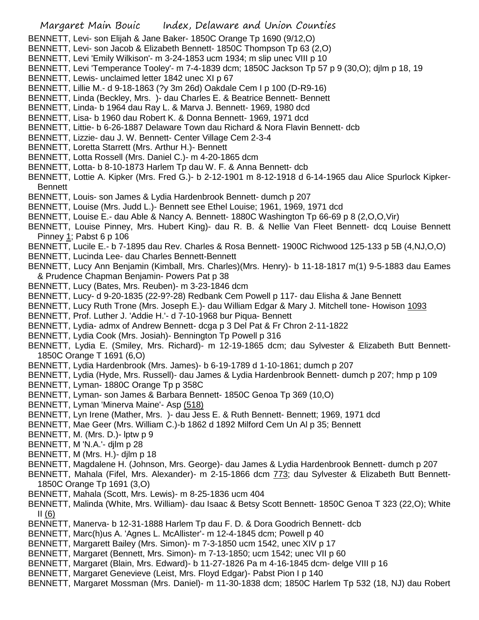- BENNETT, Levi- son Elijah & Jane Baker- 1850C Orange Tp 1690 (9/12,O)
- BENNETT, Levi- son Jacob & Elizabeth Bennett- 1850C Thompson Tp 63 (2,O)
- BENNETT, Levi 'Emily Wilkison'- m 3-24-1853 ucm 1934; m slip unec VIII p 10
- BENNETT, Levi 'Temperance Tooley'- m 7-4-1839 dcm; 1850C Jackson Tp 57 p 9 (30,O); djlm p 18, 19
- BENNETT, Lewis- unclaimed letter 1842 unec XI p 67
- BENNETT, Lillie M.- d 9-18-1863 (?y 3m 26d) Oakdale Cem I p 100 (D-R9-16)
- BENNETT, Linda (Beckley, Mrs. )- dau Charles E. & Beatrice Bennett- Bennett
- BENNETT, Linda- b 1964 dau Ray L. & Marva J. Bennett- 1969, 1980 dcd
- BENNETT, Lisa- b 1960 dau Robert K. & Donna Bennett- 1969, 1971 dcd
- BENNETT, Littie- b 6-26-1887 Delaware Town dau Richard & Nora Flavin Bennett- dcb
- BENNETT, Lizzie- dau J. W. Bennett- Center Village Cem 2-3-4
- BENNETT, Loretta Starrett (Mrs. Arthur H.)- Bennett
- BENNETT, Lotta Rossell (Mrs. Daniel C.)- m 4-20-1865 dcm
- BENNETT, Lotta- b 8-10-1873 Harlem Tp dau W. F. & Anna Bennett- dcb
- BENNETT, Lottie A. Kipker (Mrs. Fred G.)- b 2-12-1901 m 8-12-1918 d 6-14-1965 dau Alice Spurlock Kipker-Bennett
- BENNETT, Louis- son James & Lydia Hardenbrook Bennett- dumch p 207
- BENNETT, Louise (Mrs. Judd L.)- Bennett see Ethel Louise; 1961, 1969, 1971 dcd
- BENNETT, Louise E.- dau Able & Nancy A. Bennett- 1880C Washington Tp 66-69 p 8 (2,O,O,Vir)
- BENNETT, Louise Pinney, Mrs. Hubert King)- dau R. B. & Nellie Van Fleet Bennett- dcq Louise Bennett Pinney  $1$ ; Pabst 6 p 106
- BENNETT, Lucile E.- b 7-1895 dau Rev. Charles & Rosa Bennett- 1900C Richwood 125-133 p 5B (4,NJ,O,O)
- BENNETT, Lucinda Lee- dau Charles Bennett-Bennett
- BENNETT, Lucy Ann Benjamin (Kimball, Mrs. Charles)(Mrs. Henry)- b 11-18-1817 m(1) 9-5-1883 dau Eames & Prudence Chapman Benjamin- Powers Pat p 38
- BENNETT, Lucy (Bates, Mrs. Reuben)- m 3-23-1846 dcm
- BENNETT, Lucy- d 9-20-1835 (22-9?-28) Redbank Cem Powell p 117- dau Elisha & Jane Bennett
- BENNETT, Lucy Ruth Trone (Mrs. Joseph E.)- dau William Edgar & Mary J. Mitchell tone- Howison 1093
- BENNETT, Prof. Luther J. 'Addie H.'- d 7-10-1968 bur Piqua- Bennett
- BENNETT, Lydia- admx of Andrew Bennett- dcga p 3 Del Pat & Fr Chron 2-11-1822
- BENNETT, Lydia Cook (Mrs. Josiah)- Bennington Tp Powell p 316
- BENNETT, Lydia E. (Smiley, Mrs. Richard)- m 12-19-1865 dcm; dau Sylvester & Elizabeth Butt Bennett-1850C Orange T 1691 (6,O)
- BENNETT, Lydia Hardenbrook (Mrs. James)- b 6-19-1789 d 1-10-1861; dumch p 207
- BENNETT, Lydia (Hyde, Mrs. Russell)- dau James & Lydia Hardenbrook Bennett- dumch p 207; hmp p 109
- BENNETT, Lyman- 1880C Orange Tp p 358C
- BENNETT, Lyman- son James & Barbara Bennett- 1850C Genoa Tp 369 (10,O)
- BENNETT, Lyman 'Minerva Maine'- Asp (518)
- BENNETT, Lyn Irene (Mather, Mrs. )- dau Jess E. & Ruth Bennett- Bennett; 1969, 1971 dcd
- BENNETT, Mae Geer (Mrs. William C.)-b 1862 d 1892 Milford Cem Un Al p 35; Bennett
- BENNETT, M. (Mrs. D.)- lptw p 9
- BENNETT, M 'N.A.'- djlm p 28
- BENNETT, M (Mrs. H.)- djlm p 18
- BENNETT, Magdalene H. (Johnson, Mrs. George)- dau James & Lydia Hardenbrook Bennett- dumch p 207
- BENNETT, Mahala (Fifel, Mrs. Alexander)- m 2-15-1866 dcm 773; dau Sylvester & Elizabeth Butt Bennett-1850C Orange Tp 1691 (3,O)
- BENNETT, Mahala (Scott, Mrs. Lewis)- m 8-25-1836 ucm 404
- BENNETT, Malinda (White, Mrs. William)- dau Isaac & Betsy Scott Bennett- 1850C Genoa T 323 (22,O); White  $II(6)$
- BENNETT, Manerva- b 12-31-1888 Harlem Tp dau F. D. & Dora Goodrich Bennett- dcb
- BENNETT, Marc(h)us A. 'Agnes L. McAllister'- m 12-4-1845 dcm; Powell p 40
- BENNETT, Margarett Bailey (Mrs. Simon)- m 7-3-1850 ucm 1542, unec XIV p 17
- BENNETT, Margaret (Bennett, Mrs. Simon)- m 7-13-1850; ucm 1542; unec VII p 60
- BENNETT, Margaret (Blain, Mrs. Edward)- b 11-27-1826 Pa m 4-16-1845 dcm- delge VIII p 16
- BENNETT, Margaret Genevieve (Leist, Mrs. Floyd Edgar)- Pabst Pion I p 140
- BENNETT, Margaret Mossman (Mrs. Daniel)- m 11-30-1838 dcm; 1850C Harlem Tp 532 (18, NJ) dau Robert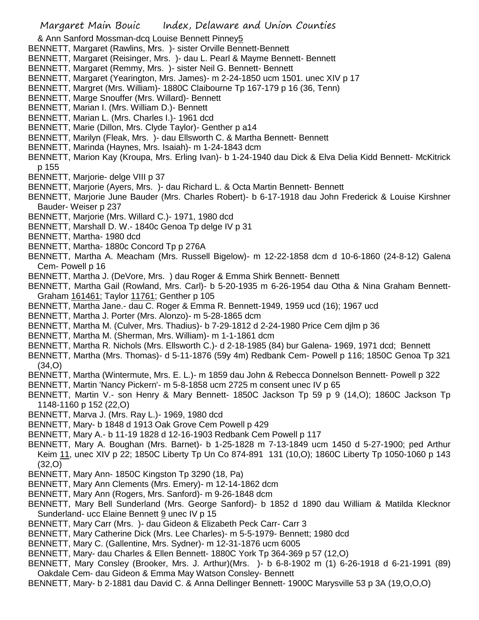& Ann Sanford Mossman-dcq Louise Bennett Pinney5

- BENNETT, Margaret (Rawlins, Mrs. )- sister Orville Bennett-Bennett
- BENNETT, Margaret (Reisinger, Mrs. )- dau L. Pearl & Mayme Bennett- Bennett
- BENNETT, Margaret (Remmy, Mrs. )- sister Neil G. Bennett- Bennett
- BENNETT, Margaret (Yearington, Mrs. James)- m 2-24-1850 ucm 1501. unec XIV p 17
- BENNETT, Margret (Mrs. William)- 1880C Claibourne Tp 167-179 p 16 (36, Tenn)
- BENNETT, Marge Snouffer (Mrs. Willard)- Bennett
- BENNETT, Marian I. (Mrs. William D.)- Bennett
- BENNETT, Marian L. (Mrs. Charles I.)- 1961 dcd
- BENNETT, Marie (Dillon, Mrs. Clyde Taylor)- Genther p a14
- BENNETT, Marilyn (Fleak, Mrs. )- dau Ellsworth C. & Martha Bennett- Bennett
- BENNETT, Marinda (Haynes, Mrs. Isaiah)- m 1-24-1843 dcm
- BENNETT, Marion Kay (Kroupa, Mrs. Erling Ivan)- b 1-24-1940 dau Dick & Elva Delia Kidd Bennett- McKitrick p 155
- BENNETT, Marjorie- delge VIII p 37
- BENNETT, Marjorie (Ayers, Mrs. )- dau Richard L. & Octa Martin Bennett- Bennett
- BENNETT, Marjorie June Bauder (Mrs. Charles Robert)- b 6-17-1918 dau John Frederick & Louise Kirshner Bauder- Weiser p 237
- BENNETT, Marjorie (Mrs. Willard C.)- 1971, 1980 dcd
- BENNETT, Marshall D. W.- 1840c Genoa Tp delge IV p 31
- BENNETT, Martha- 1980 dcd
- BENNETT, Martha- 1880c Concord Tp p 276A
- BENNETT, Martha A. Meacham (Mrs. Russell Bigelow)- m 12-22-1858 dcm d 10-6-1860 (24-8-12) Galena Cem- Powell p 16
- BENNETT, Martha J. (DeVore, Mrs. ) dau Roger & Emma Shirk Bennett- Bennett
- BENNETT, Martha Gail (Rowland, Mrs. Carl)- b 5-20-1935 m 6-26-1954 dau Otha & Nina Graham Bennett-Graham 161461; Taylor 11761; Genther p 105
- BENNETT, Martha Jane.- dau C. Roger & Emma R. Bennett-1949, 1959 ucd (16); 1967 ucd
- BENNETT, Martha J. Porter (Mrs. Alonzo)- m 5-28-1865 dcm
- BENNETT, Martha M. (Culver, Mrs. Thadius)- b 7-29-1812 d 2-24-1980 Price Cem djlm p 36
- BENNETT, Martha M. (Sherman, Mrs. William)- m 1-1-1861 dcm
- BENNETT, Martha R. Nichols (Mrs. Ellsworth C.)- d 2-18-1985 (84) bur Galena- 1969, 1971 dcd; Bennett
- BENNETT, Martha (Mrs. Thomas)- d 5-11-1876 (59y 4m) Redbank Cem- Powell p 116; 1850C Genoa Tp 321 (34,O)
- BENNETT, Martha (Wintermute, Mrs. E. L.)- m 1859 dau John & Rebecca Donnelson Bennett- Powell p 322
- BENNETT, Martin 'Nancy Pickern'- m 5-8-1858 ucm 2725 m consent unec IV p 65
- BENNETT, Martin V.- son Henry & Mary Bennett- 1850C Jackson Tp 59 p 9 (14,O); 1860C Jackson Tp 1148-1160 p 152 (22,O)
- BENNETT, Marva J. (Mrs. Ray L.)- 1969, 1980 dcd
- BENNETT, Mary- b 1848 d 1913 Oak Grove Cem Powell p 429
- BENNETT, Mary A.- b 11-19 1828 d 12-16-1903 Redbank Cem Powell p 117
- BENNETT, Mary A. Boughan (Mrs. Barnet)- b 1-25-1828 m 7-13-1849 ucm 1450 d 5-27-1900; ped Arthur Keim 11, unec XIV p 22; 1850C Liberty Tp Un Co 874-891 131 (10,0); 1860C Liberty Tp 1050-1060 p 143 (32,O)
- BENNETT, Mary Ann- 1850C Kingston Tp 3290 (18, Pa)
- BENNETT, Mary Ann Clements (Mrs. Emery)- m 12-14-1862 dcm
- BENNETT, Mary Ann (Rogers, Mrs. Sanford)- m 9-26-1848 dcm
- BENNETT, Mary Bell Sunderland (Mrs. George Sanford)- b 1852 d 1890 dau William & Matilda Klecknor Sunderland- ucc Elaine Bennett 9 unec IV p 15
- BENNETT, Mary Carr (Mrs. )- dau Gideon & Elizabeth Peck Carr- Carr 3
- BENNETT, Mary Catherine Dick (Mrs. Lee Charles)- m 5-5-1979- Bennett; 1980 dcd
- BENNETT, Mary C. (Gallentine, Mrs. Sydner)- m 12-31-1876 ucm 6005
- BENNETT, Mary- dau Charles & Ellen Bennett- 1880C York Tp 364-369 p 57 (12,O)
- BENNETT, Mary Consley (Brooker, Mrs. J. Arthur)(Mrs. )- b 6-8-1902 m (1) 6-26-1918 d 6-21-1991 (89) Oakdale Cem- dau Gideon & Emma May Watson Consley- Bennett
- BENNETT, Mary- b 2-1881 dau David C. & Anna Dellinger Bennett- 1900C Marysville 53 p 3A (19,O,O,O)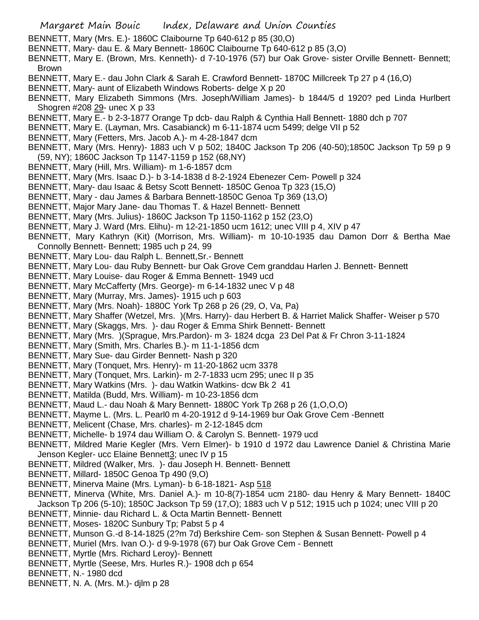- BENNETT, Mary (Mrs. E.)- 1860C Claibourne Tp 640-612 p 85 (30,O)
- BENNETT, Mary- dau E. & Mary Bennett- 1860C Claibourne Tp 640-612 p 85 (3,O)
- BENNETT, Mary E. (Brown, Mrs. Kenneth)- d 7-10-1976 (57) bur Oak Grove- sister Orville Bennett- Bennett; Brown
- BENNETT, Mary E.- dau John Clark & Sarah E. Crawford Bennett- 1870C Millcreek Tp 27 p 4 (16,O)
- BENNETT, Mary- aunt of Elizabeth Windows Roberts- delge X p 20
- BENNETT, Mary Elizabeth Simmons (Mrs. Joseph/William James)- b 1844/5 d 1920? ped Linda Hurlbert Shogren #208 29- unec X p 33
- BENNETT, Mary E.- b 2-3-1877 Orange Tp dcb- dau Ralph & Cynthia Hall Bennett- 1880 dch p 707
- BENNETT, Mary E. (Layman, Mrs. Casabianck) m 6-11-1874 ucm 5499; delge VII p 52
- BENNETT, Mary (Fetters, Mrs. Jacob A.)- m 4-28-1847 dcm
- BENNETT, Mary (Mrs. Henry)- 1883 uch V p 502; 1840C Jackson Tp 206 (40-50);1850C Jackson Tp 59 p 9 (59, NY); 1860C Jackson Tp 1147-1159 p 152 (68,NY)
- BENNETT, Mary (Hill, Mrs. William)- m 1-6-1857 dcm
- BENNETT, Mary (Mrs. Isaac D.)- b 3-14-1838 d 8-2-1924 Ebenezer Cem- Powell p 324
- BENNETT, Mary- dau Isaac & Betsy Scott Bennett- 1850C Genoa Tp 323 (15,O)
- BENNETT, Mary dau James & Barbara Bennett-1850C Genoa Tp 369 (13,O)
- BENNETT, Major Mary Jane- dau Thomas T. & Hazel Bennett- Bennett
- BENNETT, Mary (Mrs. Julius)- 1860C Jackson Tp 1150-1162 p 152 (23,O)
- BENNETT, Mary J. Ward (Mrs. Elihu)- m 12-21-1850 ucm 1612; unec VIII p 4, XIV p 47
- BENNETT, Mary Kathryn (Kit) (Morrison, Mrs. William)- m 10-10-1935 dau Damon Dorr & Bertha Mae Connolly Bennett- Bennett; 1985 uch p 24, 99
- BENNETT, Mary Lou- dau Ralph L. Bennett,Sr.- Bennett
- BENNETT, Mary Lou- dau Ruby Bennett- bur Oak Grove Cem granddau Harlen J. Bennett- Bennett
- BENNETT, Mary Louise- dau Roger & Emma Bennett- 1949 ucd
- BENNETT, Mary McCafferty (Mrs. George)- m 6-14-1832 unec V p 48
- BENNETT, Mary (Murray, Mrs. James)- 1915 uch p 603
- BENNETT, Mary (Mrs. Noah)- 1880C York Tp 268 p 26 (29, O, Va, Pa)
- BENNETT, Mary Shaffer (Wetzel, Mrs. )(Mrs. Harry)- dau Herbert B. & Harriet Malick Shaffer- Weiser p 570
- BENNETT, Mary (Skaggs, Mrs. )- dau Roger & Emma Shirk Bennett- Bennett
- BENNETT, Mary (Mrs. )(Sprague, Mrs.Pardon)- m 3- 1824 dcga 23 Del Pat & Fr Chron 3-11-1824
- BENNETT, Mary (Smith, Mrs. Charles B.)- m 11-1-1856 dcm
- BENNETT, Mary Sue- dau Girder Bennett- Nash p 320
- BENNETT, Mary (Tonquet, Mrs. Henry)- m 11-20-1862 ucm 3378
- BENNETT, Mary (Tonquet, Mrs. Larkin)- m 2-7-1833 ucm 295; unec II p 35
- BENNETT, Mary Watkins (Mrs. )- dau Watkin Watkins- dcw Bk 2 41
- BENNETT, Matilda (Budd, Mrs. William)- m 10-23-1856 dcm
- BENNETT, Maud L.- dau Noah & Mary Bennett- 1880C York Tp 268 p 26 (1,O,O,O)
- BENNETT, Mayme L. (Mrs. L. Pearl0 m 4-20-1912 d 9-14-1969 bur Oak Grove Cem -Bennett
- BENNETT, Melicent (Chase, Mrs. charles)- m 2-12-1845 dcm
- BENNETT, Michelle- b 1974 dau William O. & Carolyn S. Bennett- 1979 ucd
- BENNETT, Mildred Marie Kegler (Mrs. Vern Elmer)- b 1910 d 1972 dau Lawrence Daniel & Christina Marie Jenson Kegler- ucc Elaine Bennett3; unec IV p 15
- BENNETT, Mildred (Walker, Mrs. )- dau Joseph H. Bennett- Bennett
- BENNETT, Millard- 1850C Genoa Tp 490 (9,O)
- BENNETT, Minerva Maine (Mrs. Lyman)- b 6-18-1821- Asp 518
- BENNETT, Minerva (White, Mrs. Daniel A.)- m 10-8(7)-1854 ucm 2180- dau Henry & Mary Bennett- 1840C Jackson Tp 206 (5-10); 1850C Jackson Tp 59 (17,O); 1883 uch V p 512; 1915 uch p 1024; unec VIII p 20
- BENNETT, Minnie- dau Richard L. & Octa Martin Bennett- Bennett
- BENNETT, Moses- 1820C Sunbury Tp; Pabst 5 p 4
- BENNETT, Munson G.-d 8-14-1825 (2?m 7d) Berkshire Cem- son Stephen & Susan Bennett- Powell p 4
- BENNETT, Muriel (Mrs. Ivan O.)- d 9-9-1978 (67) bur Oak Grove Cem Bennett
- BENNETT, Myrtle (Mrs. Richard Leroy)- Bennett
- BENNETT, Myrtle (Seese, Mrs. Hurles R.)- 1908 dch p 654
- BENNETT, N.- 1980 dcd
- BENNETT, N. A. (Mrs. M.)- djlm p 28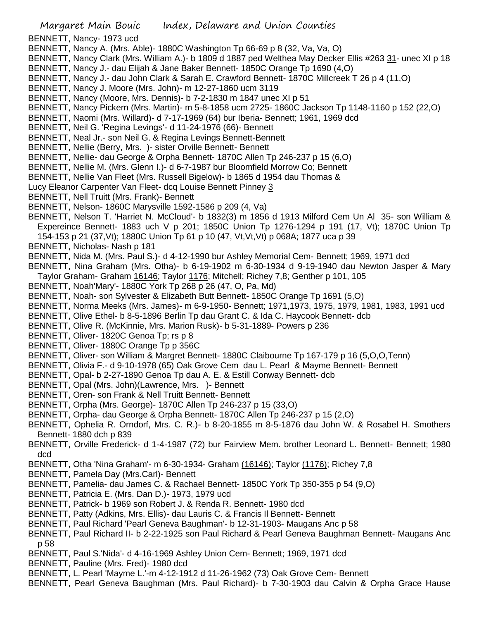BENNETT, Nancy- 1973 ucd

- BENNETT, Nancy A. (Mrs. Able)- 1880C Washington Tp 66-69 p 8 (32, Va, Va, O)
- BENNETT, Nancy Clark (Mrs. William A.)- b 1809 d 1887 ped Welthea May Decker Ellis #263 31- unec XI p 18
- BENNETT, Nancy J.- dau Elijah & Jane Baker Bennett- 1850C Orange Tp 1690 (4,O)
- BENNETT, Nancy J.- dau John Clark & Sarah E. Crawford Bennett- 1870C Millcreek T 26 p 4 (11,O)
- BENNETT, Nancy J. Moore (Mrs. John)- m 12-27-1860 ucm 3119
- BENNETT, Nancy (Moore, Mrs. Dennis)- b 7-2-1830 m 1847 unec XI p 51
- BENNETT, Nancy Pickern (Mrs. Martin)- m 5-8-1858 ucm 2725- 1860C Jackson Tp 1148-1160 p 152 (22,O)
- BENNETT, Naomi (Mrs. Willard)- d 7-17-1969 (64) bur Iberia- Bennett; 1961, 1969 dcd
- BENNETT, Neil G. 'Regina Levings'- d 11-24-1976 (66)- Bennett
- BENNETT, Neal Jr.- son Neil G. & Regina Levings Bennett-Bennett
- BENNETT, Nellie (Berry, Mrs. )- sister Orville Bennett- Bennett
- BENNETT, Nellie- dau George & Orpha Bennett- 1870C Allen Tp 246-237 p 15 (6,O)
- BENNETT, Nellie M. (Mrs. Glenn I.)- d 6-7-1987 bur Bloomfield Morrow Co; Bennett
- BENNETT, Nellie Van Fleet (Mrs. Russell Bigelow)- b 1865 d 1954 dau Thomas &
- Lucy Eleanor Carpenter Van Fleet- dcq Louise Bennett Pinney 3
- BENNETT, Nell Truitt (Mrs. Frank)- Bennett
- BENNETT, Nelson- 1860C Marysville 1592-1586 p 209 (4, Va)
- BENNETT, Nelson T. 'Harriet N. McCloud'- b 1832(3) m 1856 d 1913 Milford Cem Un Al 35- son William & Expereince Bennett- 1883 uch V p 201; 1850C Union Tp 1276-1294 p 191 (17, Vt); 1870C Union Tp 154-153 p 21 (37,Vt); 1880C Union Tp 61 p 10 (47, Vt,Vt,Vt) p 068A; 1877 uca p 39
- BENNETT, Nicholas- Nash p 181
- BENNETT, Nida M. (Mrs. Paul S.)- d 4-12-1990 bur Ashley Memorial Cem- Bennett; 1969, 1971 dcd
- BENNETT, Nina Graham (Mrs. Otha)- b 6-19-1902 m 6-30-1934 d 9-19-1940 dau Newton Jasper & Mary
- Taylor Graham- Graham 16146; Taylor 1176; Mitchell; Richey 7,8; Genther p 101, 105
- BENNETT, Noah'Mary'- 1880C York Tp 268 p 26 (47, O, Pa, Md)
- BENNETT, Noah- son Sylvester & Elizabeth Butt Bennett- 1850C Orange Tp 1691 (5,O)
- BENNETT, Norma Meeks (Mrs. James)- m 6-9-1950- Bennett; 1971,1973, 1975, 1979, 1981, 1983, 1991 ucd
- BENNETT, Olive Ethel- b 8-5-1896 Berlin Tp dau Grant C. & Ida C. Haycook Bennett- dcb
- BENNETT, Olive R. (McKinnie, Mrs. Marion Rusk)- b 5-31-1889- Powers p 236
- BENNETT, Oliver- 1820C Genoa Tp; rs p 8
- BENNETT, Oliver- 1880C Orange Tp p 356C
- BENNETT, Oliver- son William & Margret Bennett- 1880C Claibourne Tp 167-179 p 16 (5,O,O,Tenn)
- BENNETT, Olivia F.- d 9-10-1978 (65) Oak Grove Cem dau L. Pearl & Mayme Bennett- Bennett
- BENNETT, Opal- b 2-27-1890 Genoa Tp dau A. E. & Estill Conway Bennett- dcb
- BENNETT, Opal (Mrs. John)(Lawrence, Mrs. )- Bennett
- BENNETT, Oren- son Frank & Nell Truitt Bennett- Bennett
- BENNETT, Orpha (Mrs. George)- 1870C Allen Tp 246-237 p 15 (33,O)
- BENNETT, Orpha- dau George & Orpha Bennett- 1870C Allen Tp 246-237 p 15 (2,O)
- BENNETT, Ophelia R. Orndorf, Mrs. C. R.)- b 8-20-1855 m 8-5-1876 dau John W. & Rosabel H. Smothers Bennett- 1880 dch p 839
- BENNETT, Orville Frederick- d 1-4-1987 (72) bur Fairview Mem. brother Leonard L. Bennett- Bennett; 1980 dcd
- BENNETT, Otha 'Nina Graham'- m 6-30-1934- Graham <u>(16146)</u>; Taylor <u>(1176)</u>; Richey 7,8
- BENNETT, Pamela Day (Mrs.Carl)- Bennett
- BENNETT, Pamelia- dau James C. & Rachael Bennett- 1850C York Tp 350-355 p 54 (9,O)
- BENNETT, Patricia E. (Mrs. Dan D.)- 1973, 1979 ucd
- BENNETT, Patrick- b 1969 son Robert J. & Renda R. Bennett- 1980 dcd
- BENNETT, Patty (Adkins, Mrs. Ellis)- dau Lauris C. & Francis Il Bennett- Bennett
- BENNETT, Paul Richard 'Pearl Geneva Baughman'- b 12-31-1903- Maugans Anc p 58
- BENNETT, Paul Richard II- b 2-22-1925 son Paul Richard & Pearl Geneva Baughman Bennett- Maugans Anc p 58
- BENNETT, Paul S.'Nida'- d 4-16-1969 Ashley Union Cem- Bennett; 1969, 1971 dcd
- BENNETT, Pauline (Mrs. Fred)- 1980 dcd
- BENNETT, L. Pearl 'Mayme L.'-m 4-12-1912 d 11-26-1962 (73) Oak Grove Cem- Bennett
- BENNETT, Pearl Geneva Baughman (Mrs. Paul Richard)- b 7-30-1903 dau Calvin & Orpha Grace Hause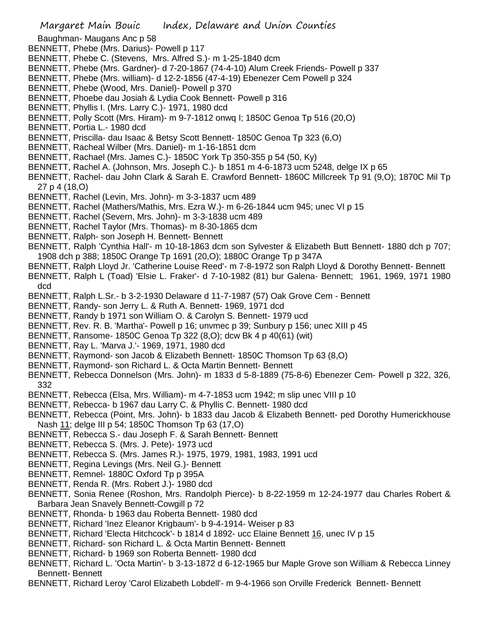- Baughman- Maugans Anc p 58
- BENNETT, Phebe (Mrs. Darius)- Powell p 117
- BENNETT, Phebe C. (Stevens, Mrs. Alfred S.)- m 1-25-1840 dcm
- BENNETT, Phebe (Mrs. Gardner)- d 7-20-1867 (74-4-10) Alum Creek Friends- Powell p 337
- BENNETT, Phebe (Mrs. william)- d 12-2-1856 (47-4-19) Ebenezer Cem Powell p 324
- BENNETT, Phebe (Wood, Mrs. Daniel)- Powell p 370
- BENNETT, Phoebe dau Josiah & Lydia Cook Bennett- Powell p 316
- BENNETT, Phyllis I. (Mrs. Larry C.)- 1971, 1980 dcd
- BENNETT, Polly Scott (Mrs. Hiram)- m 9-7-1812 onwq I; 1850C Genoa Tp 516 (20,O)
- BENNETT, Portia L.- 1980 dcd
- BENNETT, Priscilla- dau Isaac & Betsy Scott Bennett- 1850C Genoa Tp 323 (6,O)
- BENNETT, Racheal Wilber (Mrs. Daniel)- m 1-16-1851 dcm
- BENNETT, Rachael (Mrs. James C.)- 1850C York Tp 350-355 p 54 (50, Ky)
- BENNETT, Rachel A. (Johnson, Mrs. Joseph C.)- b 1851 m 4-6-1873 ucm 5248, delge IX p 65
- BENNETT, Rachel- dau John Clark & Sarah E. Crawford Bennett- 1860C Millcreek Tp 91 (9,O); 1870C Mil Tp 27 p 4 (18,O)
- BENNETT, Rachel (Levin, Mrs. John)- m 3-3-1837 ucm 489
- BENNETT, Rachel (Mathers/Mathis, Mrs. Ezra W.)- m 6-26-1844 ucm 945; unec VI p 15
- BENNETT, Rachel (Severn, Mrs. John)- m 3-3-1838 ucm 489
- BENNETT, Rachel Taylor (Mrs. Thomas)- m 8-30-1865 dcm
- BENNETT, Ralph- son Joseph H. Bennett- Bennett
- BENNETT, Ralph 'Cynthia Hall'- m 10-18-1863 dcm son Sylvester & Elizabeth Butt Bennett- 1880 dch p 707; 1908 dch p 388; 1850C Orange Tp 1691 (20,O); 1880C Orange Tp p 347A
- BENNETT, Ralph Lloyd Jr. 'Catherine Louise Reed'- m 7-8-1972 son Ralph Lloyd & Dorothy Bennett- Bennett
- BENNETT, Ralph L (Toad) 'Elsie L. Fraker'- d 7-10-1982 (81) bur Galena- Bennett; 1961, 1969, 1971 1980 dcd
- BENNETT, Ralph L.Sr.- b 3-2-1930 Delaware d 11-7-1987 (57) Oak Grove Cem Bennett
- BENNETT, Randy- son Jerry L. & Ruth A. Bennett- 1969, 1971 dcd
- BENNETT, Randy b 1971 son William O. & Carolyn S. Bennett- 1979 ucd
- BENNETT, Rev. R. B. 'Martha'- Powell p 16; unvmec p 39; Sunbury p 156; unec XIII p 45
- BENNETT, Ransome- 1850C Genoa Tp 322 (8,O); dcw Bk 4 p 40(61) (wit)
- BENNETT, Ray L. 'Marva J.'- 1969, 1971, 1980 dcd
- BENNETT, Raymond- son Jacob & Elizabeth Bennett- 1850C Thomson Tp 63 (8,O)
- BENNETT, Raymond- son Richard L. & Octa Martin Bennett- Bennett
- BENNETT, Rebecca Donnelson (Mrs. John)- m 1833 d 5-8-1889 (75-8-6) Ebenezer Cem- Powell p 322, 326, 332
- BENNETT, Rebecca (Elsa, Mrs. William)- m 4-7-1853 ucm 1942; m slip unec VIII p 10
- BENNETT, Rebecca- b 1967 dau Larry C. & Phyllis C. Bennett- 1980 dcd
- BENNETT, Rebecca (Point, Mrs. John)- b 1833 dau Jacob & Elizabeth Bennett- ped Dorothy Humerickhouse
- Nash 11; delge III p 54; 1850C Thomson Tp 63 (17,O)
- BENNETT, Rebecca S.- dau Joseph F. & Sarah Bennett- Bennett
- BENNETT, Rebecca S. (Mrs. J. Pete)- 1973 ucd
- BENNETT, Rebecca S. (Mrs. James R.)- 1975, 1979, 1981, 1983, 1991 ucd
- BENNETT, Regina Levings (Mrs. Neil G.)- Bennett
- BENNETT, Remnel- 1880C Oxford Tp p 395A
- BENNETT, Renda R. (Mrs. Robert J.)- 1980 dcd
- BENNETT, Sonia Renee (Roshon, Mrs. Randolph Pierce)- b 8-22-1959 m 12-24-1977 dau Charles Robert & Barbara Jean Snavely Bennett-Cowgill p 72
- BENNETT, Rhonda- b 1963 dau Roberta Bennett- 1980 dcd
- BENNETT, Richard 'Inez Eleanor Krigbaum'- b 9-4-1914- Weiser p 83
- BENNETT, Richard 'Electa Hitchcock'- b 1814 d 1892- ucc Elaine Bennett 16, unec IV p 15
- BENNETT, Richard- son Richard L. & Octa Martin Bennett- Bennett
- BENNETT, Richard- b 1969 son Roberta Bennett- 1980 dcd
- BENNETT, Richard L. 'Octa Martin'- b 3-13-1872 d 6-12-1965 bur Maple Grove son William & Rebecca Linney Bennett- Bennett
- BENNETT, Richard Leroy 'Carol Elizabeth Lobdell'- m 9-4-1966 son Orville Frederick Bennett- Bennett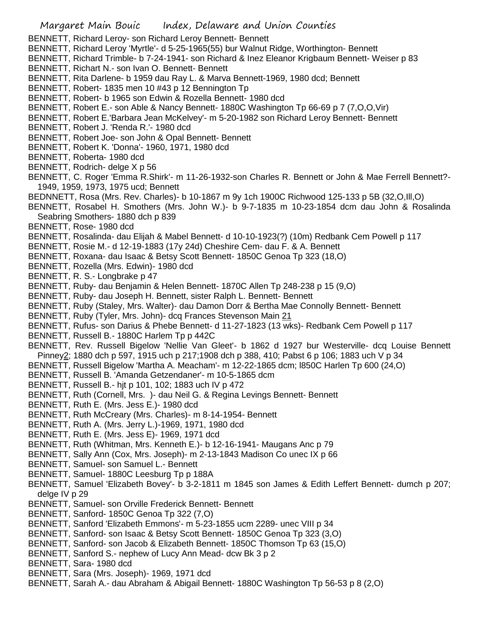BENNETT, Richard Leroy- son Richard Leroy Bennett- Bennett

- BENNETT, Richard Leroy 'Myrtle'- d 5-25-1965(55) bur Walnut Ridge, Worthington- Bennett
- BENNETT, Richard Trimble- b 7-24-1941- son Richard & Inez Eleanor Krigbaum Bennett- Weiser p 83
- BENNETT, Richart N.- son Ivan O. Bennett- Bennett
- BENNETT, Rita Darlene- b 1959 dau Ray L. & Marva Bennett-1969, 1980 dcd; Bennett
- BENNETT, Robert- 1835 men 10 #43 p 12 Bennington Tp
- BENNETT, Robert- b 1965 son Edwin & Rozella Bennett- 1980 dcd
- BENNETT, Robert E.- son Able & Nancy Bennett- 1880C Washington Tp 66-69 p 7 (7,O,O,Vir)
- BENNETT, Robert E.'Barbara Jean McKelvey'- m 5-20-1982 son Richard Leroy Bennett- Bennett
- BENNETT, Robert J. 'Renda R.'- 1980 dcd
- BENNETT, Robert Joe- son John & Opal Bennett- Bennett
- BENNETT, Robert K. 'Donna'- 1960, 1971, 1980 dcd
- BENNETT, Roberta- 1980 dcd
- BENNETT, Rodrich- delge X p 56
- BENNETT, C. Roger 'Emma R.Shirk'- m 11-26-1932-son Charles R. Bennett or John & Mae Ferrell Bennett?- 1949, 1959, 1973, 1975 ucd; Bennett
- BEDNNETT, Rosa (Mrs. Rev. Charles)- b 10-1867 m 9y 1ch 1900C Richwood 125-133 p 5B (32,O,Ill,O)
- BENNETT, Rosabel H. Smothers (Mrs. John W.)- b 9-7-1835 m 10-23-1854 dcm dau John & Rosalinda Seabring Smothers- 1880 dch p 839
- BENNETT, Rose- 1980 dcd
- BENNETT, Rosalinda- dau Elijah & Mabel Bennett- d 10-10-1923(?) (10m) Redbank Cem Powell p 117
- BENNETT, Rosie M.- d 12-19-1883 (17y 24d) Cheshire Cem- dau F. & A. Bennett
- BENNETT, Roxana- dau Isaac & Betsy Scott Bennett- 1850C Genoa Tp 323 (18,O)
- BENNETT, Rozella (Mrs. Edwin)- 1980 dcd
- BENNETT, R. S.- Longbrake p 47
- BENNETT, Ruby- dau Benjamin & Helen Bennett- 1870C Allen Tp 248-238 p 15 (9,O)
- BENNETT, Ruby- dau Joseph H. Bennett, sister Ralph L. Bennett- Bennett
- BENNETT, Ruby (Staley, Mrs. Walter)- dau Damon Dorr & Bertha Mae Connolly Bennett- Bennett
- BENNETT, Ruby (Tyler, Mrs. John)- dcq Frances Stevenson Main 21
- BENNETT, Rufus- son Darius & Phebe Bennett- d 11-27-1823 (13 wks)- Redbank Cem Powell p 117
- BENNETT, Russell B.- 1880C Harlem Tp p 442C
- BENNETT, Rev. Russell Bigelow 'Nellie Van Gleet'- b 1862 d 1927 bur Westerville- dcq Louise Bennett Pinney2; 1880 dch p 597, 1915 uch p 217;1908 dch p 388, 410; Pabst 6 p 106; 1883 uch V p 34
- BENNETT, Russell Bigelow 'Martha A. Meacham'- m 12-22-1865 dcm; l850C Harlen Tp 600 (24,O)
- BENNETT, Russell B. 'Amanda Getzendaner'- m 10-5-1865 dcm
- BENNETT, Russell B.- hjt p 101, 102; 1883 uch IV p 472
- BENNETT, Ruth (Cornell, Mrs. )- dau Neil G. & Regina Levings Bennett- Bennett
- BENNETT, Ruth E. (Mrs. Jess E.)- 1980 dcd
- BENNETT, Ruth McCreary (Mrs. Charles)- m 8-14-1954- Bennett
- BENNETT, Ruth A. (Mrs. Jerry L.)-1969, 1971, 1980 dcd
- BENNETT, Ruth E. (Mrs. Jess E)- 1969, 1971 dcd
- BENNETT, Ruth (Whitman, Mrs. Kenneth E.)- b 12-16-1941- Maugans Anc p 79
- BENNETT, Sally Ann (Cox, Mrs. Joseph)- m 2-13-1843 Madison Co unec IX p 66
- BENNETT, Samuel- son Samuel L.- Bennett
- BENNETT, Samuel- 1880C Leesburg Tp p 188A
- BENNETT, Samuel 'Elizabeth Bovey'- b 3-2-1811 m 1845 son James & Edith Leffert Bennett- dumch p 207; delge IV p 29
- BENNETT, Samuel- son Orville Frederick Bennett- Bennett
- BENNETT, Sanford- 1850C Genoa Tp 322 (7,O)
- BENNETT, Sanford 'Elizabeth Emmons'- m 5-23-1855 ucm 2289- unec VIII p 34
- BENNETT, Sanford- son Isaac & Betsy Scott Bennett- 1850C Genoa Tp 323 (3,O)
- BENNETT, Sanford- son Jacob & Elizabeth Bennett- 1850C Thomson Tp 63 (15,O)
- BENNETT, Sanford S.- nephew of Lucy Ann Mead- dcw Bk 3 p 2
- BENNETT, Sara- 1980 dcd
- BENNETT, Sara (Mrs. Joseph)- 1969, 1971 dcd
- BENNETT, Sarah A.- dau Abraham & Abigail Bennett- 1880C Washington Tp 56-53 p 8 (2,O)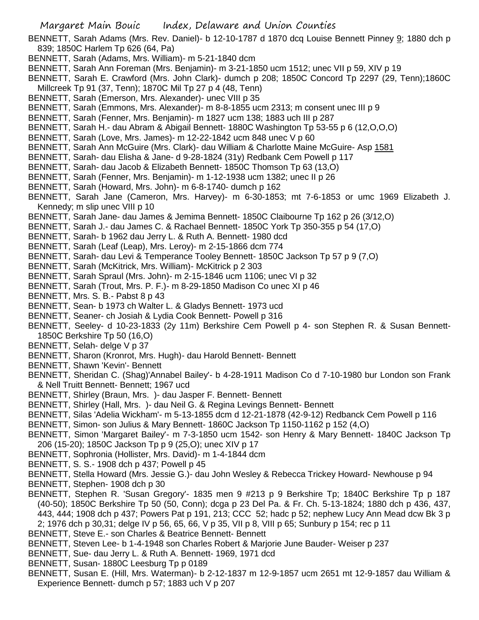- BENNETT, Sarah Adams (Mrs. Rev. Daniel)- b 12-10-1787 d 1870 dcq Louise Bennett Pinney 9; 1880 dch p 839; 1850C Harlem Tp 626 (64, Pa)
- BENNETT, Sarah (Adams, Mrs. William)- m 5-21-1840 dcm
- BENNETT, Sarah Ann Foreman (Mrs. Benjamin)- m 3-21-1850 ucm 1512; unec VII p 59, XIV p 19
- BENNETT, Sarah E. Crawford (Mrs. John Clark)- dumch p 208; 1850C Concord Tp 2297 (29, Tenn);1860C Millcreek Tp 91 (37, Tenn); 1870C Mil Tp 27 p 4 (48, Tenn)
- BENNETT, Sarah (Emerson, Mrs. Alexander)- unec VIII p 35
- BENNETT, Sarah (Emmons, Mrs. Alexander)- m 8-8-1855 ucm 2313; m consent unec III p 9
- BENNETT, Sarah (Fenner, Mrs. Benjamin)- m 1827 ucm 138; 1883 uch III p 287
- BENNETT, Sarah H.- dau Abram & Abigail Bennett- 1880C Washington Tp 53-55 p 6 (12,O,O,O)
- BENNETT, Sarah (Love, Mrs. James)- m 12-22-1842 ucm 848 unec V p 60
- BENNETT, Sarah Ann McGuire (Mrs. Clark)- dau William & Charlotte Maine McGuire- Asp 1581
- BENNETT, Sarah- dau Elisha & Jane- d 9-28-1824 (31y) Redbank Cem Powell p 117
- BENNETT, Sarah- dau Jacob & Elizabeth Bennett- 1850C Thomson Tp 63 (13,O)
- BENNETT, Sarah (Fenner, Mrs. Benjamin)- m 1-12-1938 ucm 1382; unec II p 26
- BENNETT, Sarah (Howard, Mrs. John)- m 6-8-1740- dumch p 162
- BENNETT, Sarah Jane (Cameron, Mrs. Harvey)- m 6-30-1853; mt 7-6-1853 or umc 1969 Elizabeth J. Kennedy; m slip unec VIII p 10
- BENNETT, Sarah Jane- dau James & Jemima Bennett- 1850C Claibourne Tp 162 p 26 (3/12,O)
- BENNETT, Sarah J.- dau James C. & Rachael Bennett- 1850C York Tp 350-355 p 54 (17,O)
- BENNETT, Sarah- b 1962 dau Jerry L. & Ruth A. Bennett- 1980 dcd
- BENNETT, Sarah (Leaf (Leap), Mrs. Leroy)- m 2-15-1866 dcm 774
- BENNETT, Sarah- dau Levi & Temperance Tooley Bennett- 1850C Jackson Tp 57 p 9 (7,O)
- BENNETT, Sarah (McKitrick, Mrs. William)- McKitrick p 2 303
- BENNETT, Sarah Spraul (Mrs. John)- m 2-15-1846 ucm 1106; unec VI p 32
- BENNETT, Sarah (Trout, Mrs. P. F.)- m 8-29-1850 Madison Co unec XI p 46
- BENNETT, Mrs. S. B.- Pabst 8 p 43
- BENNETT, Sean- b 1973 ch Walter L. & Gladys Bennett- 1973 ucd
- BENNETT, Seaner- ch Josiah & Lydia Cook Bennett- Powell p 316
- BENNETT, Seeley- d 10-23-1833 (2y 11m) Berkshire Cem Powell p 4- son Stephen R. & Susan Bennett-1850C Berkshire Tp 50 (16,O)
- BENNETT, Selah- delge V p 37
- BENNETT, Sharon (Kronrot, Mrs. Hugh)- dau Harold Bennett- Bennett
- BENNETT, Shawn 'Kevin'- Bennett
- BENNETT, Sheridan C. (Shag)'Annabel Bailey'- b 4-28-1911 Madison Co d 7-10-1980 bur London son Frank & Nell Truitt Bennett- Bennett; 1967 ucd
- BENNETT, Shirley (Braun, Mrs. )- dau Jasper F. Bennett- Bennett
- BENNETT, Shirley (Hall, Mrs. )- dau Neil G. & Regina Levings Bennett- Bennett
- BENNETT, Silas 'Adelia Wickham'- m 5-13-1855 dcm d 12-21-1878 (42-9-12) Redbanck Cem Powell p 116
- BENNETT, Simon- son Julius & Mary Bennett- 1860C Jackson Tp 1150-1162 p 152 (4,O)
- BENNETT, Simon 'Margaret Bailey'- m 7-3-1850 ucm 1542- son Henry & Mary Bennett- 1840C Jackson Tp 206 (15-20); 1850C Jackson Tp p 9 (25,O); unec XIV p 17
- BENNETT, Sophronia (Hollister, Mrs. David)- m 1-4-1844 dcm
- BENNETT, S. S.- 1908 dch p 437; Powell p 45
- BENNETT, Stella Howard (Mrs. Jessie G.)- dau John Wesley & Rebecca Trickey Howard- Newhouse p 94
- BENNETT, Stephen- 1908 dch p 30
- BENNETT, Stephen R. 'Susan Gregory'- 1835 men 9 #213 p 9 Berkshire Tp; 1840C Berkshire Tp p 187 (40-50); 1850C Berkshire Tp 50 (50, Conn); dcga p 23 Del Pa. & Fr. Ch. 5-13-1824; 1880 dch p 436, 437, 443, 444; 1908 dch p 437; Powers Pat p 191, 213; CCC 52; hadc p 52; nephew Lucy Ann Mead dcw Bk 3 p
- 2; 1976 dch p 30,31; delge IV p 56, 65, 66, V p 35, VII p 8, VIII p 65; Sunbury p 154; rec p 11
- BENNETT, Steve E.- son Charles & Beatrice Bennett- Bennett
- BENNETT, Steven Lee- b 1-4-1948 son Charles Robert & Marjorie June Bauder- Weiser p 237
- BENNETT, Sue- dau Jerry L. & Ruth A. Bennett- 1969, 1971 dcd
- BENNETT, Susan- 1880C Leesburg Tp p 0189
- BENNETT, Susan E. (Hill, Mrs. Waterman)- b 2-12-1837 m 12-9-1857 ucm 2651 mt 12-9-1857 dau William & Experience Bennett- dumch p 57; 1883 uch V p 207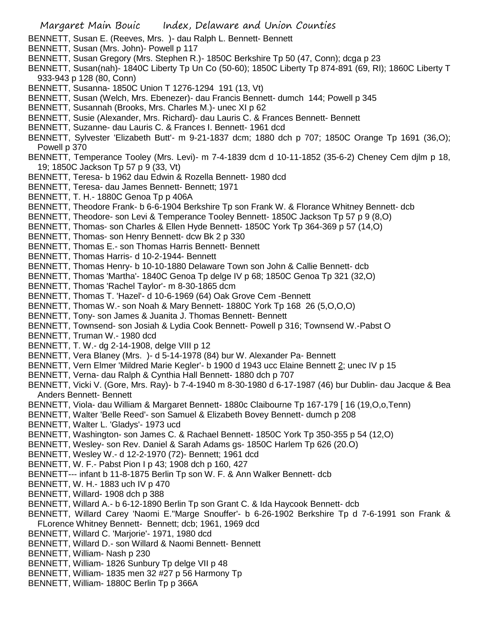- BENNETT, Susan E. (Reeves, Mrs. )- dau Ralph L. Bennett- Bennett
- BENNETT, Susan (Mrs. John)- Powell p 117
- BENNETT, Susan Gregory (Mrs. Stephen R.)- 1850C Berkshire Tp 50 (47, Conn); dcga p 23
- BENNETT, Susan(nah)- 1840C Liberty Tp Un Co (50-60); 1850C Liberty Tp 874-891 (69, RI); 1860C Liberty T 933-943 p 128 (80, Conn)
- BENNETT, Susanna- 1850C Union T 1276-1294 191 (13, Vt)
- BENNETT, Susan (Welch, Mrs. Ebenezer)- dau Francis Bennett- dumch 144; Powell p 345
- BENNETT, Susannah (Brooks, Mrs. Charles M.)- unec XI p 62
- BENNETT, Susie (Alexander, Mrs. Richard)- dau Lauris C. & Frances Bennett- Bennett
- BENNETT, Suzanne- dau Lauris C. & Frances I. Bennett- 1961 dcd
- BENNETT, Sylvester 'Elizabeth Butt'- m 9-21-1837 dcm; 1880 dch p 707; 1850C Orange Tp 1691 (36,O); Powell p 370
- BENNETT, Temperance Tooley (Mrs. Levi)- m 7-4-1839 dcm d 10-11-1852 (35-6-2) Cheney Cem djlm p 18, 19; 1850C Jackson Tp 57 p 9 (33, Vt)
- BENNETT, Teresa- b 1962 dau Edwin & Rozella Bennett- 1980 dcd
- BENNETT, Teresa- dau James Bennett- Bennett; 1971
- BENNETT, T. H.- 1880C Genoa Tp p 406A
- BENNETT, Theodore Frank- b 6-6-1904 Berkshire Tp son Frank W. & Florance Whitney Bennett- dcb
- BENNETT, Theodore- son Levi & Temperance Tooley Bennett- 1850C Jackson Tp 57 p 9 (8,O)
- BENNETT, Thomas- son Charles & Ellen Hyde Bennett- 1850C York Tp 364-369 p 57 (14,O)
- BENNETT, Thomas- son Henry Bennett- dcw Bk 2 p 330
- BENNETT, Thomas E.- son Thomas Harris Bennett- Bennett
- BENNETT, Thomas Harris- d 10-2-1944- Bennett
- BENNETT, Thomas Henry- b 10-10-1880 Delaware Town son John & Callie Bennett- dcb
- BENNETT, Thomas 'Martha'- 1840C Genoa Tp delge IV p 68; 1850C Genoa Tp 321 (32,O)
- BENNETT, Thomas 'Rachel Taylor'- m 8-30-1865 dcm
- BENNETT, Thomas T. 'Hazel'- d 10-6-1969 (64) Oak Grove Cem -Bennett
- BENNETT, Thomas W.- son Noah & Mary Bennett- 1880C York Tp 168 26 (5,O,O,O)
- BENNETT, Tony- son James & Juanita J. Thomas Bennett- Bennett
- BENNETT, Townsend- son Josiah & Lydia Cook Bennett- Powell p 316; Townsend W.-Pabst O
- BENNETT, Truman W.- 1980 dcd
- BENNETT, T. W.- dg 2-14-1908, delge VIII p 12
- BENNETT, Vera Blaney (Mrs. )- d 5-14-1978 (84) bur W. Alexander Pa- Bennett
- BENNETT, Vern Elmer 'Mildred Marie Kegler'- b 1900 d 1943 ucc Elaine Bennett 2; unec IV p 15
- BENNETT, Verna- dau Ralph & Cynthia Hall Bennett- 1880 dch p 707
- BENNETT, Vicki V. (Gore, Mrs. Ray)- b 7-4-1940 m 8-30-1980 d 6-17-1987 (46) bur Dublin- dau Jacque & Bea Anders Bennett- Bennett
- BENNETT, Viola- dau William & Margaret Bennett- 1880c Claibourne Tp 167-179 [ 16 (19,O,o,Tenn)
- BENNETT, Walter 'Belle Reed'- son Samuel & Elizabeth Bovey Bennett- dumch p 208
- BENNETT, Walter L. 'Gladys'- 1973 ucd
- BENNETT, Washington- son James C. & Rachael Bennett- 1850C York Tp 350-355 p 54 (12,O)
- BENNETT, Wesley- son Rev. Daniel & Sarah Adams gs- 1850C Harlem Tp 626 (20.O)
- BENNETT, Wesley W.- d 12-2-1970 (72)- Bennett; 1961 dcd
- BENNETT, W. F.- Pabst Pion I p 43; 1908 dch p 160, 427
- BENNETT--- infant b 11-8-1875 Berlin Tp son W. F. & Ann Walker Bennett- dcb
- BENNETT, W. H.- 1883 uch IV p 470
- BENNETT, Willard- 1908 dch p 388
- BENNETT, Willard A.- b 6-12-1890 Berlin Tp son Grant C. & Ida Haycook Bennett- dcb
- BENNETT, Willard Carey 'Naomi E.''Marge Snouffer'- b 6-26-1902 Berkshire Tp d 7-6-1991 son Frank & FLorence Whitney Bennett- Bennett; dcb; 1961, 1969 dcd
- BENNETT, Willard C. 'Marjorie'- 1971, 1980 dcd
- BENNETT, Willard D.- son Willard & Naomi Bennett- Bennett
- BENNETT, William- Nash p 230
- BENNETT, William- 1826 Sunbury Tp delge VII p 48
- BENNETT, William- 1835 men 32 #27 p 56 Harmony Tp
- BENNETT, William- 1880C Berlin Tp p 366A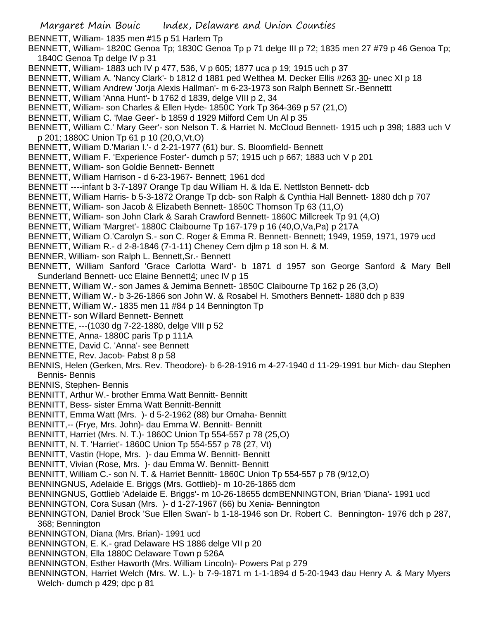BENNETT, William- 1835 men #15 p 51 Harlem Tp

- BENNETT, William- 1820C Genoa Tp; 1830C Genoa Tp p 71 delge III p 72; 1835 men 27 #79 p 46 Genoa Tp; 1840C Genoa Tp delge IV p 31
- BENNETT, William- 1883 uch IV p 477, 536, V p 605; 1877 uca p 19; 1915 uch p 37
- BENNETT, William A. 'Nancy Clark'- b 1812 d 1881 ped Welthea M. Decker Ellis #263 30- unec XI p 18
- BENNETT, William Andrew 'Jorja Alexis Hallman'- m 6-23-1973 son Ralph Bennett Sr.-Bennettt
- BENNETT, William 'Anna Hunt'- b 1762 d 1839, delge VIII p 2, 34
- BENNETT, William- son Charles & Ellen Hyde- 1850C York Tp 364-369 p 57 (21,O)
- BENNETT, William C. 'Mae Geer'- b 1859 d 1929 Milford Cem Un Al p 35
- BENNETT, William C.' Mary Geer'- son Nelson T. & Harriet N. McCloud Bennett- 1915 uch p 398; 1883 uch V p 201; 1880C Union Tp 61 p 10 (20,O,Vt,O)
- BENNETT, William D.'Marian I.'- d 2-21-1977 (61) bur. S. Bloomfield- Bennett
- BENNETT, William F. 'Experience Foster'- dumch p 57; 1915 uch p 667; 1883 uch V p 201
- BENNETT, William- son Goldie Bennett- Bennett
- BENNETT, William Harrison d 6-23-1967- Bennett; 1961 dcd
- BENNETT ----infant b 3-7-1897 Orange Tp dau William H. & Ida E. Nettlston Bennett- dcb
- BENNETT, William Harris- b 5-3-1872 Orange Tp dcb- son Ralph & Cynthia Hall Bennett- 1880 dch p 707
- BENNETT, William- son Jacob & Elizabeth Bennett- 1850C Thomson Tp 63 (11,O)
- BENNETT, William- son John Clark & Sarah Crawford Bennett- 1860C Millcreek Tp 91 (4,O)
- BENNETT, William 'Margret'- 1880C Claibourne Tp 167-179 p 16 (40,O,Va,Pa) p 217A
- BENNETT, William O.'Carolyn S.- son C. Roger & Emma R. Bennett- Bennett; 1949, 1959, 1971, 1979 ucd
- BENNETT, William R.- d 2-8-1846 (7-1-11) Cheney Cem djlm p 18 son H. & M.
- BENNER, William- son Ralph L. Bennett,Sr.- Bennett
- BENNETT, William Sanford 'Grace Carlotta Ward'- b 1871 d 1957 son George Sanford & Mary Bell Sunderland Bennett- ucc Elaine Bennett4; unec IV p 15
- BENNETT, William W.- son James & Jemima Bennett- 1850C Claibourne Tp 162 p 26 (3,O)
- BENNETT, William W.- b 3-26-1866 son John W. & Rosabel H. Smothers Bennett- 1880 dch p 839
- BENNETT, William W.- 1835 men 11 #84 p 14 Bennington Tp
- BENNETT- son Willard Bennett- Bennett
- BENNETTE, ---(1030 dg 7-22-1880, delge VIII p 52
- BENNETTE, Anna- 1880C paris Tp p 111A
- BENNETTE, David C. 'Anna'- see Bennett
- BENNETTE, Rev. Jacob- Pabst 8 p 58
- BENNIS, Helen (Gerken, Mrs. Rev. Theodore)- b 6-28-1916 m 4-27-1940 d 11-29-1991 bur Mich- dau Stephen Bennis- Bennis
- BENNIS, Stephen- Bennis
- BENNITT, Arthur W.- brother Emma Watt Bennitt- Bennitt
- BENNITT, Bess- sister Emma Watt Bennitt-Bennitt
- BENNITT, Emma Watt (Mrs. )- d 5-2-1962 (88) bur Omaha- Bennitt
- BENNITT,-- (Frye, Mrs. John)- dau Emma W. Bennitt- Bennitt
- BENNITT, Harriet (Mrs. N. T.)- 1860C Union Tp 554-557 p 78 (25,O)
- BENNITT, N. T. 'Harriet'- 1860C Union Tp 554-557 p 78 (27, Vt)
- BENNITT, Vastin (Hope, Mrs. )- dau Emma W. Bennitt- Bennitt
- BENNITT, Vivian (Rose, Mrs. )- dau Emma W. Bennitt- Bennitt
- BENNITT, William C.- son N. T. & Harriet Bennitt- 1860C Union Tp 554-557 p 78 (9/12,O)
- BENNINGNUS, Adelaide E. Briggs (Mrs. Gottlieb)- m 10-26-1865 dcm
- BENNINGNUS, Gottlieb 'Adelaide E. Briggs'- m 10-26-18655 dcmBENNINGTON, Brian 'Diana'- 1991 ucd
- BENNINGTON, Cora Susan (Mrs. )- d 1-27-1967 (66) bu Xenia- Bennington
- BENNINGTON, Daniel Brock 'Sue Ellen Swan'- b 1-18-1946 son Dr. Robert C. Bennington- 1976 dch p 287, 368; Bennington
- BENNINGTON, Diana (Mrs. Brian)- 1991 ucd
- BENNINGTON, E. K.- grad Delaware HS 1886 delge VII p 20
- BENNINGTON, Ella 1880C Delaware Town p 526A
- BENNINGTON, Esther Haworth (Mrs. William Lincoln)- Powers Pat p 279
- BENNINGTON, Harriet Welch (Mrs. W. L.)- b 7-9-1871 m 1-1-1894 d 5-20-1943 dau Henry A. & Mary Myers Welch- dumch p 429; dpc p 81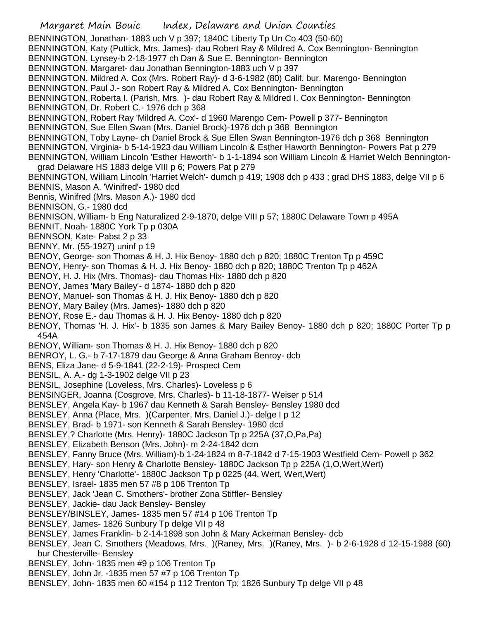- Margaret Main Bouic Index, Delaware and Union Counties BENNINGTON, Jonathan- 1883 uch V p 397; 1840C Liberty Tp Un Co 403 (50-60) BENNINGTON, Katy (Puttick, Mrs. James)- dau Robert Ray & Mildred A. Cox Bennington- Bennington BENNINGTON, Lynsey-b 2-18-1977 ch Dan & Sue E. Bennington- Bennington BENNINGTON, Margaret- dau Jonathan Bennington-1883 uch V p 397 BENNINGTON, Mildred A. Cox (Mrs. Robert Ray)- d 3-6-1982 (80) Calif. bur. Marengo- Bennington BENNINGTON, Paul J.- son Robert Ray & Mildred A. Cox Bennington- Bennington BENNINGTON, Roberta I. (Parish, Mrs. )- dau Robert Ray & Mildred I. Cox Bennington- Bennington BENNINGTON, Dr. Robert C.- 1976 dch p 368 BENNINGTON, Robert Ray 'Mildred A. Cox'- d 1960 Marengo Cem- Powell p 377- Bennington BENNINGTON, Sue Ellen Swan (Mrs. Daniel Brock)-1976 dch p 368 Bennington BENNINGTON, Toby Layne- ch Daniel Brock & Sue Ellen Swan Bennington-1976 dch p 368 Bennington BENNINGTON, Virginia- b 5-14-1923 dau William Lincoln & Esther Haworth Bennington- Powers Pat p 279 BENNINGTON, William Lincoln 'Esther Haworth'- b 1-1-1894 son William Lincoln & Harriet Welch Benningtongrad Delaware HS 1883 delge VIII p 6; Powers Pat p 279 BENNINGTON, William Lincoln 'Harriet Welch'- dumch p 419; 1908 dch p 433 ; grad DHS 1883, delge VII p 6 BENNIS, Mason A. 'Winifred'- 1980 dcd Bennis, Winifred (Mrs. Mason A.)- 1980 dcd BENNISON, G.- 1980 dcd BENNISON, William- b Eng Naturalized 2-9-1870, delge VIII p 57; 1880C Delaware Town p 495A BENNIT, Noah- 1880C York Tp p 030A BENNSON, Kate- Pabst 2 p 33 BENNY, Mr. (55-1927) uninf p 19 BENOY, George- son Thomas & H. J. Hix Benoy- 1880 dch p 820; 1880C Trenton Tp p 459C BENOY, Henry- son Thomas & H. J. Hix Benoy- 1880 dch p 820; 1880C Trenton Tp p 462A BENOY, H. J. Hix (Mrs. Thomas)- dau Thomas Hix- 1880 dch p 820 BENOY, James 'Mary Bailey'- d 1874- 1880 dch p 820 BENOY, Manuel- son Thomas & H. J. Hix Benoy- 1880 dch p 820 BENOY, Mary Bailey (Mrs. James)- 1880 dch p 820 BENOY, Rose E.- dau Thomas & H. J. Hix Benoy- 1880 dch p 820 BENOY, Thomas 'H. J. Hix'- b 1835 son James & Mary Bailey Benoy- 1880 dch p 820; 1880C Porter Tp p 454A BENOY, William- son Thomas & H. J. Hix Benoy- 1880 dch p 820 BENROY, L. G.- b 7-17-1879 dau George & Anna Graham Benroy- dcb BENS, Eliza Jane- d 5-9-1841 (22-2-19)- Prospect Cem BENSIL, A. A.- dg 1-3-1902 delge VII p 23 BENSIL, Josephine (Loveless, Mrs. Charles)- Loveless p 6 BENSINGER, Joanna (Cosgrove, Mrs. Charles)- b 11-18-1877- Weiser p 514 BENSLEY, Angela Kay- b 1967 dau Kenneth & Sarah Bensley- Bensley 1980 dcd BENSLEY, Anna (Place, Mrs. )(Carpenter, Mrs. Daniel J.)- delge I p 12 BENSLEY, Brad- b 1971- son Kenneth & Sarah Bensley- 1980 dcd BENSLEY,? Charlotte (Mrs. Henry)- 1880C Jackson Tp p 225A (37,O,Pa,Pa) BENSLEY, Elizabeth Benson (Mrs. John)- m 2-24-1842 dcm BENSLEY, Fanny Bruce (Mrs. William)-b 1-24-1824 m 8-7-1842 d 7-15-1903 Westfield Cem- Powell p 362 BENSLEY, Hary- son Henry & Charlotte Bensley- 1880C Jackson Tp p 225A (1, O, Wert, Wert) BENSLEY, Henry 'Charlotte'- 1880C Jackson Tp p 0225 (44, Wert, Wert, Wert) BENSLEY, Israel- 1835 men 57 #8 p 106 Trenton Tp BENSLEY, Jack 'Jean C. Smothers'- brother Zona Stiffler- Bensley BENSLEY, Jackie- dau Jack Bensley- Bensley BENSLEY/BINSLEY, James- 1835 men 57 #14 p 106 Trenton Tp BENSLEY, James- 1826 Sunbury Tp delge VII p 48 BENSLEY, James Franklin- b 2-14-1898 son John & Mary Ackerman Bensley- dcb BENSLEY, Jean C. Smothers (Meadows, Mrs. )(Raney, Mrs. )(Raney, Mrs. )- b 2-6-1928 d 12-15-1988 (60) bur Chesterville- Bensley BENSLEY, John- 1835 men #9 p 106 Trenton Tp BENSLEY, John Jr. -1835 men 57 #7 p 106 Trenton Tp
- BENSLEY, John- 1835 men 60 #154 p 112 Trenton Tp; 1826 Sunbury Tp delge VII p 48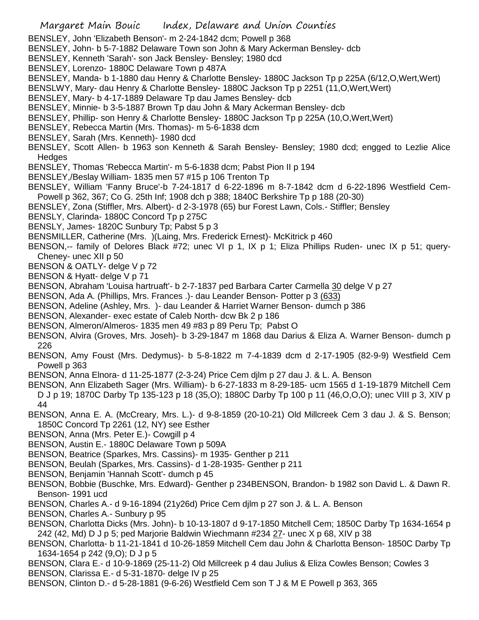BENSLEY, John 'Elizabeth Benson'- m 2-24-1842 dcm; Powell p 368

BENSLEY, John- b 5-7-1882 Delaware Town son John & Mary Ackerman Bensley- dcb

BENSLEY, Kenneth 'Sarah'- son Jack Bensley- Bensley; 1980 dcd

BENSLEY, Lorenzo- 1880C Delaware Town p 487A

BENSLEY, Manda- b 1-1880 dau Henry & Charlotte Bensley- 1880C Jackson Tp p 225A (6/12,O,Wert,Wert)

BENSLWY, Mary- dau Henry & Charlotte Bensley- 1880C Jackson Tp p 2251 (11,O,Wert,Wert)

BENSLEY, Mary- b 4-17-1889 Delaware Tp dau James Bensley- dcb

BENSLEY, Minnie- b 3-5-1887 Brown Tp dau John & Mary Ackerman Bensley- dcb

BENSLEY, Phillip- son Henry & Charlotte Bensley- 1880C Jackson Tp p 225A (10,O,Wert,Wert)

BENSLEY, Rebecca Martin (Mrs. Thomas)- m 5-6-1838 dcm

BENSLEY, Sarah (Mrs. Kenneth)- 1980 dcd

BENSLEY, Scott Allen- b 1963 son Kenneth & Sarah Bensley- Bensley; 1980 dcd; engged to Lezlie Alice **Hedges** 

BENSLEY, Thomas 'Rebecca Martin'- m 5-6-1838 dcm; Pabst Pion II p 194

BENSLEY,/Beslay William- 1835 men 57 #15 p 106 Trenton Tp

BENSLEY, William 'Fanny Bruce'-b 7-24-1817 d 6-22-1896 m 8-7-1842 dcm d 6-22-1896 Westfield Cem-Powell p 362, 367; Co G. 25th Inf; 1908 dch p 388; 1840C Berkshire Tp p 188 (20-30)

BENSLEY, Zona (Stiffler, Mrs. Albert)- d 2-3-1978 (65) bur Forest Lawn, Cols.- Stiffler; Bensley

BENSLY, Clarinda- 1880C Concord Tp p 275C

BENSLY, James- 1820C Sunbury Tp; Pabst 5 p 3

BENSMILLER, Catherine (Mrs. )(Laing, Mrs. Frederick Ernest)- McKitrick p 460

BENSON,-- family of Delores Black #72; unec VI p 1, IX p 1; Eliza Phillips Ruden- unec IX p 51; query-Cheney- unec XII p 50

BENSON & OATLY- delge V p 72

BENSON & Hyatt- delge V p 71

BENSON, Abraham 'Louisa hartruaft'- b 2-7-1837 ped Barbara Carter Carmella 30 delge V p 27

BENSON, Ada A. (Phillips, Mrs. Frances .)- dau Leander Benson- Potter p 3 (633)

BENSON, Adeline (Ashley, Mrs. )- dau Leander & Harriet Warner Benson- dumch p 386

BENSON, Alexander- exec estate of Caleb North- dcw Bk 2 p 186

BENSON, Almeron/Almeros- 1835 men 49 #83 p 89 Peru Tp; Pabst O

BENSON, Alvira (Groves, Mrs. Joseh)- b 3-29-1847 m 1868 dau Darius & Eliza A. Warner Benson- dumch p 226

BENSON, Amy Foust (Mrs. Dedymus)- b 5-8-1822 m 7-4-1839 dcm d 2-17-1905 (82-9-9) Westfield Cem Powell p 363

BENSON, Anna Elnora- d 11-25-1877 (2-3-24) Price Cem djlm p 27 dau J. & L. A. Benson

BENSON, Ann Elizabeth Sager (Mrs. William)- b 6-27-1833 m 8-29-185- ucm 1565 d 1-19-1879 Mitchell Cem D J p 19; 1870C Darby Tp 135-123 p 18 (35,O); 1880C Darby Tp 100 p 11 (46,O,O,O); unec VIII p 3, XIV p 44

BENSON, Anna E. A. (McCreary, Mrs. L.)- d 9-8-1859 (20-10-21) Old Millcreek Cem 3 dau J. & S. Benson; 1850C Concord Tp 2261 (12, NY) see Esther

BENSON, Anna (Mrs. Peter E.)- Cowgill p 4

BENSON, Austin E.- 1880C Delaware Town p 509A

BENSON, Beatrice (Sparkes, Mrs. Cassins)- m 1935- Genther p 211

BENSON, Beulah (Sparkes, Mrs. Cassins)- d 1-28-1935- Genther p 211

BENSON, Benjamin 'Hannah Scott'- dumch p 45

BENSON, Bobbie (Buschke, Mrs. Edward)- Genther p 234BENSON, Brandon- b 1982 son David L. & Dawn R. Benson- 1991 ucd

BENSON, Charles A.- d 9-16-1894 (21y26d) Price Cem djlm p 27 son J. & L. A. Benson

BENSON, Charles A.- Sunbury p 95

BENSON, Charlotta Dicks (Mrs. John)- b 10-13-1807 d 9-17-1850 Mitchell Cem; 1850C Darby Tp 1634-1654 p 242 (42, Md) D J p 5; ped Marjorie Baldwin Wiechmann #234 27- unec X p 68, XIV p 38

BENSON, Charlotta- b 11-21-1841 d 10-26-1859 Mitchell Cem dau John & Charlotta Benson- 1850C Darby Tp 1634-1654 p 242 (9,O); D J p 5

BENSON, Clara E.- d 10-9-1869 (25-11-2) Old Millcreek p 4 dau Julius & Eliza Cowles Benson; Cowles 3 BENSON, Clarissa E.- d 5-31-1870- delge IV p 25

BENSON, Clinton D.- d 5-28-1881 (9-6-26) Westfield Cem son T J & M E Powell p 363, 365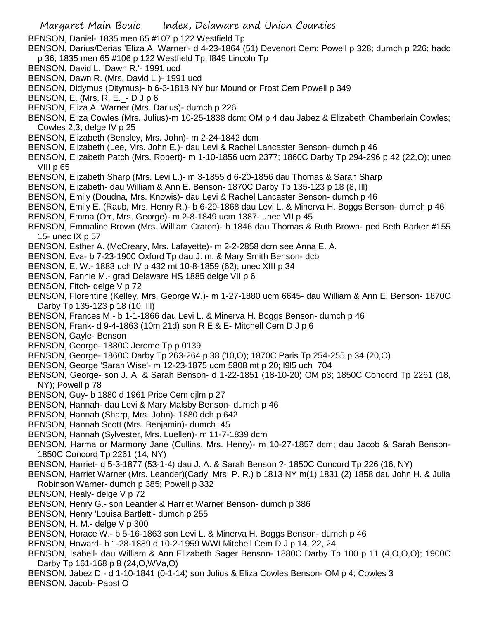Margaret Main Bouic Index, Delaware and Union Counties

BENSON, Daniel- 1835 men 65 #107 p 122 Westfield Tp

- BENSON, Darius/Derias 'Eliza A. Warner'- d 4-23-1864 (51) Devenort Cem; Powell p 328; dumch p 226; hadc p 36; 1835 men 65 #106 p 122 Westfield Tp; l849 Lincoln Tp
- BENSON, David L. 'Dawn R.'- 1991 ucd
- BENSON, Dawn R. (Mrs. David L.)- 1991 ucd
- BENSON, Didymus (Ditymus)- b 6-3-1818 NY bur Mound or Frost Cem Powell p 349
- BENSON, E. (Mrs. R. E.\_- D J p 6
- BENSON, Eliza A. Warner (Mrs. Darius)- dumch p 226
- BENSON, Eliza Cowles (Mrs. Julius)-m 10-25-1838 dcm; OM p 4 dau Jabez & Elizabeth Chamberlain Cowles; Cowles 2,3; delge IV p 25
- BENSON, Elizabeth (Bensley, Mrs. John)- m 2-24-1842 dcm
- BENSON, Elizabeth (Lee, Mrs. John E.)- dau Levi & Rachel Lancaster Benson- dumch p 46
- BENSON, Elizabeth Patch (Mrs. Robert)- m 1-10-1856 ucm 2377; 1860C Darby Tp 294-296 p 42 (22,O); unec VIII p 65
- BENSON, Elizabeth Sharp (Mrs. Levi L.)- m 3-1855 d 6-20-1856 dau Thomas & Sarah Sharp
- BENSON, Elizabeth- dau William & Ann E. Benson- 1870C Darby Tp 135-123 p 18 (8, Ill)
- BENSON, Emily (Doudna, Mrs. Knowis)- dau Levi & Rachel Lancaster Benson- dumch p 46
- BENSON, Emily E. (Raub, Mrs. Henry R.)- b 6-29-1868 dau Levi L. & Minerva H. Boggs Benson- dumch p 46
- BENSON, Emma (Orr, Mrs. George)- m 2-8-1849 ucm 1387- unec VII p 45
- BENSON, Emmaline Brown (Mrs. William Craton)- b 1846 dau Thomas & Ruth Brown- ped Beth Barker #155 15- unec IX p 57
- BENSON, Esther A. (McCreary, Mrs. Lafayette)- m 2-2-2858 dcm see Anna E. A.
- BENSON, Eva- b 7-23-1900 Oxford Tp dau J. m. & Mary Smith Benson- dcb
- BENSON, E. W.- 1883 uch IV p 432 mt 10-8-1859 (62); unec XIII p 34
- BENSON, Fannie M.- grad Delaware HS 1885 delge VII p 6
- BENSON, Fitch- delge V p 72
- BENSON, Florentine (Kelley, Mrs. George W.)- m 1-27-1880 ucm 6645- dau William & Ann E. Benson- 1870C Darby Tp 135-123 p 18 (10, Ill)
- BENSON, Frances M.- b 1-1-1866 dau Levi L. & Minerva H. Boggs Benson- dumch p 46
- BENSON, Frank- d 9-4-1863 (10m 21d) son R E & E- Mitchell Cem D J p 6
- BENSON, Gayle- Benson
- BENSON, George- 1880C Jerome Tp p 0139
- BENSON, George- 1860C Darby Tp 263-264 p 38 (10,O); 1870C Paris Tp 254-255 p 34 (20,O)
- BENSON, George 'Sarah Wise'- m 12-23-1875 ucm 5808 mt p 20; l9l5 uch 704
- BENSON, George- son J. A. & Sarah Benson- d 1-22-1851 (18-10-20) OM p3; 1850C Concord Tp 2261 (18, NY); Powell p 78
- BENSON, Guy- b 1880 d 1961 Price Cem djlm p 27
- BENSON, Hannah- dau Levi & Mary Malsby Benson- dumch p 46
- BENSON, Hannah (Sharp, Mrs. John)- 1880 dch p 642
- BENSON, Hannah Scott (Mrs. Benjamin)- dumch 45
- BENSON, Hannah (Sylvester, Mrs. Luellen)- m 11-7-1839 dcm
- BENSON, Harma or Marmony Jane (Cullins, Mrs. Henry)- m 10-27-1857 dcm; dau Jacob & Sarah Benson-1850C Concord Tp 2261 (14, NY)
- BENSON, Harriet- d 5-3-1877 (53-1-4) dau J. A. & Sarah Benson ?- 1850C Concord Tp 226 (16, NY)
- BENSON, Harriet Warner (Mrs. Leander)(Cady, Mrs. P. R.) b 1813 NY m(1) 1831 (2) 1858 dau John H. & Julia Robinson Warner- dumch p 385; Powell p 332
- BENSON, Healy- delge V p 72
- BENSON, Henry G.- son Leander & Harriet Warner Benson- dumch p 386
- BENSON, Henry 'Louisa Bartlett'- dumch p 255
- BENSON, H. M.- delge V p 300
- BENSON, Horace W.- b 5-16-1863 son Levi L. & Minerva H. Boggs Benson- dumch p 46
- BENSON, Howard- b 1-28-1889 d 10-2-1959 WWI Mitchell Cem D J p 14, 22, 24
- BENSON, Isabell- dau William & Ann Elizabeth Sager Benson- 1880C Darby Tp 100 p 11 (4,O,O,O); 1900C Darby Tp 161-168 p 8 (24,O,WVa,O)
- BENSON, Jabez D.- d 1-10-1841 (0-1-14) son Julius & Eliza Cowles Benson- OM p 4; Cowles 3 BENSON, Jacob- Pabst O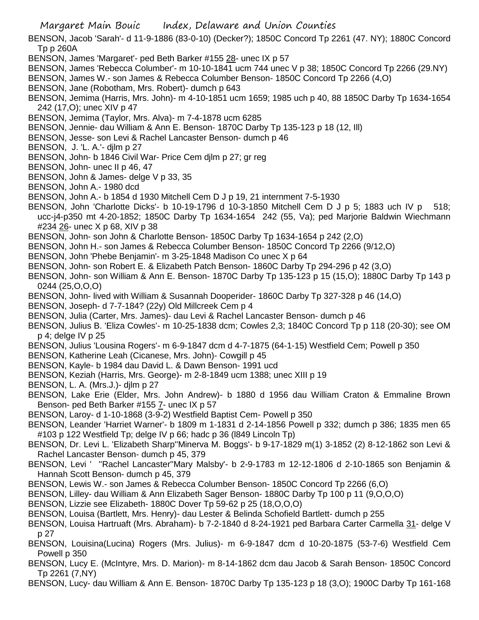BENSON, Jacob 'Sarah'- d 11-9-1886 (83-0-10) (Decker?); 1850C Concord Tp 2261 (47. NY); 1880C Concord Tp p 260A

- BENSON, James 'Margaret'- ped Beth Barker #155 28- unec IX p 57
- BENSON, James 'Rebecca Columber'- m 10-10-1841 ucm 744 unec V p 38; 1850C Concord Tp 2266 (29.NY)
- BENSON, James W.- son James & Rebecca Columber Benson- 1850C Concord Tp 2266 (4,O)
- BENSON, Jane (Robotham, Mrs. Robert)- dumch p 643
- BENSON, Jemima (Harris, Mrs. John)- m 4-10-1851 ucm 1659; 1985 uch p 40, 88 1850C Darby Tp 1634-1654 242 (17,O); unec XIV p 47
- BENSON, Jemima (Taylor, Mrs. Alva)- m 7-4-1878 ucm 6285
- BENSON, Jennie- dau William & Ann E. Benson- 1870C Darby Tp 135-123 p 18 (12, Ill)
- BENSON, Jesse- son Levi & Rachel Lancaster Benson- dumch p 46
- BENSON, J. 'L. A.'- djlm p 27
- BENSON, John- b 1846 Civil War- Price Cem djlm p 27; gr reg
- BENSON, John- unec II p 46, 47
- BENSON, John & James- delge V p 33, 35
- BENSON, John A.- 1980 dcd
- BENSON, John A.- b 1854 d 1930 Mitchell Cem D J p 19, 21 internment 7-5-1930
- BENSON, John 'Charlotte Dicks'- b 10-19-1796 d 10-3-1850 Mitchell Cem D J p 5; 1883 uch IV p 518; ucc-j4-p350 mt 4-20-1852; 1850C Darby Tp 1634-1654 242 (55, Va); ped Marjorie Baldwin Wiechmann #234 26- unec X p 68, XIV p 38
- BENSON, John- son John & Charlotte Benson- 1850C Darby Tp 1634-1654 p 242 (2,O)
- BENSON, John H.- son James & Rebecca Columber Benson- 1850C Concord Tp 2266 (9/12,O)
- BENSON, John 'Phebe Benjamin'- m 3-25-1848 Madison Co unec X p 64
- BENSON, John- son Robert E. & Elizabeth Patch Benson- 1860C Darby Tp 294-296 p 42 (3,O)
- BENSON, John- son William & Ann E. Benson- 1870C Darby Tp 135-123 p 15 (15,O); 1880C Darby Tp 143 p 0244 (25,O,O,O)
- BENSON, John- lived with William & Susannah Dooperider- 1860C Darby Tp 327-328 p 46 (14,O)
- BENSON, Joseph- d 7-7-184? (22y) Old Millcreek Cem p 4
- BENSON, Julia (Carter, Mrs. James)- dau Levi & Rachel Lancaster Benson- dumch p 46
- BENSON, Julius B. 'Eliza Cowles'- m 10-25-1838 dcm; Cowles 2,3; 1840C Concord Tp p 118 (20-30); see OM p 4; delge IV p 25
- BENSON, Julius 'Lousina Rogers'- m 6-9-1847 dcm d 4-7-1875 (64-1-15) Westfield Cem; Powell p 350
- BENSON, Katherine Leah (Cicanese, Mrs. John)- Cowgill p 45
- BENSON, Kayle- b 1984 dau David L. & Dawn Benson- 1991 ucd
- BENSON, Keziah (Harris, Mrs. George)- m 2-8-1849 ucm 1388; unec XIII p 19
- BENSON, L. A. (Mrs.J.)- djlm p 27
- BENSON, Lake Erie (Elder, Mrs. John Andrew)- b 1880 d 1956 dau William Craton & Emmaline Brown Benson- ped Beth Barker #155 7- unec IX p 57
- BENSON, Laroy- d 1-10-1868 (3-9-2) Westfield Baptist Cem- Powell p 350
- BENSON, Leander 'Harriet Warner'- b 1809 m 1-1831 d 2-14-1856 Powell p 332; dumch p 386; 1835 men 65 #103 p 122 Westfield Tp; delge IV p 66; hadc p 36 (l849 Lincoln Tp)
- BENSON, Dr. Levi L. 'Elizabeth Sharp''Minerva M. Boggs'- b 9-17-1829 m(1) 3-1852 (2) 8-12-1862 son Levi & Rachel Lancaster Benson- dumch p 45, 379
- BENSON, Levi ' ''Rachel Lancaster''Mary Malsby'- b 2-9-1783 m 12-12-1806 d 2-10-1865 son Benjamin & Hannah Scott Benson- dumch p 45, 379
- BENSON, Lewis W.- son James & Rebecca Columber Benson- 1850C Concord Tp 2266 (6,O)
- BENSON, Lilley- dau William & Ann Elizabeth Sager Benson- 1880C Darby Tp 100 p 11 (9,O,O,O)
- BENSON, Lizzie see Elizabeth- 1880C Dover Tp 59-62 p 25 (18,O,O,O)
- BENSON, Louisa (Bartlett, Mrs. Henry)- dau Lester & Belinda Schofield Bartlett- dumch p 255
- BENSON, Louisa Hartruaft (Mrs. Abraham)- b 7-2-1840 d 8-24-1921 ped Barbara Carter Carmella 31- delge V p 27
- BENSON, Louisina(Lucina) Rogers (Mrs. Julius)- m 6-9-1847 dcm d 10-20-1875 (53-7-6) Westfield Cem Powell p 350
- BENSON, Lucy E. (McIntyre, Mrs. D. Marion)- m 8-14-1862 dcm dau Jacob & Sarah Benson- 1850C Concord Tp 2261 (7,NY)
- BENSON, Lucy- dau William & Ann E. Benson- 1870C Darby Tp 135-123 p 18 (3,O); 1900C Darby Tp 161-168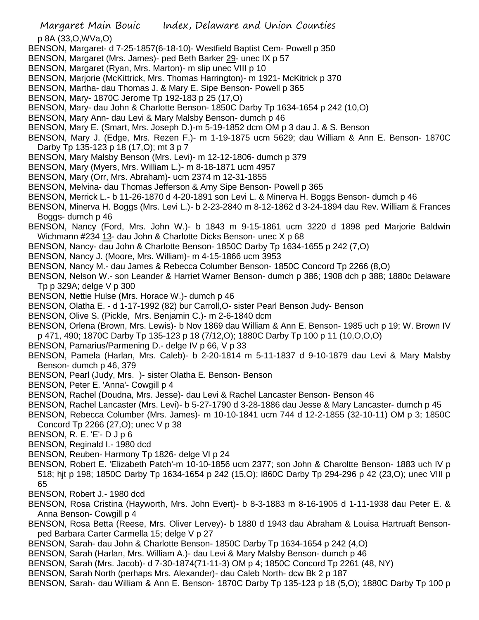p 8A (33,O,WVa,O)

- BENSON, Margaret- d 7-25-1857(6-18-10)- Westfield Baptist Cem- Powell p 350
- BENSON, Margaret (Mrs. James)- ped Beth Barker 29- unec IX p 57
- BENSON, Margaret (Ryan, Mrs. Marton)- m slip unec VIII p 10
- BENSON, Marjorie (McKittrick, Mrs. Thomas Harrington)- m 1921- McKitrick p 370
- BENSON, Martha- dau Thomas J. & Mary E. Sipe Benson- Powell p 365
- BENSON, Mary- 1870C Jerome Tp 192-183 p 25 (17,O)
- BENSON, Mary- dau John & Charlotte Benson- 1850C Darby Tp 1634-1654 p 242 (10,O)
- BENSON, Mary Ann- dau Levi & Mary Malsby Benson- dumch p 46
- BENSON, Mary E. (Smart, Mrs. Joseph D.)-m 5-19-1852 dcm OM p 3 dau J. & S. Benson
- BENSON, Mary J. (Edge, Mrs. Rezen F.)- m 1-19-1875 ucm 5629; dau William & Ann E. Benson- 1870C Darby Tp 135-123 p 18 (17,O); mt 3 p 7
- BENSON, Mary Malsby Benson (Mrs. Levi)- m 12-12-1806- dumch p 379
- BENSON, Mary (Myers, Mrs. William L.)- m 8-18-1871 ucm 4957
- BENSON, Mary (Orr, Mrs. Abraham)- ucm 2374 m 12-31-1855
- BENSON, Melvina- dau Thomas Jefferson & Amy Sipe Benson- Powell p 365
- BENSON, Merrick L.- b 11-26-1870 d 4-20-1891 son Levi L. & Minerva H. Boggs Benson- dumch p 46
- BENSON, Minerva H. Boggs (Mrs. Levi L.)- b 2-23-2840 m 8-12-1862 d 3-24-1894 dau Rev. William & Frances Boggs- dumch p 46
- BENSON, Nancy (Ford, Mrs. John W.)- b 1843 m 9-15-1861 ucm 3220 d 1898 ped Marjorie Baldwin Wichmann #234 13- dau John & Charlotte Dicks Benson- unec X p 68
- BENSON, Nancy- dau John & Charlotte Benson- 1850C Darby Tp 1634-1655 p 242 (7,O)
- BENSON, Nancy J. (Moore, Mrs. William)- m 4-15-1866 ucm 3953
- BENSON, Nancy M.- dau James & Rebecca Columber Benson- 1850C Concord Tp 2266 (8,O)
- BENSON, Nelson W.- son Leander & Harriet Warner Benson- dumch p 386; 1908 dch p 388; 1880c Delaware Tp p 329A; delge V p 300
- BENSON, Nettie Hulse (Mrs. Horace W.)- dumch p 46
- BENSON, Olatha E. d 1-17-1992 (82) bur Carroll,O- sister Pearl Benson Judy- Benson
- BENSON, Olive S. (Pickle, Mrs. Benjamin C.)- m 2-6-1840 dcm
- BENSON, Orlena (Brown, Mrs. Lewis)- b Nov 1869 dau William & Ann E. Benson- 1985 uch p 19; W. Brown IV p 471, 490; 1870C Darby Tp 135-123 p 18 (7/12,O); 1880C Darby Tp 100 p 11 (10,O,O,O)
- BENSON, Pamarius/Parmening D.- delge IV p 66, V p 33
- BENSON, Pamela (Harlan, Mrs. Caleb)- b 2-20-1814 m 5-11-1837 d 9-10-1879 dau Levi & Mary Malsby Benson- dumch p 46, 379
- BENSON, Pearl (Judy, Mrs. )- sister Olatha E. Benson- Benson
- BENSON, Peter E. 'Anna'- Cowgill p 4
- BENSON, Rachel (Doudna, Mrs. Jesse)- dau Levi & Rachel Lancaster Benson- Benson 46
- BENSON, Rachel Lancaster (Mrs. Levi)- b 5-27-1790 d 3-28-1886 dau Jesse & Mary Lancaster- dumch p 45
- BENSON, Rebecca Columber (Mrs. James)- m 10-10-1841 ucm 744 d 12-2-1855 (32-10-11) OM p 3; 1850C Concord Tp 2266 (27,O); unec V p 38
- BENSON, R. E. 'E'- D J p 6
- BENSON, Reginald I.- 1980 dcd
- BENSON, Reuben- Harmony Tp 1826- delge VI p 24
- BENSON, Robert E. 'Elizabeth Patch'-m 10-10-1856 ucm 2377; son John & Charoltte Benson- 1883 uch IV p 518; hjt p 198; 1850C Darby Tp 1634-1654 p 242 (15,O); l860C Darby Tp 294-296 p 42 (23,O); unec VIII p 65
- BENSON, Robert J.- 1980 dcd
- BENSON, Rosa Cristina (Hayworth, Mrs. John Evert)- b 8-3-1883 m 8-16-1905 d 1-11-1938 dau Peter E. & Anna Benson- Cowgill p 4
- BENSON, Rosa Betta (Reese, Mrs. Oliver Lervey)- b 1880 d 1943 dau Abraham & Louisa Hartruaft Bensonped Barbara Carter Carmella 15; delge V p 27
- BENSON, Sarah- dau John & Charlotte Benson- 1850C Darby Tp 1634-1654 p 242 (4,O)
- BENSON, Sarah (Harlan, Mrs. William A.)- dau Levi & Mary Malsby Benson- dumch p 46
- BENSON, Sarah (Mrs. Jacob)- d 7-30-1874(71-11-3) OM p 4; 1850C Concord Tp 2261 (48, NY)
- BENSON, Sarah North (perhaps Mrs. Alexander)- dau Caleb North- dcw Bk 2 p 187
- BENSON, Sarah- dau William & Ann E. Benson- 1870C Darby Tp 135-123 p 18 (5,O); 1880C Darby Tp 100 p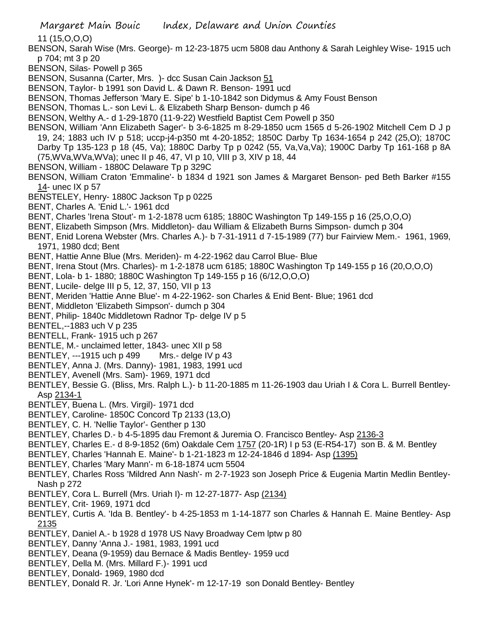11 (15,O,O,O)

- BENSON, Sarah Wise (Mrs. George)- m 12-23-1875 ucm 5808 dau Anthony & Sarah Leighley Wise- 1915 uch p 704; mt 3 p 20
- BENSON, Silas- Powell p 365
- BENSON, Susanna (Carter, Mrs. )- dcc Susan Cain Jackson 51
- BENSON, Taylor- b 1991 son David L. & Dawn R. Benson- 1991 ucd
- BENSON, Thomas Jefferson 'Mary E. Sipe' b 1-10-1842 son Didymus & Amy Foust Benson
- BENSON, Thomas L.- son Levi L. & Elizabeth Sharp Benson- dumch p 46
- BENSON, Welthy A.- d 1-29-1870 (11-9-22) Westfield Baptist Cem Powell p 350
- BENSON, William 'Ann Elizabeth Sager'- b 3-6-1825 m 8-29-1850 ucm 1565 d 5-26-1902 Mitchell Cem D J p 19, 24; 1883 uch IV p 518; uccp-j4-p350 mt 4-20-1852; 1850C Darby Tp 1634-1654 p 242 (25,O); 1870C Darby Tp 135-123 p 18 (45, Va); 1880C Darby Tp p 0242 (55, Va,Va,Va); 1900C Darby Tp 161-168 p 8A
- (75,WVa,WVa,WVa); unec II p 46, 47, VI p 10, VIII p 3, XIV p 18, 44
- BENSON, William 1880C Delaware Tp p 329C
- BENSON, William Craton 'Emmaline'- b 1834 d 1921 son James & Margaret Benson- ped Beth Barker #155 14- unec IX p 57
- BENSTELEY, Henry- 1880C Jackson Tp p 0225
- BENT, Charles A. 'Enid L.'- 1961 dcd
- BENT, Charles 'Irena Stout'- m 1-2-1878 ucm 6185; 1880C Washington Tp 149-155 p 16 (25,O,O,O)
- BENT, Elizabeth Simpson (Mrs. Middleton)- dau William & Elizabeth Burns Simpson- dumch p 304
- BENT, Enid Lorena Webster (Mrs. Charles A.)- b 7-31-1911 d 7-15-1989 (77) bur Fairview Mem.- 1961, 1969, 1971, 1980 dcd; Bent
- BENT, Hattie Anne Blue (Mrs. Meriden)- m 4-22-1962 dau Carrol Blue- Blue
- BENT, Irena Stout (Mrs. Charles)- m 1-2-1878 ucm 6185; 1880C Washington Tp 149-155 p 16 (20,O,O,O)
- BENT, Lola- b 1- 1880; 1880C Washington Tp 149-155 p 16 (6/12,O,O,O)
- BENT, Lucile- delge III p 5, 12, 37, 150, VII p 13
- BENT, Meriden 'Hattie Anne Blue'- m 4-22-1962- son Charles & Enid Bent- Blue; 1961 dcd
- BENT, Middleton 'Elizabeth Simpson'- dumch p 304
- BENT, Philip- 1840c Middletown Radnor Tp- delge IV p 5
- BENTEL,--1883 uch V p 235
- BENTELL, Frank- 1915 uch p 267
- BENTLE, M.- unclaimed letter, 1843- unec XII p 58
- BENTLEY, ---1915 uch p 499 Mrs.- delge IV p 43
- BENTLEY, Anna J. (Mrs. Danny)- 1981, 1983, 1991 ucd
- BENTLEY, Avenell (Mrs. Sam)- 1969, 1971 dcd
- BENTLEY, Bessie G. (Bliss, Mrs. Ralph L.)- b 11-20-1885 m 11-26-1903 dau Uriah I & Cora L. Burrell Bentley-Asp 2134-1
- BENTLEY, Buena L. (Mrs. Virgil)- 1971 dcd
- BENTLEY, Caroline- 1850C Concord Tp 2133 (13,O)
- BENTLEY, C. H. 'Nellie Taylor'- Genther p 130
- BENTLEY, Charles D.- b 4-5-1895 dau Fremont & Juremia O. Francisco Bentley- Asp 2136-3
- BENTLEY, Charles E.- d 8-9-1852 (6m) Oakdale Cem 1757 (20-1R) I p 53 (E-R54-17) son B. & M. Bentley
- BENTLEY, Charles 'Hannah E. Maine'- b 1-21-1823 m 12-24-1846 d 1894- Asp (1395)
- BENTLEY, Charles 'Mary Mann'- m 6-18-1874 ucm 5504
- BENTLEY, Charles Ross 'Mildred Ann Nash'- m 2-7-1923 son Joseph Price & Eugenia Martin Medlin Bentley-Nash p 272
- BENTLEY, Cora L. Burrell (Mrs. Uriah I)- m 12-27-1877- Asp (2134)
- BENTLEY, Crit- 1969, 1971 dcd
- BENTLEY, Curtis A. 'Ida B. Bentley'- b 4-25-1853 m 1-14-1877 son Charles & Hannah E. Maine Bentley- Asp 2135
- BENTLEY, Daniel A.- b 1928 d 1978 US Navy Broadway Cem lptw p 80
- BENTLEY, Danny 'Anna J.- 1981, 1983, 1991 ucd
- BENTLEY, Deana (9-1959) dau Bernace & Madis Bentley- 1959 ucd
- BENTLEY, Della M. (Mrs. Millard F.)- 1991 ucd
- BENTLEY, Donald- 1969, 1980 dcd
- BENTLEY, Donald R. Jr. 'Lori Anne Hynek'- m 12-17-19 son Donald Bentley- Bentley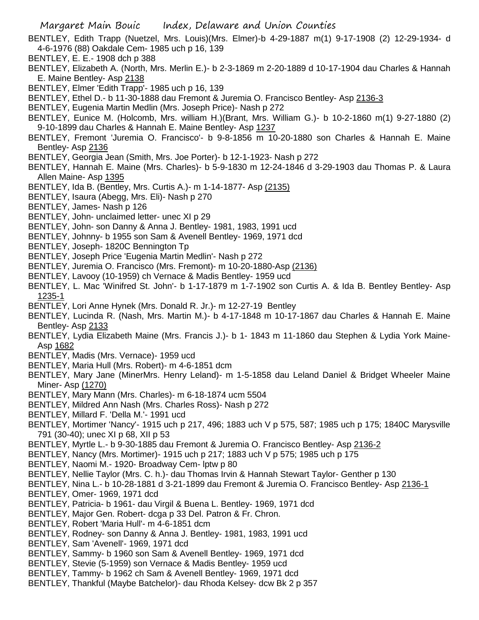- BENTLEY, Edith Trapp (Nuetzel, Mrs. Louis)(Mrs. Elmer)-b 4-29-1887 m(1) 9-17-1908 (2) 12-29-1934- d 4-6-1976 (88) Oakdale Cem- 1985 uch p 16, 139
- BENTLEY, E. E.- 1908 dch p 388
- BENTLEY, Elizabeth A. (North, Mrs. Merlin E.)- b 2-3-1869 m 2-20-1889 d 10-17-1904 dau Charles & Hannah E. Maine Bentley- Asp 2138
- BENTLEY, Elmer 'Edith Trapp'- 1985 uch p 16, 139
- BENTLEY, Ethel D.- b 11-30-1888 dau Fremont & Juremia O. Francisco Bentley- Asp 2136-3
- BENTLEY, Eugenia Martin Medlin (Mrs. Joseph Price)- Nash p 272
- BENTLEY, Eunice M. (Holcomb, Mrs. william H.)(Brant, Mrs. William G.)- b 10-2-1860 m(1) 9-27-1880 (2) 9-10-1899 dau Charles & Hannah E. Maine Bentley- Asp 1237
- BENTLEY, Fremont 'Juremia O. Francisco'- b 9-8-1856 m 10-20-1880 son Charles & Hannah E. Maine Bentley- Asp 2136
- BENTLEY, Georgia Jean (Smith, Mrs. Joe Porter)- b 12-1-1923- Nash p 272
- BENTLEY, Hannah E. Maine (Mrs. Charles)- b 5-9-1830 m 12-24-1846 d 3-29-1903 dau Thomas P. & Laura Allen Maine- Asp 1395
- BENTLEY, Ida B. (Bentley, Mrs. Curtis A.)- m 1-14-1877- Asp (2135)
- BENTLEY, Isaura (Abegg, Mrs. Eli)- Nash p 270
- BENTLEY, James- Nash p 126
- BENTLEY, John- unclaimed letter- unec XI p 29
- BENTLEY, John- son Danny & Anna J. Bentley- 1981, 1983, 1991 ucd
- BENTLEY, Johnny- b 1955 son Sam & Avenell Bentley- 1969, 1971 dcd
- BENTLEY, Joseph- 1820C Bennington Tp
- BENTLEY, Joseph Price 'Eugenia Martin Medlin'- Nash p 272
- BENTLEY, Juremia O. Francisco (Mrs. Fremont)- m 10-20-1880-Asp (2136)
- BENTLEY, Lavooy (10-1959) ch Vernace & Madis Bentley- 1959 ucd
- BENTLEY, L. Mac 'Winifred St. John'- b 1-17-1879 m 1-7-1902 son Curtis A. & Ida B. Bentley Bentley- Asp 1235-1
- BENTLEY, Lori Anne Hynek (Mrs. Donald R. Jr.)- m 12-27-19 Bentley
- BENTLEY, Lucinda R. (Nash, Mrs. Martin M.)- b 4-17-1848 m 10-17-1867 dau Charles & Hannah E. Maine Bentley- Asp 2133
- BENTLEY, Lydia Elizabeth Maine (Mrs. Francis J.)- b 1- 1843 m 11-1860 dau Stephen & Lydia York Maine-Asp 1682
- BENTLEY, Madis (Mrs. Vernace)- 1959 ucd
- BENTLEY, Maria Hull (Mrs. Robert)- m 4-6-1851 dcm
- BENTLEY, Mary Jane (MinerMrs. Henry Leland)- m 1-5-1858 dau Leland Daniel & Bridget Wheeler Maine Miner- Asp (1270)
- BENTLEY, Mary Mann (Mrs. Charles)- m 6-18-1874 ucm 5504
- BENTLEY, Mildred Ann Nash (Mrs. Charles Ross)- Nash p 272
- BENTLEY, Millard F. 'Della M.'- 1991 ucd
- BENTLEY, Mortimer 'Nancy'- 1915 uch p 217, 496; 1883 uch V p 575, 587; 1985 uch p 175; 1840C Marysville 791 (30-40); unec XI p 68, XII p 53
- BENTLEY, Myrtle L.- b 9-30-1885 dau Fremont & Juremia O. Francisco Bentley- Asp 2136-2
- BENTLEY, Nancy (Mrs. Mortimer)- 1915 uch p 217; 1883 uch V p 575; 1985 uch p 175
- BENTLEY, Naomi M.- 1920- Broadway Cem- lptw p 80
- BENTLEY, Nellie Taylor (Mrs. C. h.)- dau Thomas Irvin & Hannah Stewart Taylor- Genther p 130
- BENTLEY, Nina L.- b 10-28-1881 d 3-21-1899 dau Fremont & Juremia O. Francisco Bentley- Asp 2136-1
- BENTLEY, Omer- 1969, 1971 dcd
- BENTLEY, Patricia- b 1961- dau Virgil & Buena L. Bentley- 1969, 1971 dcd
- BENTLEY, Major Gen. Robert- dcga p 33 Del. Patron & Fr. Chron.
- BENTLEY, Robert 'Maria Hull'- m 4-6-1851 dcm
- BENTLEY, Rodney- son Danny & Anna J. Bentley- 1981, 1983, 1991 ucd
- BENTLEY, Sam 'Avenell'- 1969, 1971 dcd
- BENTLEY, Sammy- b 1960 son Sam & Avenell Bentley- 1969, 1971 dcd
- BENTLEY, Stevie (5-1959) son Vernace & Madis Bentley- 1959 ucd
- BENTLEY, Tammy- b 1962 ch Sam & Avenell Bentley- 1969, 1971 dcd
- BENTLEY, Thankful (Maybe Batchelor)- dau Rhoda Kelsey- dcw Bk 2 p 357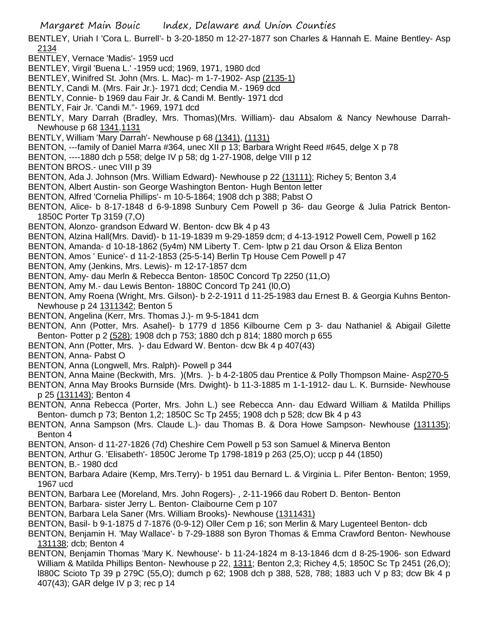- BENTLEY, Uriah I 'Cora L. Burrell'- b 3-20-1850 m 12-27-1877 son Charles & Hannah E. Maine Bentley- Asp 2134
- BENTLEY, Vernace 'Madis'- 1959 ucd
- BENTLEY, Virgil 'Buena L.' -1959 ucd; 1969, 1971, 1980 dcd
- BENTLEY, Winifred St. John (Mrs. L. Mac)- m 1-7-1902- Asp (2135-1)
- BENTLY, Candi M. (Mrs. Fair Jr.)- 1971 dcd; Cendia M.- 1969 dcd
- BENTLY, Connie- b 1969 dau Fair Jr. & Candi M. Bently- 1971 dcd
- BENTLY, Fair Jr. 'Candi M."- 1969, 1971 dcd
- BENTLY, Mary Darrah (Bradley, Mrs. Thomas)(Mrs. William)- dau Absalom & Nancy Newhouse Darrah-Newhouse p 68 1341,1131
- BENTLY, William 'Mary Darrah'- Newhouse p 68 (1341), (1131)
- BENTON, ---family of Daniel Marra #364, unec XII p 13; Barbara Wright Reed #645, delge X p 78
- BENTON, ----1880 dch p 558; delge IV p 58; dg 1-27-1908, delge VIII p 12
- BENTON BROS.- unec VIII p 39
- BENTON, Ada J. Johnson (Mrs. William Edward) -Newhouse p 22 (13111); Richey 5; Benton 3,4
- BENTON, Albert Austin- son George Washington Benton- Hugh Benton letter
- BENTON, Alfred 'Cornelia Phillips'- m 10-5-1864; 1908 dch p 388; Pabst O
- BENTON, Alice- b 8-17-1848 d 6-9-1898 Sunbury Cem Powell p 36- dau George & Julia Patrick Benton-1850C Porter Tp 3159 (7,O)
- BENTON, Alonzo- grandson Edward W. Benton- dcw Bk 4 p 43
- BENTON, Alzina Hall(Mrs. David)- b 11-19-1839 m 9-29-1859 dcm; d 4-13-1912 Powell Cem, Powell p 162
- BENTON, Amanda- d 10-18-1862 (5y4m) NM Liberty T. Cem- lptw p 21 dau Orson & Eliza Benton
- BENTON, Amos ' Eunice'- d 11-2-1853 (25-5-14) Berlin Tp House Cem Powell p 47
- BENTON, Amy (Jenkins, Mrs. Lewis)- m 12-17-1857 dcm
- BENTON, Amy- dau Merln & Rebecca Benton- 1850C Concord Tp 2250 (11,O)
- BENTON, Amy M.- dau Lewis Benton- 1880C Concord Tp 241 (l0,O)
- BENTON, Amy Roena (Wright, Mrs. Gilson)- b 2-2-1911 d 11-25-1983 dau Ernest B. & Georgia Kuhns Benton-Newhouse p 24 1311342; Benton 5
- BENTON, Angelina (Kerr, Mrs. Thomas J.)- m 9-5-1841 dcm
- BENTON, Ann (Potter, Mrs. Asahel)- b 1779 d 1856 Kilbourne Cem p 3- dau Nathaniel & Abigail Gilette Benton- Potter p 2 (528); 1908 dch p 753; 1880 dch p 814; 1880 morch p 655
- BENTON, Ann (Potter, Mrs. )- dau Edward W. Benton- dcw Bk 4 p 407(43)
- BENTON, Anna- Pabst O
- BENTON, Anna (Longwell, Mrs. Ralph)- Powell p 344
- BENTON, Anna Maine (Beckwith, Mrs. )(Mrs. )- b 4-2-1805 dau Prentice & Polly Thompson Maine- Asp270-5
- BENTON, Anna May Brooks Burnside (Mrs. Dwight)- b 11-3-1885 m 1-1-1912- dau L. K. Burnside- Newhouse p 25 (131143); Benton 4
- BENTON, Anna Rebecca (Porter, Mrs. John L.) see Rebecca Ann- dau Edward William & Matilda Phillips Benton- dumch p 73; Benton 1,2; 1850C Sc Tp 2455; 1908 dch p 528; dcw Bk 4 p 43
- BENTON, Anna Sampson (Mrs. Claude L.)- dau Thomas B. & Dora Howe Sampson- Newhouse (131135); Benton 4
- BENTON, Anson- d 11-27-1826 (7d) Cheshire Cem Powell p 53 son Samuel & Minerva Benton
- BENTON, Arthur G. 'Elisabeth'- 1850C Jerome Tp 1798-1819 p 263 (25,O); uccp p 44 (1850)
- BENTON, B.- 1980 dcd
- BENTON, Barbara Adaire (Kemp, Mrs.Terry)- b 1951 dau Bernard L. & Virginia L. Pifer Benton- Benton; 1959, 1967 ucd
- BENTON, Barbara Lee (Moreland, Mrs. John Rogers)- , 2-11-1966 dau Robert D. Benton- Benton
- BENTON, Barbara- sister Jerry L. Benton- Claibourne Cem p 107
- BENTON, Barbara Lela Saner (Mrs. William Brooks)- Newhouse (1311431)
- BENTON, Basil- b 9-1-1875 d 7-1876 (0-9-12) Oller Cem p 16; son Merlin & Mary Lugenteel Benton- dcb
- BENTON, Benjamin H. 'May Wallace'- b 7-29-1888 son Byron Thomas & Emma Crawford Benton- Newhouse 131138; dcb; Benton 4
- BENTON, Benjamin Thomas 'Mary K. Newhouse'- b 11-24-1824 m 8-13-1846 dcm d 8-25-1906- son Edward William & Matilda Phillips Benton- Newhouse p 22, 1311; Benton 2,3; Richey 4,5; 1850C Sc Tp 2451 (26,O); l880C Scioto Tp 39 p 279C (55,O); dumch p 62; 1908 dch p 388, 528, 788; 1883 uch V p 83; dcw Bk 4 p 407(43); GAR delge IV p 3; rec p 14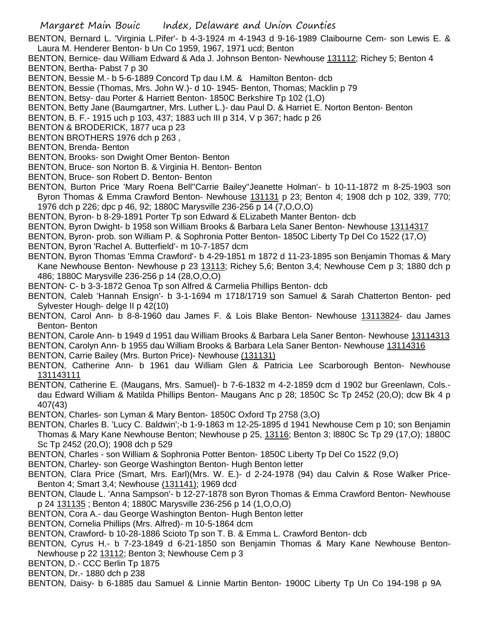BENTON, Bernard L. 'Virginia L.Pifer'- b 4-3-1924 m 4-1943 d 9-16-1989 Claibourne Cem- son Lewis E. & Laura M. Henderer Benton- b Un Co 1959, 1967, 1971 ucd; Benton

BENTON, Bernice- dau William Edward & Ada J. Johnson Benton- Newhouse 131112; Richey 5; Benton 4 BENTON, Bertha- Pabst 7 p 30

- BENTON, Bessie M.- b 5-6-1889 Concord Tp dau I.M. & Hamilton Benton- dcb
- BENTON, Bessie (Thomas, Mrs. John W.)- d 10- 1945- Benton, Thomas; Macklin p 79
- BENTON, Betsy- dau Porter & Harriett Benton- 1850C Berkshire Tp 102 (1,O)
- BENTON, Betty Jane (Baumgartner, Mrs. Luther L.)- dau Paul D. & Harriet E. Norton Benton- Benton
- BENTON, B. F.- 1915 uch p 103, 437; 1883 uch III p 314, V p 367; hadc p 26
- BENTON & BRODERICK, 1877 uca p 23
- BENTON BROTHERS 1976 dch p 263 ,
- BENTON, Brenda- Benton
- BENTON, Brooks- son Dwight Omer Benton- Benton
- BENTON, Bruce- son Norton B. & Virginia H. Benton- Benton
- BENTON, Bruce- son Robert D. Benton- Benton
- BENTON, Burton Price 'Mary Roena Bell''Carrie Bailey''Jeanette Holman'- b 10-11-1872 m 8-25-1903 son Byron Thomas & Emma Crawford Benton- Newhouse 131131 p 23; Benton 4; 1908 dch p 102, 339, 770; 1976 dch p 226; dpc p 46, 92; 1880C Marysville 236-256 p 14 (7,O,O,O)
- BENTON, Byron- b 8-29-1891 Porter Tp son Edward & ELizabeth Manter Benton- dcb
- BENTON, Byron Dwight- b 1958 son William Brooks & Barbara Lela Saner Benton- Newhouse 13114317
- BENTON, Byron- prob. son William P. & Sophronia Potter Benton- 1850C Liberty Tp Del Co 1522 (17,O)
- BENTON, Byron 'Rachel A. Butterfield'- m 10-7-1857 dcm
- BENTON, Byron Thomas 'Emma Crawford'- b 4-29-1851 m 1872 d 11-23-1895 son Benjamin Thomas & Mary Kane Newhouse Benton- Newhouse p 23 13113; Richey 5,6; Benton 3,4; Newhouse Cem p 3; 1880 dch p 486; 1880C Marysville 236-256 p 14 (28,O,O,O)
- BENTON- C- b 3-3-1872 Genoa Tp son Alfred & Carmelia Phillips Benton- dcb
- BENTON, Caleb 'Hannah Ensign'- b 3-1-1694 m 1718/1719 son Samuel & Sarah Chatterton Benton- ped Sylvester Hough- delge II p 42(10)
- BENTON, Carol Ann- b 8-8-1960 dau James F. & Lois Blake Benton- Newhouse 13113824- dau James Benton- Benton
- BENTON, Carole Ann- b 1949 d 1951 dau William Brooks & Barbara Lela Saner Benton- Newhouse 13114313
- BENTON, Carolyn Ann- b 1955 dau William Brooks & Barbara Lela Saner Benton- Newhouse 13114316
- BENTON, Carrie Bailey (Mrs. Burton Price)- Newhouse (131131)
- BENTON, Catherine Ann- b 1961 dau William Glen & Patricia Lee Scarborough Benton- Newhouse 131143111
- BENTON, Catherine E. (Maugans, Mrs. Samuel)- b 7-6-1832 m 4-2-1859 dcm d 1902 bur Greenlawn, Cols. dau Edward William & Matilda Phillips Benton- Maugans Anc p 28; 1850C Sc Tp 2452 (20,O); dcw Bk 4 p 407(43)
- BENTON, Charles- son Lyman & Mary Benton- 1850C Oxford Tp 2758 (3,O)
- BENTON, Charles B. 'Lucy C. Baldwin';-b 1-9-1863 m 12-25-1895 d 1941 Newhouse Cem p 10; son Benjamin Thomas & Mary Kane Newhouse Benton; Newhouse p 25, 13116; Benton 3; l880C Sc Tp 29 (17,O); 1880C Sc Tp 2452 (20,O); 1908 dch p 529
- BENTON, Charles son William & Sophronia Potter Benton- 1850C Liberty Tp Del Co 1522 (9,O)
- BENTON, Charley- son George Washington Benton- Hugh Benton letter
- BENTON, Clara Price (Smart, Mrs. Earl)(Mrs. W. E.)- d 2-24-1978 (94) dau Calvin & Rose Walker Price-Benton 4; Smart 3,4; Newhouse (131141); 1969 dcd
- BENTON, Claude L. 'Anna Sampson'- b 12-27-1878 son Byron Thomas & Emma Crawford Benton- Newhouse p 24 131135 ; Benton 4; 1880C Marysville 236-256 p 14 (1,O,O,O)
- BENTON, Cora A.- dau George Washington Benton- Hugh Benton letter
- BENTON, Cornelia Phillips (Mrs. Alfred)- m 10-5-1864 dcm
- BENTON, Crawford- b 10-28-1886 Scioto Tp son T. B. & Emma L. Crawford Benton- dcb
- BENTON, Cyrus H.- b 7-23-1849 d 6-21-1850 son Benjamin Thomas & Mary Kane Newhouse Benton-Newhouse p 22 13112; Benton 3; Newhouse Cem p 3
- BENTON, D.- CCC Berlin Tp 1875
- BENTON, Dr.- 1880 dch p 238

BENTON, Daisy- b 6-1885 dau Samuel & Linnie Martin Benton- 1900C Liberty Tp Un Co 194-198 p 9A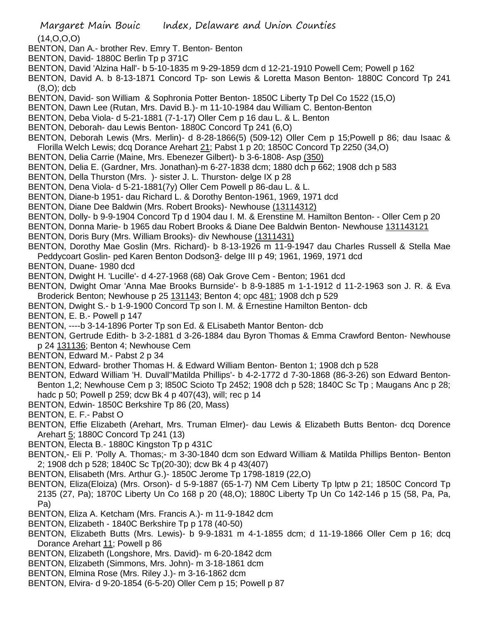(14,O,O,O)

- BENTON, Dan A.- brother Rev. Emry T. Benton- Benton
- BENTON, David- 1880C Berlin Tp p 371C
- BENTON, David 'Alzina Hall'- b 5-10-1835 m 9-29-1859 dcm d 12-21-1910 Powell Cem; Powell p 162
- BENTON, David A. b 8-13-1871 Concord Tp- son Lewis & Loretta Mason Benton- 1880C Concord Tp 241 (8,O); dcb
- BENTON, David- son William & Sophronia Potter Benton- 1850C Liberty Tp Del Co 1522 (15,O)
- BENTON, Dawn Lee (Rutan, Mrs. David B.)- m 11-10-1984 dau William C. Benton-Benton
- BENTON, Deba Viola- d 5-21-1881 (7-1-17) Oller Cem p 16 dau L. & L. Benton
- BENTON, Deborah- dau Lewis Benton- 1880C Concord Tp 241 (6,O)
- BENTON, Deborah Lewis (Mrs. Merlin)- d 8-28-1866(5) (509-12) Oller Cem p 15;Powell p 86; dau Isaac & Florilla Welch Lewis; dcq Dorance Arehart 21; Pabst 1 p 20; 1850C Concord Tp 2250 (34,O)
- BENTON, Delia Carrie (Maine, Mrs. Ebenezer Gilbert)- b 3-6-1808- Asp (350)
- BENTON, Delia E. (Gardner, Mrs. Jonathan)-m 6-27-1838 dcm; 1880 dch p 662; 1908 dch p 583
- BENTON, Della Thurston (Mrs. )- sister J. L. Thurston- delge IX p 28
- BENTON, Dena Viola- d 5-21-1881(7y) Oller Cem Powell p 86-dau L. & L.
- BENTON, Diane-b 1951- dau Richard L. & Dorothy Benton-1961, 1969, 1971 dcd
- BENTON, Diane Dee Baldwin (Mrs. Robert Brooks)- Newhouse (13114312)
- BENTON, Dolly- b 9-9-1904 Concord Tp d 1904 dau I. M. & Erenstine M. Hamilton Benton- Oller Cem p 20
- BENTON, Donna Marie- b 1965 dau Robert Brooks & Diane Dee Baldwin Benton- Newhouse 131143121
- BENTON, Doris Bury (Mrs. William Brooks)- div Newhouse (1311431)
- BENTON, Dorothy Mae Goslin (Mrs. Richard)- b 8-13-1926 m 11-9-1947 dau Charles Russell & Stella Mae Peddycoart Goslin- ped Karen Benton Dodson3- delge III p 49; 1961, 1969, 1971 dcd
- BENTON, Duane- 1980 dcd
- BENTON, Dwight H. 'Lucille'- d 4-27-1968 (68) Oak Grove Cem Benton; 1961 dcd
- BENTON, Dwight Omar 'Anna Mae Brooks Burnside'- b 8-9-1885 m 1-1-1912 d 11-2-1963 son J. R. & Eva Broderick Benton; Newhouse p 25 131143; Benton 4; opc 481; 1908 dch p 529
- BENTON, Dwight S.- b 1-9-1900 Concord Tp son I. M. & Ernestine Hamilton Benton- dcb
- BENTON, E. B.- Powell p 147
- BENTON, ----b 3-14-1896 Porter Tp son Ed. & ELisabeth Mantor Benton- dcb
- BENTON, Gertrude Edith- b 3-2-1881 d 3-26-1884 dau Byron Thomas & Emma Crawford Benton- Newhouse p 24 131136; Benton 4; Newhouse Cem
- BENTON, Edward M.- Pabst 2 p 34
- BENTON, Edward- brother Thomas H. & Edward William Benton- Benton 1; 1908 dch p 528
- BENTON, Edward William 'H. Duvall''Matilda Phillips'- b 4-2-1772 d 7-30-1868 (86-3-26) son Edward Benton-Benton 1,2; Newhouse Cem p 3; l850C Scioto Tp 2452; 1908 dch p 528; 1840C Sc Tp ; Maugans Anc p 28; hadc p 50; Powell p 259; dcw Bk 4 p 407(43), will; rec p 14
- BENTON, Edwin- 1850C Berkshire Tp 86 (20, Mass)
- BENTON, E. F.- Pabst O
- BENTON, Effie Elizabeth (Arehart, Mrs. Truman Elmer)- dau Lewis & Elizabeth Butts Benton- dcq Dorence Arehart 5; 1880C Concord Tp 241 (13)
- BENTON, Electa B.- 1880C Kingston Tp p 431C
- BENTON,- Eli P. 'Polly A. Thomas;- m 3-30-1840 dcm son Edward William & Matilda Phillips Benton- Benton 2; 1908 dch p 528; 1840C Sc Tp(20-30); dcw Bk 4 p 43(407)
- BENTON, Elisabeth (Mrs. Arthur G.)- 1850C Jerome Tp 1798-1819 (22,O)
- BENTON, Eliza(Eloiza) (Mrs. Orson)- d 5-9-1887 (65-1-7) NM Cem Liberty Tp lptw p 21; 1850C Concord Tp 2135 (27, Pa); 1870C Liberty Un Co 168 p 20 (48,O); 1880C Liberty Tp Un Co 142-146 p 15 (58, Pa, Pa, Pa)
- BENTON, Eliza A. Ketcham (Mrs. Francis A.)- m 11-9-1842 dcm
- BENTON, Elizabeth 1840C Berkshire Tp p 178 (40-50)
- BENTON, Elizabeth Butts (Mrs. Lewis)- b 9-9-1831 m 4-1-1855 dcm; d 11-19-1866 Oller Cem p 16; dcq Dorance Arehart 11; Powell p 86
- BENTON, Elizabeth (Longshore, Mrs. David)- m 6-20-1842 dcm
- BENTON, Elizabeth (Simmons, Mrs. John)- m 3-18-1861 dcm
- BENTON, Elmina Rose (Mrs. Riley J.)- m 3-16-1862 dcm
- BENTON, Elvira- d 9-20-1854 (6-5-20) Oller Cem p 15; Powell p 87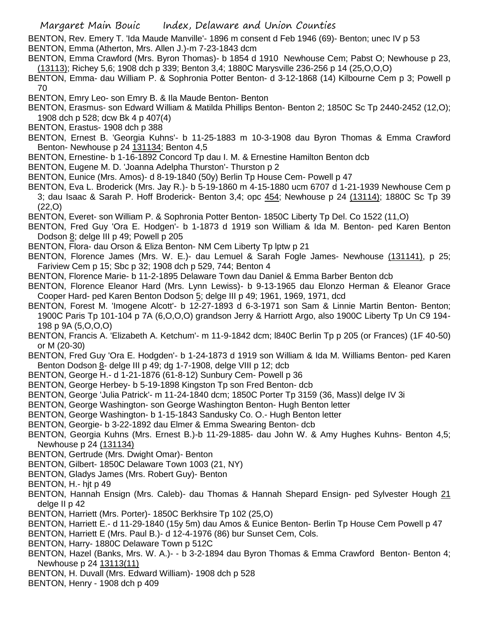Margaret Main Bouic Index, Delaware and Union Counties

BENTON, Rev. Emery T. 'Ida Maude Manville'- 1896 m consent d Feb 1946 (69)- Benton; unec IV p 53 BENTON, Emma (Atherton, Mrs. Allen J.)-m 7-23-1843 dcm

- BENTON, Emma Crawford (Mrs. Byron Thomas)- b 1854 d 1910 Newhouse Cem; Pabst O; Newhouse p 23, (13113); Richey 5,6; 1908 dch p 339; Benton 3,4; 1880C Marysville 236-256 p 14 (25,O,O,O)
- BENTON, Emma- dau William P. & Sophronia Potter Benton- d 3-12-1868 (14) Kilbourne Cem p 3; Powell p 70
- BENTON, Emry Leo- son Emry B. & Ila Maude Benton- Benton
- BENTON, Erasmus- son Edward William & Matilda Phillips Benton- Benton 2; 1850C Sc Tp 2440-2452 (12,O); 1908 dch p 528; dcw Bk 4 p 407(4)
- BENTON, Erastus- 1908 dch p 388
- BENTON, Ernest B. 'Georgia Kuhns'- b 11-25-1883 m 10-3-1908 dau Byron Thomas & Emma Crawford Benton- Newhouse p 24 131134; Benton 4,5
- BENTON, Ernestine- b 1-16-1892 Concord Tp dau I. M. & Ernestine Hamilton Benton dcb
- BENTON, Eugene M. D. 'Joanna Adelpha Thurston'- Thurston p 2
- BENTON, Eunice (Mrs. Amos)- d 8-19-1840 (50y) Berlin Tp House Cem- Powell p 47
- BENTON, Eva L. Broderick (Mrs. Jay R.)- b 5-19-1860 m 4-15-1880 ucm 6707 d 1-21-1939 Newhouse Cem p 3; dau Isaac & Sarah P. Hoff Broderick- Benton 3,4; opc 454; Newhouse p 24 (13114); 1880C Sc Tp 39 (22,O)
- BENTON, Everet- son William P. & Sophronia Potter Benton- 1850C Liberty Tp Del. Co 1522 (11,O)
- BENTON, Fred Guy 'Ora E. Hodgen'- b 1-1873 d 1919 son William & Ida M. Benton- ped Karen Benton Dodson 8; delge III p 49; Powell p 205
- BENTON, Flora- dau Orson & Eliza Benton- NM Cem Liberty Tp lptw p 21
- BENTON, Florence James (Mrs. W. E.)- dau Lemuel & Sarah Fogle James- Newhouse (131141), p 25; Fariview Cem p 15; Sbc p 32; 1908 dch p 529, 744; Benton 4
- BENTON, Florence Marie- b 11-2-1895 Delaware Town dau Daniel & Emma Barber Benton dcb
- BENTON, Florence Eleanor Hard (Mrs. Lynn Lewiss)- b 9-13-1965 dau Elonzo Herman & Eleanor Grace Cooper Hard- ped Karen Benton Dodson 5; delge III p 49; 1961, 1969, 1971, dcd
- BENTON, Forest M. 'Imogene Alcott'- b 12-27-1893 d 6-3-1971 son Sam & Linnie Martin Benton- Benton; 1900C Paris Tp 101-104 p 7A (6,O,O,O) grandson Jerry & Harriott Argo, also 1900C Liberty Tp Un C9 194- 198 p 9A (5,O,O,O)
- BENTON, Francis A. 'Elizabeth A. Ketchum'- m 11-9-1842 dcm; l840C Berlin Tp p 205 (or Frances) (1F 40-50) or M (20-30)
- BENTON, Fred Guy 'Ora E. Hodgden'- b 1-24-1873 d 1919 son William & Ida M. Williams Benton- ped Karen Benton Dodson 8- delge III p 49; dg 1-7-1908, delge VIII p 12; dcb
- BENTON, George H.- d 1-21-1876 (61-8-12) Sunbury Cem- Powell p 36
- BENTON, George Herbey- b 5-19-1898 Kingston Tp son Fred Benton- dcb
- BENTON, George 'Julia Patrick'- m 11-24-1840 dcm; 1850C Porter Tp 3159 (36, Mass)l delge IV 3i
- BENTON, George Washington- son George Washington Benton- Hugh Benton letter
- BENTON, George Washington- b 1-15-1843 Sandusky Co. O.- Hugh Benton letter
- BENTON, Georgie- b 3-22-1892 dau Elmer & Emma Swearing Benton- dcb
- BENTON, Georgia Kuhns (Mrs. Ernest B.)-b 11-29-1885- dau John W. & Amy Hughes Kuhns- Benton 4,5; Newhouse p 24 (131134)
- BENTON, Gertrude (Mrs. Dwight Omar)- Benton
- BENTON, Gilbert- 1850C Delaware Town 1003 (21, NY)
- BENTON, Gladys James (Mrs. Robert Guy)- Benton
- BENTON, H.- hjt p 49
- BENTON, Hannah Ensign (Mrs. Caleb)- dau Thomas & Hannah Shepard Ensign- ped Sylvester Hough 21 delge II p 42
- BENTON, Harriett (Mrs. Porter)- 1850C Berkhsire Tp 102 (25,O)
- BENTON, Harriett E.- d 11-29-1840 (15y 5m) dau Amos & Eunice Benton- Berlin Tp House Cem Powell p 47
- BENTON, Harriett E (Mrs. Paul B.)- d 12-4-1976 (86) bur Sunset Cem, Cols.
- BENTON, Harry- 1880C Delaware Town p 512C
- BENTON, Hazel (Banks, Mrs. W. A.)- b 3-2-1894 dau Byron Thomas & Emma Crawford Benton- Benton 4; Newhouse p 24 13113(11)
- BENTON, H. Duvall (Mrs. Edward William)- 1908 dch p 528
- BENTON, Henry 1908 dch p 409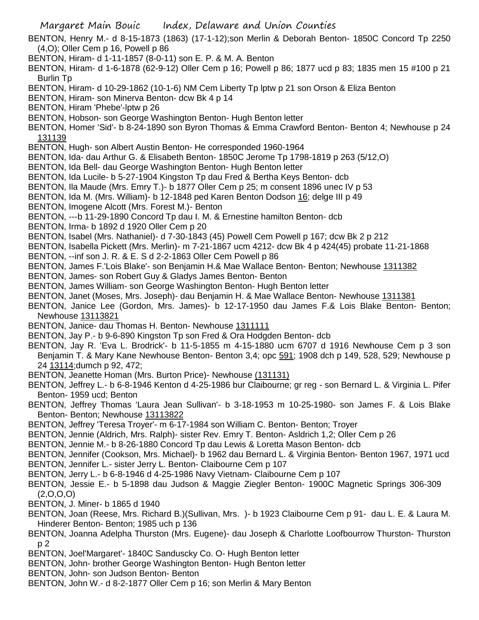- Margaret Main Bouic Index, Delaware and Union Counties BENTON, Henry M.- d 8-15-1873 (1863) (17-1-12);son Merlin & Deborah Benton- 1850C Concord Tp 2250 (4,O); Oller Cem p 16, Powell p 86 BENTON, Hiram- d 1-11-1857 (8-0-11) son E. P. & M. A. Benton BENTON, Hiram- d 1-6-1878 (62-9-12) Oller Cem p 16; Powell p 86; 1877 ucd p 83; 1835 men 15 #100 p 21 Burlin Tp BENTON, Hiram- d 10-29-1862 (10-1-6) NM Cem Liberty Tp lptw p 21 son Orson & Eliza Benton BENTON, Hiram- son Minerva Benton- dcw Bk 4 p 14 BENTON, Hiram 'Phebe'-lptw p 26 BENTON, Hobson- son George Washington Benton- Hugh Benton letter BENTON, Homer 'Sid'- b 8-24-1890 son Byron Thomas & Emma Crawford Benton- Benton 4; Newhouse p 24 131139 BENTON, Hugh- son Albert Austin Benton- He corresponded 1960-1964 BENTON, Ida- dau Arthur G. & Elisabeth Benton- 1850C Jerome Tp 1798-1819 p 263 (5/12,O) BENTON, Ida Bell- dau George Washington Benton- Hugh Benton letter BENTON, Ida Lucile- b 5-27-1904 Kingston Tp dau Fred & Bertha Keys Benton- dcb BENTON, Ila Maude (Mrs. Emry T.)- b 1877 Oller Cem p 25; m consent 1896 unec IV p 53 BENTON, Ida M. (Mrs. William)- b 12-1848 ped Karen Benton Dodson 16; delge III p 49 BENTON, Imogene Alcott (Mrs. Forest M.)- Benton BENTON, ---b 11-29-1890 Concord Tp dau I. M. & Ernestine hamilton Benton- dcb BENTON, Irma- b 1892 d 1920 Oller Cem p 20 BENTON, Isabel (Mrs. Nathaniel)- d 7-30-1843 (45) Powell Cem Powell p 167; dcw Bk 2 p 212 BENTON, Isabella Pickett (Mrs. Merlin)- m 7-21-1867 ucm 4212- dcw Bk 4 p 424(45) probate 11-21-1868 BENTON, --inf son J. R. & E. S d 2-2-1863 Oller Cem Powell p 86 BENTON, James F.'Lois Blake'- son Benjamin H.& Mae Wallace Benton- Benton; Newhouse 1311382 BENTON, James- son Robert Guy & Gladys James Benton- Benton BENTON, James William- son George Washington Benton- Hugh Benton letter BENTON, Janet (Moses, Mrs. Joseph)- dau Benjamin H. & Mae Wallace Benton- Newhouse 1311381 BENTON, Janice Lee (Gordon, Mrs. James)- b 12-17-1950 dau James F.& Lois Blake Benton- Benton; Newhouse 13113821 BENTON, Janice- dau Thomas H. Benton- Newhouse 1311111 BENTON, Jay P.- b 9-6-890 Kingston Tp son Fred & Ora Hodgden Benton- dcb BENTON, Jay R. 'Eva L. Brodrick'- b 11-5-1855 m 4-15-1880 ucm 6707 d 1916 Newhouse Cem p 3 son Benjamin T. & Mary Kane Newhouse Benton- Benton 3,4; opc 591; 1908 dch p 149, 528, 529; Newhouse p 24 13114;dumch p 92, 472; BENTON, Jeanette Homan (Mrs. Burton Price)- Newhouse (131131) BENTON, Jeffrey L.- b 6-8-1946 Kenton d 4-25-1986 bur Claibourne; gr reg - son Bernard L. & Virginia L. Pifer Benton- 1959 ucd; Benton BENTON, Jeffrey Thomas 'Laura Jean Sullivan'- b 3-18-1953 m 10-25-1980- son James F. & Lois Blake Benton- Benton; Newhouse 13113822 BENTON, Jeffrey 'Teresa Troyer'- m 6-17-1984 son William C. Benton- Benton; Troyer BENTON, Jennie (Aldrich, Mrs. Ralph)- sister Rev. Emry T. Benton- Asldrich 1,2; Oller Cem p 26 BENTON, Jennie M.- b 8-26-1880 Concord Tp dau Lewis & Loretta Mason Benton- dcb BENTON, Jennifer (Cookson, Mrs. Michael)- b 1962 dau Bernard L. & Virginia Benton- Benton 1967, 1971 ucd BENTON, Jennifer L.- sister Jerry L. Benton- Claibourne Cem p 107 BENTON, Jerry L.- b 6-8-1946 d 4-25-1986 Navy Vietnam- Claibourne Cem p 107 BENTON, Jessie E.- b 5-1898 dau Judson & Maggie Ziegler Benton- 1900C Magnetic Springs 306-309  $(2,0,0,0)$ BENTON, J. Miner- b 1865 d 1940 BENTON, Joan (Reese, Mrs. Richard B.)(Sullivan, Mrs. )- b 1923 Claibourne Cem p 91- dau L. E. & Laura M. Hinderer Benton- Benton; 1985 uch p 136
	- BENTON, Joanna Adelpha Thurston (Mrs. Eugene)- dau Joseph & Charlotte Loofbourrow Thurston- Thurston p 2
	- BENTON, Joel'Margaret'- 1840C Sanduscky Co. O- Hugh Benton letter
	- BENTON, John- brother George Washington Benton- Hugh Benton letter
	- BENTON, John- son Judson Benton- Benton
	- BENTON, John W.- d 8-2-1877 Oller Cem p 16; son Merlin & Mary Benton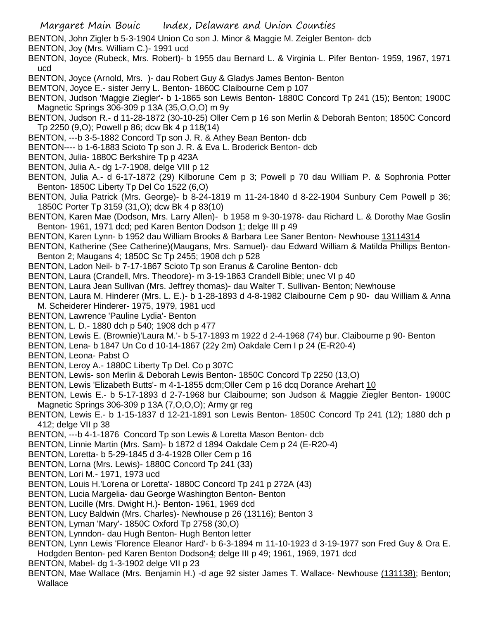- BENTON, John Zigler b 5-3-1904 Union Co son J. Minor & Maggie M. Zeigler Benton- dcb
- BENTON, Joy (Mrs. William C.)- 1991 ucd
- BENTON, Joyce (Rubeck, Mrs. Robert)- b 1955 dau Bernard L. & Virginia L. Pifer Benton- 1959, 1967, 1971 ucd
- BENTON, Joyce (Arnold, Mrs. )- dau Robert Guy & Gladys James Benton- Benton
- BEMTON, Joyce E.- sister Jerry L. Benton- 1860C Claibourne Cem p 107
- BENTON, Judson 'Maggie Ziegler'- b 1-1865 son Lewis Benton- 1880C Concord Tp 241 (15); Benton; 1900C Magnetic Springs 306-309 p 13A (35,O,O,O) m 9y
- BENTON, Judson R.- d 11-28-1872 (30-10-25) Oller Cem p 16 son Merlin & Deborah Benton; 1850C Concord Tp 2250 (9,O); Powell p 86; dcw Bk 4 p 118(14)
- BENTON, ---b 3-5-1882 Concord Tp son J. R. & Athey Bean Benton- dcb
- BENTON---- b 1-6-1883 Scioto Tp son J. R. & Eva L. Broderick Benton- dcb
- BENTON, Julia- 1880C Berkshire Tp p 423A
- BENTON, Julia A.- dg 1-7-1908, delge VIII p 12
- BENTON, Julia A.- d 6-17-1872 (29) Kilborune Cem p 3; Powell p 70 dau William P. & Sophronia Potter Benton- 1850C Liberty Tp Del Co 1522 (6,O)
- BENTON, Julia Patrick (Mrs. George)- b 8-24-1819 m 11-24-1840 d 8-22-1904 Sunbury Cem Powell p 36; 1850C Porter Tp 3159 (31,O); dcw Bk 4 p 83(10)
- BENTON, Karen Mae (Dodson, Mrs. Larry Allen)- b 1958 m 9-30-1978- dau Richard L. & Dorothy Mae Goslin Benton- 1961, 1971 dcd; ped Karen Benton Dodson 1; delge III p 49
- BENTON, Karen Lynn- b 1952 dau William Brooks & Barbara Lee Saner Benton- Newhouse 13114314
- BENTON, Katherine (See Catherine)(Maugans, Mrs. Samuel)- dau Edward William & Matilda Phillips Benton-Benton 2; Maugans 4; 1850C Sc Tp 2455; 1908 dch p 528
- BENTON, Ladon Neil- b 7-17-1867 Scioto Tp son Eranus & Caroline Benton- dcb
- BENTON, Laura (Crandell, Mrs. Theodore)- m 3-19-1863 Crandell Bible; unec VI p 40
- BENTON, Laura Jean Sullivan (Mrs. Jeffrey thomas)- dau Walter T. Sullivan- Benton; Newhouse
- BENTON, Laura M. Hinderer (Mrs. L. E.)- b 1-28-1893 d 4-8-1982 Claibourne Cem p 90- dau William & Anna M. Scheiderer Hinderer- 1975, 1979, 1981 ucd
- BENTON, Lawrence 'Pauline Lydia'- Benton
- BENTON, L. D.- 1880 dch p 540; 1908 dch p 477
- BENTON, Lewis E. (Brownie)'Laura M.'- b 5-17-1893 m 1922 d 2-4-1968 (74) bur. Claibourne p 90- Benton
- BENTON, Lena- b 1847 Un Co d 10-14-1867 (22y 2m) Oakdale Cem I p 24 (E-R20-4)
- BENTON, Leona- Pabst O
- BENTON, Leroy A.- 1880C Liberty Tp Del. Co p 307C
- BENTON, Lewis- son Merlin & Deborah Lewis Benton- 1850C Concord Tp 2250 (13,O)
- BENTON, Lewis 'Elizabeth Butts'- m 4-1-1855 dcm;Oller Cem p 16 dcq Dorance Arehart 10
- BENTON, Lewis E.- b 5-17-1893 d 2-7-1968 bur Claibourne; son Judson & Maggie Ziegler Benton- 1900C Magnetic Springs 306-309 p 13A (7,O,O,O); Army gr reg
- BENTON, Lewis E.- b 1-15-1837 d 12-21-1891 son Lewis Benton- 1850C Concord Tp 241 (12); 1880 dch p 412; delge VII p 38
- BENTON, ---b 4-1-1876 Concord Tp son Lewis & Loretta Mason Benton- dcb
- BENTON, Linnie Martin (Mrs. Sam)- b 1872 d 1894 Oakdale Cem p 24 (E-R20-4)
- BENTON, Loretta- b 5-29-1845 d 3-4-1928 Oller Cem p 16
- BENTON, Lorna (Mrs. Lewis)- 1880C Concord Tp 241 (33)
- BENTON, Lori M.- 1971, 1973 ucd
- BENTON, Louis H.'Lorena or Loretta'- 1880C Concord Tp 241 p 272A (43)
- BENTON, Lucia Margelia- dau George Washington Benton- Benton
- BENTON, Lucille (Mrs. Dwight H.)- Benton- 1961, 1969 dcd
- BENTON, Lucy Baldwin (Mrs. Charles)- Newhouse p 26 (13116); Benton 3
- BENTON, Lyman 'Mary'- 1850C Oxford Tp 2758 (30,O)
- BENTON, Lynndon- dau Hugh Benton- Hugh Benton letter
- BENTON, Lynn Lewis 'Florence Eleanor Hard'- b 6-3-1894 m 11-10-1923 d 3-19-1977 son Fred Guy & Ora E. Hodgden Benton- ped Karen Benton Dodson4; delge III p 49; 1961, 1969, 1971 dcd
- BENTON, Mabel- dg 1-3-1902 delge VII p 23
- BENTON, Mae Wallace (Mrs. Benjamin H.) -d age 92 sister James T. Wallace- Newhouse (131138); Benton; **Wallace**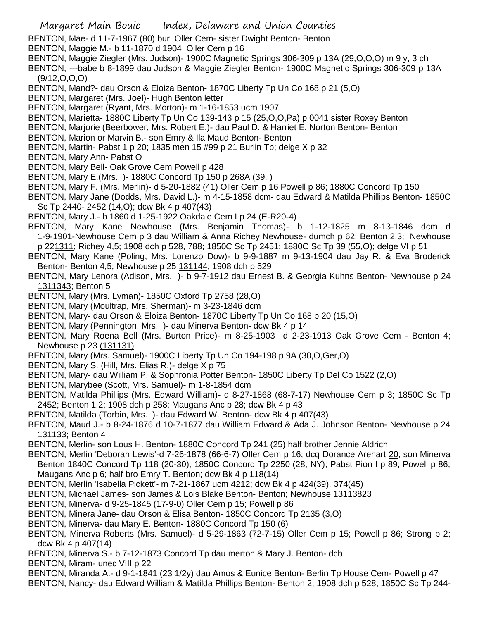- BENTON, Mae- d 11-7-1967 (80) bur. Oller Cem- sister Dwight Benton- Benton
- BENTON, Maggie M.- b 11-1870 d 1904 Oller Cem p 16
- BENTON, Maggie Ziegler (Mrs. Judson)- 1900C Magnetic Springs 306-309 p 13A (29,O,O,O) m 9 y, 3 ch

BENTON, ---babe b 8-1899 dau Judson & Maggie Ziegler Benton- 1900C Magnetic Springs 306-309 p 13A (9/12,O,O,O)

- BENTON, Mand?- dau Orson & Eloiza Benton- 1870C Liberty Tp Un Co 168 p 21 (5,O)
- BENTON, Margaret (Mrs. Joel)- Hugh Benton letter
- BENTON, Margaret (Ryant, Mrs. Morton)- m 1-16-1853 ucm 1907
- BENTON, Marietta- 1880C Liberty Tp Un Co 139-143 p 15 (25,O,O,Pa) p 0041 sister Roxey Benton
- BENTON, Marjorie (Beerbower, Mrs. Robert E.)- dau Paul D. & Harriet E. Norton Benton- Benton
- BENTON, Marion or Marvin B.- son Emry & Ila Maud Benton- Benton
- BENTON, Martin- Pabst 1 p 20; 1835 men 15 #99 p 21 Burlin Tp; delge X p 32
- BENTON, Mary Ann- Pabst O
- BENTON, Mary Bell- Oak Grove Cem Powell p 428
- BENTON, Mary E.(Mrs. )- 1880C Concord Tp 150 p 268A (39, )
- BENTON, Mary F. (Mrs. Merlin)- d 5-20-1882 (41) Oller Cem p 16 Powell p 86; 1880C Concord Tp 150
- BENTON, Mary Jane (Dodds, Mrs. David L.)- m 4-15-1858 dcm- dau Edward & Matilda Phillips Benton- 1850C Sc Tp 2440- 2452 (14,O); dcw Bk 4 p 407(43)
- BENTON, Mary J.- b 1860 d 1-25-1922 Oakdale Cem I p 24 (E-R20-4)
- BENTON, Mary Kane Newhouse (Mrs. Benjamin Thomas)- b 1-12-1825 m 8-13-1846 dcm d 1-9-1901-Newhouse Cem p 3 dau William & Anna Richey Newhouse- dumch p 62; Benton 2,3; Newhouse p 221311; Richey 4,5; 1908 dch p 528, 788; 1850C Sc Tp 2451; 1880C Sc Tp 39 (55,O); delge VI p 51
- BENTON, Mary Kane (Poling, Mrs. Lorenzo Dow)- b 9-9-1887 m 9-13-1904 dau Jay R. & Eva Broderick Benton- Benton 4,5; Newhouse p 25 131144; 1908 dch p 529
- BENTON, Mary Lenora (Adison, Mrs. )- b 9-7-1912 dau Ernest B. & Georgia Kuhns Benton- Newhouse p 24 1311343; Benton 5
- BENTON, Mary (Mrs. Lyman)- 1850C Oxford Tp 2758 (28,O)
- BENTON, Mary (Moultrap, Mrs. Sherman)- m 3-23-1846 dcm
- BENTON, Mary- dau Orson & Eloiza Benton- 1870C Liberty Tp Un Co 168 p 20 (15,O)
- BENTON, Mary (Pennington, Mrs. )- dau Minerva Benton- dcw Bk 4 p 14
- BENTON, Mary Roena Bell (Mrs. Burton Price)- m 8-25-1903 d 2-23-1913 Oak Grove Cem Benton 4; Newhouse p 23 (131131)
- BENTON, Mary (Mrs. Samuel)- 1900C Liberty Tp Un Co 194-198 p 9A (30,O,Ger,O)
- BENTON, Mary S. (Hill, Mrs. Elias R.)- delge X p 75
- BENTON, Mary- dau William P. & Sophronia Potter Benton- 1850C Liberty Tp Del Co 1522 (2,O)
- BENTON, Marybee (Scott, Mrs. Samuel)- m 1-8-1854 dcm
- BENTON, Matilda Phillips (Mrs. Edward William)- d 8-27-1868 (68-7-17) Newhouse Cem p 3; 1850C Sc Tp 2452; Benton 1,2; 1908 dch p 258; Maugans Anc p 28; dcw Bk 4 p 43
- BENTON, Matilda (Torbin, Mrs. )- dau Edward W. Benton- dcw Bk 4 p 407(43)
- BENTON, Maud J.- b 8-24-1876 d 10-7-1877 dau William Edward & Ada J. Johnson Benton- Newhouse p 24 131133; Benton 4
- BENTON, Merlin- son Lous H. Benton- 1880C Concord Tp 241 (25) half brother Jennie Aldrich
- BENTON, Merlin 'Deborah Lewis'-d 7-26-1878 (66-6-7) Oller Cem p 16; dcq Dorance Arehart 20; son Minerva Benton 1840C Concord Tp 118 (20-30); 1850C Concord Tp 2250 (28, NY); Pabst Pion I p 89; Powell p 86; Maugans Anc p 6; half bro Emry T. Benton; dcw Bk 4 p 118(14)
- BENTON, Merlin 'Isabella Pickett'- m 7-21-1867 ucm 4212; dcw Bk 4 p 424(39), 374(45)
- BENTON, Michael James- son James & Lois Blake Benton- Benton; Newhouse 13113823
- BENTON, Minerva- d 9-25-1845 (17-9-0) Oller Cem p 15; Powell p 86
- BENTON, Minera Jane- dau Orson & Elisa Benton- 1850C Concord Tp 2135 (3,O)
- BENTON, Minerva- dau Mary E. Benton- 1880C Concord Tp 150 (6)
- BENTON, Minerva Roberts (Mrs. Samuel)- d 5-29-1863 (72-7-15) Oller Cem p 15; Powell p 86; Strong p 2; dcw Bk 4 p 407(14)
- BENTON, Minerva S.- b 7-12-1873 Concord Tp dau merton & Mary J. Benton- dcb
- BENTON, Miram- unec VIII p 22
- BENTON, Miranda A.- d 9-1-1841 (23 1/2y) dau Amos & Eunice Benton- Berlin Tp House Cem- Powell p 47
- BENTON, Nancy- dau Edward William & Matilda Phillips Benton- Benton 2; 1908 dch p 528; 1850C Sc Tp 244-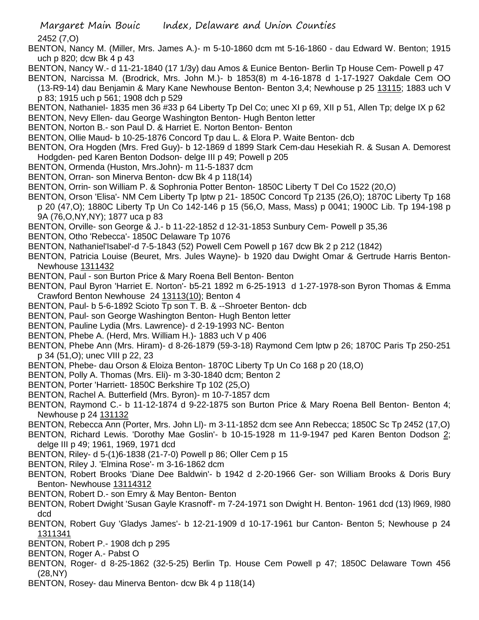2452 (7,O)

- BENTON, Nancy M. (Miller, Mrs. James A.)- m 5-10-1860 dcm mt 5-16-1860 dau Edward W. Benton; 1915 uch p 820; dcw Bk 4 p 43
- BENTON, Nancy W.- d 11-21-1840 (17 1/3y) dau Amos & Eunice Benton- Berlin Tp House Cem- Powell p 47
- BENTON, Narcissa M. (Brodrick, Mrs. John M.)- b 1853(8) m 4-16-1878 d 1-17-1927 Oakdale Cem OO (13-R9-14) dau Benjamin & Mary Kane Newhouse Benton- Benton 3,4; Newhouse p 25 13115; 1883 uch V p 83; 1915 uch p 561; 1908 dch p 529
- BENTON, Nathaniel- 1835 men 36 #33 p 64 Liberty Tp Del Co; unec XI p 69, XII p 51, Allen Tp; delge IX p 62
- BENTON, Nevy Ellen- dau George Washington Benton- Hugh Benton letter
- BENTON, Norton B.- son Paul D. & Harriet E. Norton Benton- Benton
- BENTON, Ollie Maud- b 10-25-1876 Concord Tp dau L. & Elora P. Waite Benton- dcb
- BENTON, Ora Hogden (Mrs. Fred Guy)- b 12-1869 d 1899 Stark Cem-dau Hesekiah R. & Susan A. Demorest Hodgden- ped Karen Benton Dodson- delge III p 49; Powell p 205
- BENTON, Ormenda (Huston, Mrs.John)- m 11-5-1837 dcm
- BENTON, Orran- son Minerva Benton- dcw Bk 4 p 118(14)
- BENTON, Orrin- son William P. & Sophronia Potter Benton- 1850C Liberty T Del Co 1522 (20,O)
- BENTON, Orson 'Elisa'- NM Cem Liberty Tp lptw p 21- 1850C Concord Tp 2135 (26,O); 1870C Liberty Tp 168
- p 20 (47,O); 1880C Liberty Tp Un Co 142-146 p 15 (56,O, Mass, Mass) p 0041; 1900C Lib. Tp 194-198 p 9A (76,O,NY,NY); 1877 uca p 83
- BENTON, Orville- son George & J.- b 11-22-1852 d 12-31-1853 Sunbury Cem- Powell p 35,36
- BENTON, Otho 'Rebecca'- 1850C Delaware Tp 1076
- BENTON, Nathaniel'Isabel'-d 7-5-1843 (52) Powell Cem Powell p 167 dcw Bk 2 p 212 (1842)
- BENTON, Patricia Louise (Beuret, Mrs. Jules Wayne)- b 1920 dau Dwight Omar & Gertrude Harris Benton-Newhouse 1311432
- BENTON, Paul son Burton Price & Mary Roena Bell Benton- Benton
- BENTON, Paul Byron 'Harriet E. Norton'- b5-21 1892 m 6-25-1913 d 1-27-1978-son Byron Thomas & Emma Crawford Benton Newhouse 24 13113(10); Benton 4
- BENTON, Paul- b 5-6-1892 Scioto Tp son T. B. & --Shroeter Benton- dcb
- BENTON, Paul- son George Washington Benton- Hugh Benton letter
- BENTON, Pauline Lydia (Mrs. Lawrence)- d 2-19-1993 NC- Benton
- BENTON, Phebe A. (Herd, Mrs. William H.)- 1883 uch V p 406
- BENTON, Phebe Ann (Mrs. Hiram)- d 8-26-1879 (59-3-18) Raymond Cem lptw p 26; 1870C Paris Tp 250-251 p 34 (51,O); unec VIII p 22, 23
- BENTON, Phebe- dau Orson & Eloiza Benton- 1870C Liberty Tp Un Co 168 p 20 (18,O)
- BENTON, Polly A. Thomas (Mrs. Eli)- m 3-30-1840 dcm; Benton 2
- BENTON, Porter 'Harriett- 1850C Berkshire Tp 102 (25,O)
- BENTON, Rachel A. Butterfield (Mrs. Byron)- m 10-7-1857 dcm
- BENTON, Raymond C.- b 11-12-1874 d 9-22-1875 son Burton Price & Mary Roena Bell Benton- Benton 4; Newhouse p 24 131132
- BENTON, Rebecca Ann (Porter, Mrs. John Ll)- m 3-11-1852 dcm see Ann Rebecca; 1850C Sc Tp 2452 (17,O)
- BENTON, Richard Lewis. 'Dorothy Mae Goslin'- b 10-15-1928 m 11-9-1947 ped Karen Benton Dodson 2; delge III p 49; 1961, 1969, 1971 dcd
- BENTON, Riley- d 5-(1)6-1838 (21-7-0) Powell p 86; Oller Cem p 15
- BENTON, Riley J. 'Elmina Rose'- m 3-16-1862 dcm
- BENTON, Robert Brooks 'Diane Dee Baldwin'- b 1942 d 2-20-1966 Ger- son William Brooks & Doris Bury Benton- Newhouse 13114312
- BENTON, Robert D.- son Emry & May Benton- Benton
- BENTON, Robert Dwight 'Susan Gayle Krasnoff'- m 7-24-1971 son Dwight H. Benton- 1961 dcd (13) l969, l980 dcd
- BENTON, Robert Guy 'Gladys James'- b 12-21-1909 d 10-17-1961 bur Canton- Benton 5; Newhouse p 24 1311341
- BENTON, Robert P.- 1908 dch p 295
- BENTON, Roger A.- Pabst O
- BENTON, Roger- d 8-25-1862 (32-5-25) Berlin Tp. House Cem Powell p 47; 1850C Delaware Town 456 (28,NY)
- BENTON, Rosey- dau Minerva Benton- dcw Bk 4 p 118(14)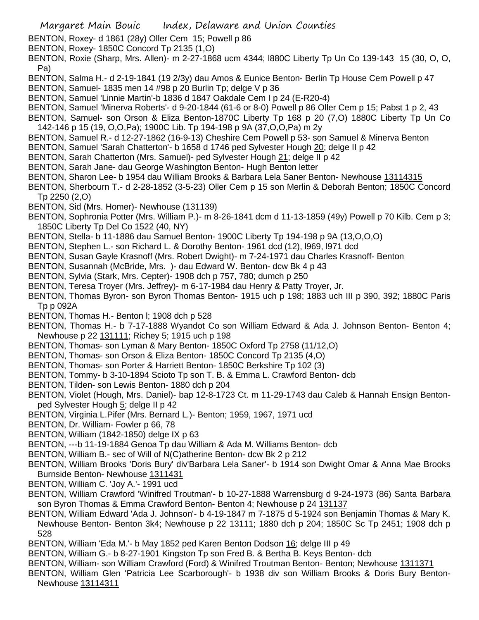- BENTON, Roxey- d 1861 (28y) Oller Cem 15; Powell p 86
- BENTON, Roxey- 1850C Concord Tp 2135 (1,O)
- BENTON, Roxie (Sharp, Mrs. Allen)- m 2-27-1868 ucm 4344; l880C Liberty Tp Un Co 139-143 15 (30, O, O, Pa)
- BENTON, Salma H.- d 2-19-1841 (19 2/3y) dau Amos & Eunice Benton- Berlin Tp House Cem Powell p 47
- BENTON, Samuel- 1835 men 14 #98 p 20 Burlin Tp; delge V p 36
- BENTON, Samuel 'Linnie Martin'-b 1836 d 1847 Oakdale Cem I p 24 (E-R20-4)
- BENTON, Samuel 'Minerva Roberts'- d 9-20-1844 (61-6 or 8-0) Powell p 86 Oller Cem p 15; Pabst 1 p 2, 43
- BENTON, Samuel- son Orson & Eliza Benton-1870C Liberty Tp 168 p 20 (7,O) 1880C Liberty Tp Un Co 142-146 p 15 (19, O,O,Pa); 1900C Lib. Tp 194-198 p 9A (37,O,O,Pa) m 2y
- BENTON, Samuel R.- d 12-27-1862 (16-9-13) Cheshire Cem Powell p 53- son Samuel & Minerva Benton
- BENTON, Samuel 'Sarah Chatterton'- b 1658 d 1746 ped Sylvester Hough 20; delge II p 42
- BENTON, Sarah Chatterton (Mrs. Samuel)- ped Sylvester Hough 21; delge II p 42
- BENTON, Sarah Jane- dau George Washington Benton- Hugh Benton letter
- BENTON, Sharon Lee- b 1954 dau William Brooks & Barbara Lela Saner Benton- Newhouse 13114315
- BENTON, Sherbourn T.- d 2-28-1852 (3-5-23) Oller Cem p 15 son Merlin & Deborah Benton; 1850C Concord Tp 2250 (2,O)
- BENTON, Sid (Mrs. Homer)- Newhouse (131139)
- BENTON, Sophronia Potter (Mrs. William P.)- m 8-26-1841 dcm d 11-13-1859 (49y) Powell p 70 Kilb. Cem p 3; 1850C Liberty Tp Del Co 1522 (40, NY)
- BENTON, Stella- b 11-1886 dau Samuel Benton- 1900C Liberty Tp 194-198 p 9A (13,O,O,O)
- BENTON, Stephen L.- son Richard L. & Dorothy Benton- 1961 dcd (12), l969, l971 dcd
- BENTON, Susan Gayle Krasnoff (Mrs. Robert Dwight)- m 7-24-1971 dau Charles Krasnoff- Benton
- BENTON, Susannah (McBride, Mrs. )- dau Edward W. Benton- dcw Bk 4 p 43
- BENTON, Sylvia (Stark, Mrs. Cepter)- 1908 dch p 757, 780; dumch p 250
- BENTON, Teresa Troyer (Mrs. Jeffrey)- m 6-17-1984 dau Henry & Patty Troyer, Jr.
- BENTON, Thomas Byron- son Byron Thomas Benton- 1915 uch p 198; 1883 uch III p 390, 392; 1880C Paris Tp p 092A
- BENTON, Thomas H.- Benton l; 1908 dch p 528
- BENTON, Thomas H.- b 7-17-1888 Wyandot Co son William Edward & Ada J. Johnson Benton- Benton 4; Newhouse p 22 131111; Richey 5; 1915 uch p 198
- BENTON, Thomas- son Lyman & Mary Benton- 1850C Oxford Tp 2758 (11/12,O)
- BENTON, Thomas- son Orson & Eliza Benton- 1850C Concord Tp 2135 (4,O)
- BENTON, Thomas- son Porter & Harriett Benton- 1850C Berkshire Tp 102 (3)
- BENTON, Tommy- b 3-10-1894 Scioto Tp son T. B. & Emma L. Crawford Benton- dcb
- BENTON, Tilden- son Lewis Benton- 1880 dch p 204
- BENTON, Violet (Hough, Mrs. Daniel)- bap 12-8-1723 Ct. m 11-29-1743 dau Caleb & Hannah Ensign Bentonped Sylvester Hough 5; delge II p 42
- BENTON, Virginia L.Pifer (Mrs. Bernard L.)- Benton; 1959, 1967, 1971 ucd
- BENTON, Dr. William- Fowler p 66, 78
- BENTON, William (1842-1850) delge IX p 63
- BENTON, ---b 11-19-1884 Genoa Tp dau William & Ada M. Williams Benton- dcb
- BENTON, William B.- sec of Will of N(C)atherine Benton- dcw Bk 2 p 212
- BENTON, William Brooks 'Doris Bury' div'Barbara Lela Saner'- b 1914 son Dwight Omar & Anna Mae Brooks Burnside Benton- Newhouse 1311431
- BENTON, William C. 'Joy A.'- 1991 ucd
- BENTON, William Crawford 'Winifred Troutman'- b 10-27-1888 Warrensburg d 9-24-1973 (86) Santa Barbara son Byron Thomas & Emma Crawford Benton- Benton 4; Newhouse p 24 131137
- BENTON, William Edward 'Ada J. Johnson'- b 4-19-1847 m 7-1875 d 5-1924 son Benjamin Thomas & Mary K. Newhouse Benton- Benton 3k4; Newhouse p 22 13111; 1880 dch p 204; 1850C Sc Tp 2451; 1908 dch p 528
- BENTON, William 'Eda M.'- b May 1852 ped Karen Benton Dodson 16; delge III p 49
- BENTON, William G.- b 8-27-1901 Kingston Tp son Fred B. & Bertha B. Keys Benton- dcb
- BENTON, William- son William Crawford (Ford) & Winifred Troutman Benton- Benton; Newhouse 1311371
- BENTON, William Glen 'Patricia Lee Scarborough'- b 1938 div son William Brooks & Doris Bury Benton-Newhouse 13114311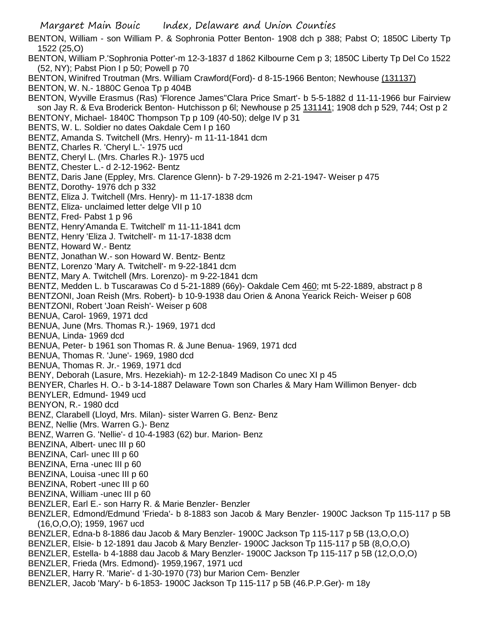BENTON, William - son William P. & Sophronia Potter Benton- 1908 dch p 388; Pabst O; 1850C Liberty Tp 1522 (25,O)

BENTON, William P.'Sophronia Potter'-m 12-3-1837 d 1862 Kilbourne Cem p 3; 1850C Liberty Tp Del Co 1522 (52, NY); Pabst Pion I p 50; Powell p 70

BENTON, Winifred Troutman (Mrs. William Crawford(Ford)- d 8-15-1966 Benton; Newhouse (131137) BENTON, W. N.- 1880C Genoa Tp p 404B

BENTON, Wyville Erasmus (Ras) 'Florence James''Clara Price Smart'- b 5-5-1882 d 11-11-1966 bur Fairview son Jay R. & Eva Broderick Benton- Hutchisson p 6l; Newhouse p 25 131141; 1908 dch p 529, 744; Ost p 2 BENTONY, Michael- 1840C Thompson Tp p 109 (40-50); delge IV p 31

BENTS, W. L. Soldier no dates Oakdale Cem I p 160

BENTZ, Amanda S. Twitchell (Mrs. Henry)- m 11-11-1841 dcm

BENTZ, Charles R. 'Cheryl L.'- 1975 ucd

BENTZ, Cheryl L. (Mrs. Charles R.)- 1975 ucd

BENTZ, Chester L.- d 2-12-1962- Bentz

BENTZ, Daris Jane (Eppley, Mrs. Clarence Glenn)- b 7-29-1926 m 2-21-1947- Weiser p 475

BENTZ, Dorothy- 1976 dch p 332

BENTZ, Eliza J. Twitchell (Mrs. Henry)- m 11-17-1838 dcm

BENTZ, Eliza- unclaimed letter delge VII p 10

BENTZ, Fred- Pabst 1 p 96

BENTZ, Henry'Amanda E. Twitchell' m 11-11-1841 dcm

BENTZ, Henry 'Eliza J. Twitchell'- m 11-17-1838 dcm

BENTZ, Howard W.- Bentz

BENTZ, Jonathan W.- son Howard W. Bentz- Bentz

BENTZ, Lorenzo 'Mary A. Twitchell'- m 9-22-1841 dcm

BENTZ, Mary A. Twitchell (Mrs. Lorenzo)- m 9-22-1841 dcm

BENTZ, Medden L. b Tuscarawas Co d 5-21-1889 (66y)- Oakdale Cem 460; mt 5-22-1889, abstract p 8

BENTZONI, Joan Reish (Mrs. Robert)- b 10-9-1938 dau Orien & Anona Yearick Reich- Weiser p 608

BENTZONI, Robert 'Joan Reish'- Weiser p 608

BENUA, Carol- 1969, 1971 dcd

BENUA, June (Mrs. Thomas R.)- 1969, 1971 dcd

BENUA, Linda- 1969 dcd

BENUA, Peter- b 1961 son Thomas R. & June Benua- 1969, 1971 dcd

BENUA, Thomas R. 'June'- 1969, 1980 dcd

BENUA, Thomas R. Jr.- 1969, 1971 dcd

BENY, Deborah (Lasure, Mrs. Hezekiah)- m 12-2-1849 Madison Co unec XI p 45

BENYER, Charles H. O.- b 3-14-1887 Delaware Town son Charles & Mary Ham Willimon Benyer- dcb

BENYLER, Edmund- 1949 ucd

BENYON, R.- 1980 dcd

BENZ, Clarabell (Lloyd, Mrs. Milan)- sister Warren G. Benz- Benz

BENZ, Nellie (Mrs. Warren G.)- Benz

BENZ, Warren G. 'Nellie'- d 10-4-1983 (62) bur. Marion- Benz

BENZINA, Albert- unec III p 60

BENZINA, Carl- unec III p 60

BENZINA, Erna -unec III p 60

BENZINA, Louisa -unec III p 60

BENZINA, Robert -unec III p 60

BENZINA, William -unec III p 60

BENZLER, Earl E.- son Harry R. & Marie Benzler- Benzler

BENZLER, Edmond/Edmund 'Frieda'- b 8-1883 son Jacob & Mary Benzler- 1900C Jackson Tp 115-117 p 5B (16,O,O,O); 1959, 1967 ucd

BENZLER, Edna-b 8-1886 dau Jacob & Mary Benzler- 1900C Jackson Tp 115-117 p 5B (13,O,O,O)

BENZLER, Elsie- b 12-1891 dau Jacob & Mary Benzler- 1900C Jackson Tp 115-117 p 5B (8,O,O,O)

BENZLER, Estella- b 4-1888 dau Jacob & Mary Benzler- 1900C Jackson Tp 115-117 p 5B (12,O,O,O)

BENZLER, Frieda (Mrs. Edmond)- 1959,1967, 1971 ucd

BENZLER, Harry R. 'Marie'- d 1-30-1970 (73) bur Marion Cem- Benzler

BENZLER, Jacob 'Mary'- b 6-1853- 1900C Jackson Tp 115-117 p 5B (46.P.P.Ger)- m 18y